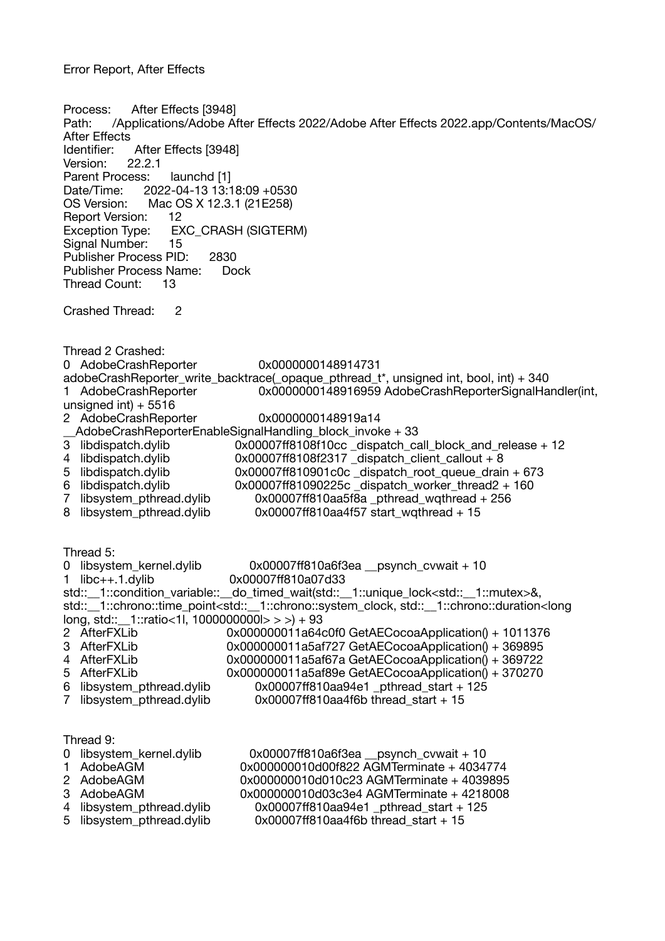Process: After Effects [3948] Path: /Applications/Adobe After Effects 2022/Adobe After Effects 2022.app/Contents/MacOS/ After Effects Identifier: After Effects [3948] Version: 22.2.1 Parent Process: launchd [1] Date/Time: 2022-04-13 13:18:09 +0530 OS Version: Mac OS X 12.3.1 (21E258) Report Version: 12 Exception Type: EXC\_CRASH (SIGTERM) Signal Number: 15 Publisher Process PID: 2830 Publisher Process Name: Dock Thread Count: 13 Crashed Thread: 2 Thread 2 Crashed: 0 AdobeCrashReporter 0x0000000148914731 adobeCrashReporter\_write\_backtrace(\_opaque\_pthread\_t\*, unsigned int, bool, int) + 340 1 AdobeCrashReporter 0x0000000148916959 AdobeCrashReporterSignalHandler(int, unsigned int $+ 5516$ 2 AdobeCrashReporter 0x0000000148919a14 \_\_AdobeCrashReporterEnableSignalHandling\_block\_invoke + 33 3 libdispatch.dylib 0x00007ff8108f10cc dispatch\_call\_block\_and\_release + 12<br>4 libdispatch.dylib 0x00007ff8108f2317 dispatch client callout + 8 4 libdispatch.dylib 0x00007ff8108f2317\_dispatch\_client\_callout + 8<br>5 libdispatch.dylib 0x00007ff810901c0c dispatch root queue drair 0x00007ff810901c0c \_dispatch\_root\_queue\_drain + 673 6 libdispatch.dylib  $0 \times 000007$ ff81090225c dispatch worker thread2 + 160 7 libsystem\_pthread.dylib 0x00007ff810aa5f8a \_pthread\_wqthread + 256<br>8 libsystem pthread.dylib 0x00007ff810aa4f57 start wqthread + 15  $0x00007$ ff810aa4f57 start\_wqthread + 15 Thread 5: 0 libsystem\_kernel.dylib  $0 \times 000007$ ff810a6f3ea \_\_psynch\_cvwait + 10<br>1 libc++.1.dylib 0x00007ff810a07d33 0x00007ff810a07d33 std:: 1::condition\_variable:: do\_timed\_wait(std:: 1::unique\_lock<std:: 1::mutex>&, std::\_\_1::chrono::time\_point<std::\_\_1::chrono::system\_clock, std::\_\_1::chrono::duration<long long, std::\_\_1::ratio<1l, 1000000000l> > >) + 93 2 AfterFXLib 0x000000011a64c0f0 GetAECocoaApplication() + 1011376<br>3 AfterFXLib 0x000000011a5af727 GetAECocoaApplication() + 369895 3 AfterFXLib 0x000000011a5af727 GetAECocoaApplication() + 369895<br>4 AfterFXLib 0x000000011a5af67a GetAECocoaApplication() + 369722 4 AfterFXLib 0x000000011a5af67a GetAECocoaApplication() + 369722<br>5 AfterFXLib 0x000000011a5af89e GetAECocoaApplication() + 370270  $0x000000011a5a189e$  GetAECocoaApplication $() + 370270$ 6 libsystem pthread.dylib  $0x00007f610a$ a94e1 pthread start + 125 7 libsystem pthread.dylib 0x00007ff810aa4f6b thread start + 15 Thread 9:<br>0 libsystem kernel.dylib  $10$ ibsystem\_kernel.dylib  $0 \times 00007$ ff810a6f3ea \_\_psynch\_cvwait + 10<br>AdobeAGM  $0 \times 000000010$ d00f822 AGMTerminate + 4034 1 AdobeAGM 0x000000010d00f822 AGMTerminate + 4034774<br>2 AdobeAGM 0x000000010d010c23 AGMTerminate + 4039895 0x000000010d010c23 AGMTerminate + 4039895 3 AdobeAGM 0x000000010d03c3e4 AGMTerminate + 4218008 4 libsystem\_pthread.dylib 0x00007ff810aa94e1\_pthread\_start + 125<br>5 libsystem pthread.dylib 0x00007ff810aa4f6b thread start + 15  $0x00007ff810aa4f6b$  thread start + 15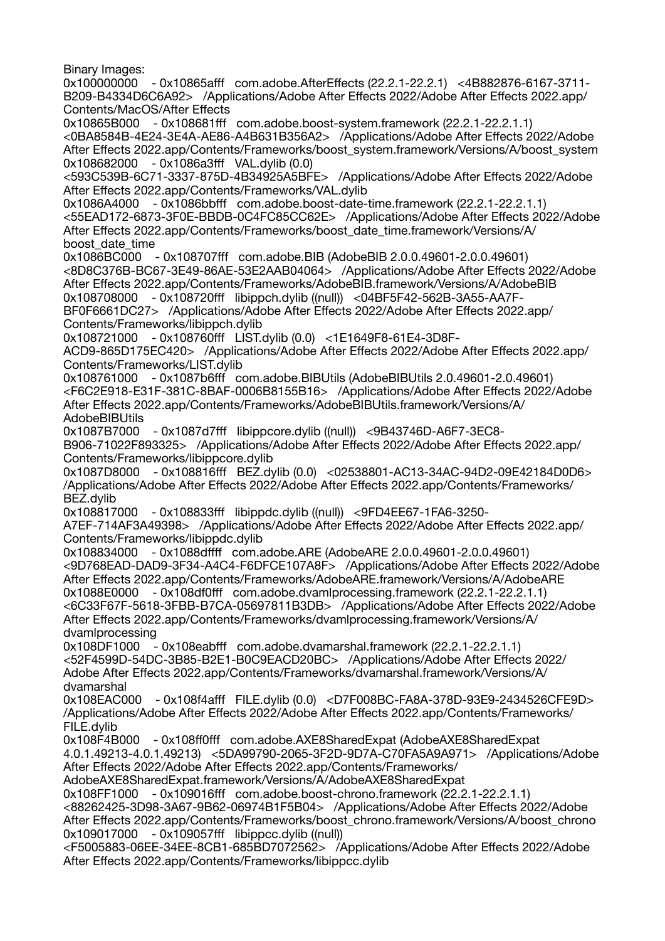Binary Images:

0x100000000 - 0x10865afff com.adobe.AfterEffects (22.2.1-22.2.1) <4B882876-6167-3711- B209-B4334D6C6A92> /Applications/Adobe After Effects 2022/Adobe After Effects 2022.app/ Contents/MacOS/After Effects

0x10865B000 - 0x108681fff com.adobe.boost-system.framework (22.2.1-22.2.1.1) <0BA8584B-4E24-3E4A-AE86-A4B631B356A2> /Applications/Adobe After Effects 2022/Adobe After Effects 2022.app/Contents/Frameworks/boost\_system.framework/Versions/A/boost\_system 0x108682000 - 0x1086a3fff VAL.dylib (0.0)

<593C539B-6C71-3337-875D-4B34925A5BFE> /Applications/Adobe After Effects 2022/Adobe After Effects 2022.app/Contents/Frameworks/VAL.dylib

0x1086A4000 - 0x1086bbfff com.adobe.boost-date-time.framework (22.2.1-22.2.1.1) <55EAD172-6873-3F0E-BBDB-0C4FC85CC62E> /Applications/Adobe After Effects 2022/Adobe After Effects 2022.app/Contents/Frameworks/boost\_date\_time.framework/Versions/A/ boost\_date\_time

0x1086BC000 - 0x108707fff com.adobe.BIB (AdobeBIB 2.0.0.49601-2.0.0.49601) <8D8C376B-BC67-3E49-86AE-53E2AAB04064> /Applications/Adobe After Effects 2022/Adobe After Effects 2022.app/Contents/Frameworks/AdobeBIB.framework/Versions/A/AdobeBIB 0x108708000 - 0x108720fff libippch.dylib ((null)) <04BF5F42-562B-3A55-AA7F-BF0F6661DC27> /Applications/Adobe After Effects 2022/Adobe After Effects 2022.app/ Contents/Frameworks/libippch.dylib

0x108721000 - 0x108760fff LIST.dylib (0.0) <1E1649F8-61E4-3D8F-

ACD9-865D175EC420> /Applications/Adobe After Effects 2022/Adobe After Effects 2022.app/ Contents/Frameworks/LIST.dylib

0x108761000 - 0x1087b6fff com.adobe.BIBUtils (AdobeBIBUtils 2.0.49601-2.0.49601) <F6C2E918-E31F-381C-8BAF-0006B8155B16> /Applications/Adobe After Effects 2022/Adobe After Effects 2022.app/Contents/Frameworks/AdobeBIBUtils.framework/Versions/A/ **AdobeBIBUtils** 

0x1087B7000 - 0x1087d7fff libippcore.dylib ((null)) <9B43746D-A6F7-3EC8- B906-71022F893325> /Applications/Adobe After Effects 2022/Adobe After Effects 2022.app/ Contents/Frameworks/libippcore.dylib

0x1087D8000 - 0x108816fff BEZ.dylib (0.0) <02538801-AC13-34AC-94D2-09E42184D0D6> /Applications/Adobe After Effects 2022/Adobe After Effects 2022.app/Contents/Frameworks/ BEZ.dylib

0x108817000 - 0x108833fff libippdc.dylib ((null)) <9FD4EE67-1FA6-3250-

A7EF-714AF3A49398> /Applications/Adobe After Effects 2022/Adobe After Effects 2022.app/ Contents/Frameworks/libippdc.dylib

0x108834000 - 0x1088dffff com.adobe.ARE (AdobeARE 2.0.0.49601-2.0.0.49601) <9D768EAD-DAD9-3F34-A4C4-F6DFCE107A8F> /Applications/Adobe After Effects 2022/Adobe After Effects 2022.app/Contents/Frameworks/AdobeARE.framework/Versions/A/AdobeARE 0x1088E0000 - 0x108df0fff com.adobe.dvamlprocessing.framework (22.2.1-22.2.1.1) <6C33F67F-5618-3FBB-B7CA-05697811B3DB> /Applications/Adobe After Effects 2022/Adobe After Effects 2022.app/Contents/Frameworks/dvamlprocessing.framework/Versions/A/

dvamlprocessing 0x108DF1000 - 0x108eabfff com.adobe.dvamarshal.framework (22.2.1-22.2.1.1) <52F4599D-54DC-3B85-B2E1-B0C9EACD20BC> /Applications/Adobe After Effects 2022/ Adobe After Effects 2022.app/Contents/Frameworks/dvamarshal.framework/Versions/A/ dvamarshal

0x108EAC000 - 0x108f4afff FILE.dylib (0.0) <D7F008BC-FA8A-378D-93E9-2434526CFE9D> /Applications/Adobe After Effects 2022/Adobe After Effects 2022.app/Contents/Frameworks/ FILE.dylib

0x108F4B000 - 0x108ff0fff com.adobe.AXE8SharedExpat (AdobeAXE8SharedExpat 4.0.1.49213-4.0.1.49213) <5DA99790-2065-3F2D-9D7A-C70FA5A9A971> /Applications/Adobe After Effects 2022/Adobe After Effects 2022.app/Contents/Frameworks/

AdobeAXE8SharedExpat.framework/Versions/A/AdobeAXE8SharedExpat

0x108FF1000 - 0x109016fff com.adobe.boost-chrono.framework (22.2.1-22.2.1.1)

<88262425-3D98-3A67-9B62-06974B1F5B04> /Applications/Adobe After Effects 2022/Adobe After Effects 2022.app/Contents/Frameworks/boost\_chrono.framework/Versions/A/boost\_chrono 0x109017000 - 0x109057fff libippcc.dylib ((null))

<F5005883-06EE-34EE-8CB1-685BD7072562> /Applications/Adobe After Effects 2022/Adobe After Effects 2022.app/Contents/Frameworks/libippcc.dylib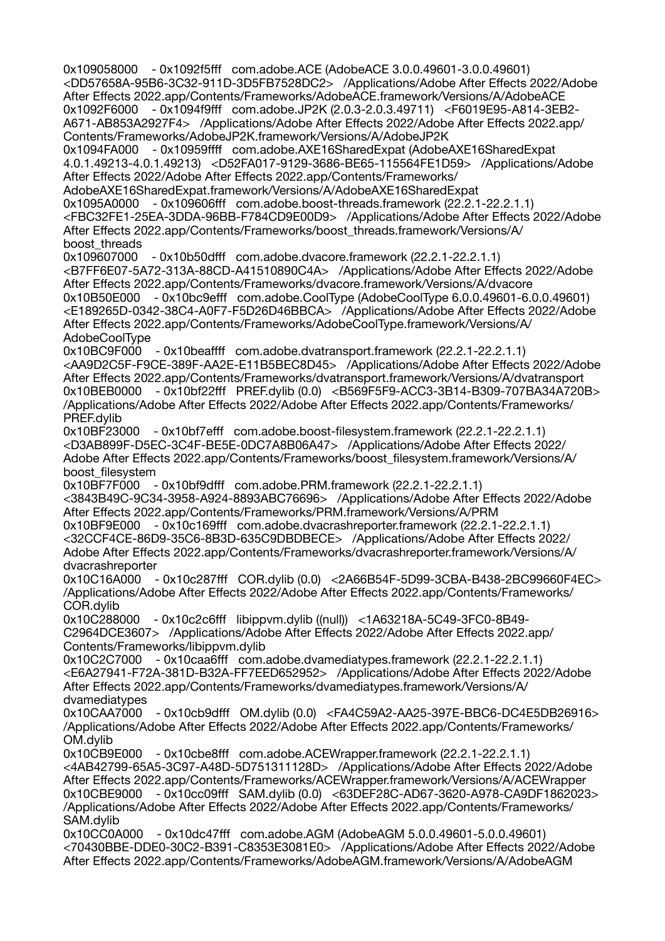0x109058000 - 0x1092f5fff com.adobe.ACE (AdobeACE 3.0.0.49601-3.0.0.49601) <DD57658A-95B6-3C32-911D-3D5FB7528DC2> /Applications/Adobe After Effects 2022/Adobe After Effects 2022.app/Contents/Frameworks/AdobeACE.framework/Versions/A/AdobeACE 0x1092F6000 - 0x1094f9fff com.adobe.JP2K (2.0.3-2.0.3.49711) <F6019E95-A814-3EB2- A671-AB853A2927F4> /Applications/Adobe After Effects 2022/Adobe After Effects 2022.app/ Contents/Frameworks/AdobeJP2K.framework/Versions/A/AdobeJP2K 0x1094FA000 - 0x10959ffff com.adobe.AXE16SharedExpat (AdobeAXE16SharedExpat 4.0.1.49213-4.0.1.49213) <D52FA017-9129-3686-BE65-115564FE1D59> /Applications/Adobe After Effects 2022/Adobe After Effects 2022.app/Contents/Frameworks/ AdobeAXE16SharedExpat.framework/Versions/A/AdobeAXE16SharedExpat 0x1095A0000 - 0x109606fff com.adobe.boost-threads.framework (22.2.1-22.2.1.1) <FBC32FE1-25EA-3DDA-96BB-F784CD9E00D9> /Applications/Adobe After Effects 2022/Adobe After Effects 2022.app/Contents/Frameworks/boost\_threads.framework/Versions/A/ boost\_threads 0x109607000 - 0x10b50dfff com.adobe.dvacore.framework (22.2.1-22.2.1.1) <B7FF6E07-5A72-313A-88CD-A41510890C4A> /Applications/Adobe After Effects 2022/Adobe After Effects 2022.app/Contents/Frameworks/dvacore.framework/Versions/A/dvacore 0x10B50E000 - 0x10bc9efff com.adobe.CoolType (AdobeCoolType 6.0.0.49601-6.0.0.49601) <E189265D-0342-38C4-A0F7-F5D26D46BBCA> /Applications/Adobe After Effects 2022/Adobe After Effects 2022.app/Contents/Frameworks/AdobeCoolType.framework/Versions/A/ AdobeCoolType 0x10BC9F000 - 0x10beaffff com.adobe.dvatransport.framework (22.2.1-22.2.1.1) <AA9D2C5F-F9CE-389F-AA2E-E11B5BEC8D45> /Applications/Adobe After Effects 2022/Adobe After Effects 2022.app/Contents/Frameworks/dvatransport.framework/Versions/A/dvatransport 0x10BEB0000 - 0x10bf22fff PREF.dylib (0.0) <B569F5F9-ACC3-3B14-B309-707BA34A720B> /Applications/Adobe After Effects 2022/Adobe After Effects 2022.app/Contents/Frameworks/ PREF.dylib 0x10BF23000 - 0x10bf7efff com.adobe.boost-filesystem.framework (22.2.1-22.2.1.1) <D3AB899F-D5EC-3C4F-BE5E-0DC7A8B06A47> /Applications/Adobe After Effects 2022/ Adobe After Effects 2022.app/Contents/Frameworks/boost\_filesystem.framework/Versions/A/ boost\_filesystem<br>0x10BF7F000 - $-0x10b19d$ fff com.adobe.PRM.framework (22.2.1-22.2.1.1) <3843B49C-9C34-3958-A924-8893ABC76696> /Applications/Adobe After Effects 2022/Adobe After Effects 2022.app/Contents/Frameworks/PRM.framework/Versions/A/PRM 0x10BF9E000 - 0x10c169fff com.adobe.dvacrashreporter.framework (22.2.1-22.2.1.1) <32CCF4CE-86D9-35C6-8B3D-635C9DBDBECE> /Applications/Adobe After Effects 2022/ Adobe After Effects 2022.app/Contents/Frameworks/dvacrashreporter.framework/Versions/A/ dvacrashreporter 0x10C16A000 - 0x10c287fff COR.dylib (0.0) <2A66B54F-5D99-3CBA-B438-2BC99660F4EC> /Applications/Adobe After Effects 2022/Adobe After Effects 2022.app/Contents/Frameworks/ COR.dvlib 0x10C288000 - 0x10c2c6fff libippvm.dylib ((null)) <1A63218A-5C49-3FC0-8B49- C2964DCE3607> /Applications/Adobe After Effects 2022/Adobe After Effects 2022.app/ Contents/Frameworks/libippvm.dylib 0x10C2C7000 - 0x10caa6fff com.adobe.dvamediatypes.framework (22.2.1-22.2.1.1) <E6A27941-F72A-381D-B32A-FF7EED652952> /Applications/Adobe After Effects 2022/Adobe After Effects 2022.app/Contents/Frameworks/dvamediatypes.framework/Versions/A/ dvamediatypes 0x10CAA7000 - 0x10cb9dfff OM.dylib (0.0) <FA4C59A2-AA25-397E-BBC6-DC4E5DB26916> /Applications/Adobe After Effects 2022/Adobe After Effects 2022.app/Contents/Frameworks/ OM.dylib 0x10CB9E000 - 0x10cbe8fff com.adobe.ACEWrapper.framework (22.2.1-22.2.1.1) <4AB42799-65A5-3C97-A48D-5D751311128D> /Applications/Adobe After Effects 2022/Adobe After Effects 2022.app/Contents/Frameworks/ACEWrapper.framework/Versions/A/ACEWrapper 0x10CBE9000 - 0x10cc09fff SAM.dylib (0.0) <63DEF28C-AD67-3620-A978-CA9DF1862023> /Applications/Adobe After Effects 2022/Adobe After Effects 2022.app/Contents/Frameworks/ SAM.dylib 0x10CC0A000 - 0x10dc47fff com.adobe.AGM (AdobeAGM 5.0.0.49601-5.0.0.49601) <70430BBE-DDE0-30C2-B391-C8353E3081E0> /Applications/Adobe After Effects 2022/Adobe

After Effects 2022.app/Contents/Frameworks/AdobeAGM.framework/Versions/A/AdobeAGM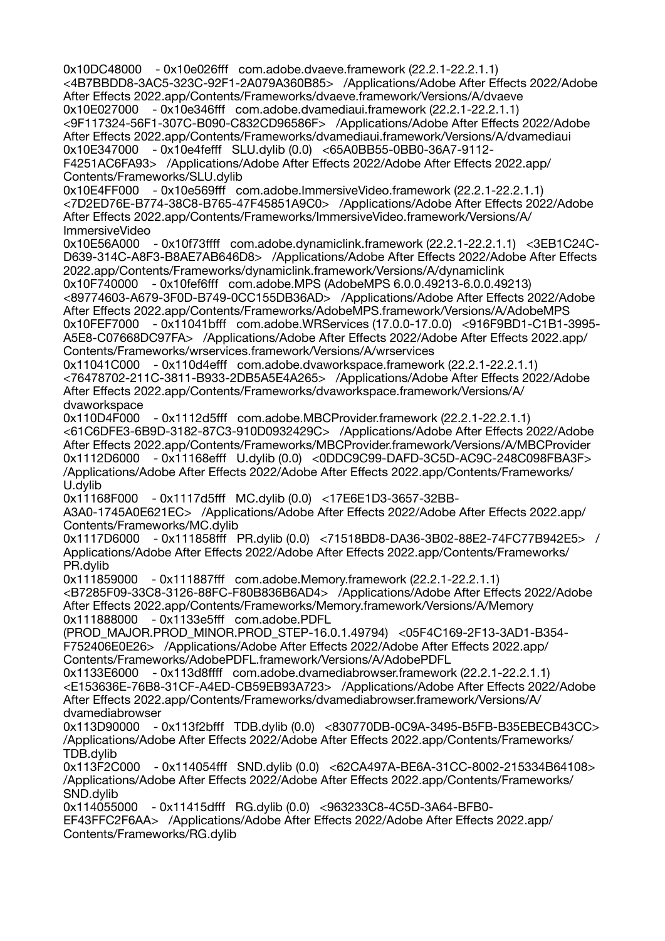0x10DC48000 - 0x10e026fff com.adobe.dvaeve.framework (22.2.1-22.2.1.1) <4B7BBDD8-3AC5-323C-92F1-2A079A360B85> /Applications/Adobe After Effects 2022/Adobe After Effects 2022.app/Contents/Frameworks/dvaeve.framework/Versions/A/dvaeve 0x10E027000 - 0x10e346fff com.adobe.dvamediaui.framework (22.2.1-22.2.1.1) <9F117324-56F1-307C-B090-C832CD96586F> /Applications/Adobe After Effects 2022/Adobe After Effects 2022.app/Contents/Frameworks/dvamediaui.framework/Versions/A/dvamediaui 0x10E347000 - 0x10e4fefff SLU.dylib (0.0) <65A0BB55-0BB0-36A7-9112- F4251AC6FA93> /Applications/Adobe After Effects 2022/Adobe After Effects 2022.app/ Contents/Frameworks/SLU.dylib 0x10E4FF000 - 0x10e569fff com.adobe.ImmersiveVideo.framework (22.2.1-22.2.1.1) <7D2ED76E-B774-38C8-B765-47F45851A9C0> /Applications/Adobe After Effects 2022/Adobe After Effects 2022.app/Contents/Frameworks/ImmersiveVideo.framework/Versions/A/ ImmersiveVideo 0x10E56A000 - 0x10f73ffff com.adobe.dynamiclink.framework (22.2.1-22.2.1.1) <3EB1C24C-D639-314C-A8F3-B8AE7AB646D8> /Applications/Adobe After Effects 2022/Adobe After Effects 2022.app/Contents/Frameworks/dynamiclink.framework/Versions/A/dynamiclink 0x10F740000 - 0x10fef6fff com.adobe.MPS (AdobeMPS 6.0.0.49213-6.0.0.49213) <89774603-A679-3F0D-B749-0CC155DB36AD> /Applications/Adobe After Effects 2022/Adobe After Effects 2022.app/Contents/Frameworks/AdobeMPS.framework/Versions/A/AdobeMPS 0x10FEF7000 - 0x11041bfff com.adobe.WRServices (17.0.0-17.0.0) <916F9BD1-C1B1-3995- A5E8-C07668DC97FA> /Applications/Adobe After Effects 2022/Adobe After Effects 2022.app/ Contents/Frameworks/wrservices.framework/Versions/A/wrservices 0x11041C000 - 0x110d4efff com.adobe.dvaworkspace.framework (22.2.1-22.2.1.1) <76478702-211C-3811-B933-2DB5A5E4A265> /Applications/Adobe After Effects 2022/Adobe After Effects 2022.app/Contents/Frameworks/dvaworkspace.framework/Versions/A/ dvaworkspace 0x110D4F000 - 0x1112d5fff com.adobe.MBCProvider.framework (22.2.1-22.2.1.1) <61C6DFE3-6B9D-3182-87C3-910D0932429C> /Applications/Adobe After Effects 2022/Adobe After Effects 2022.app/Contents/Frameworks/MBCProvider.framework/Versions/A/MBCProvider 0x1112D6000 - 0x11168efff U.dylib (0.0) <0DDC9C99-DAFD-3C5D-AC9C-248C098FBA3F> /Applications/Adobe After Effects 2022/Adobe After Effects 2022.app/Contents/Frameworks/ U.dylib 0x11168F000 - 0x1117d5fff MC.dylib (0.0) <17E6E1D3-3657-32BB-A3A0-1745A0E621EC> /Applications/Adobe After Effects 2022/Adobe After Effects 2022.app/ Contents/Frameworks/MC.dylib 0x1117D6000 - 0x111858fff PR.dylib (0.0) <71518BD8-DA36-3B02-88E2-74FC77B942E5> / Applications/Adobe After Effects 2022/Adobe After Effects 2022.app/Contents/Frameworks/ PR.dylib 0x111859000 - 0x111887fff com.adobe.Memory.framework (22.2.1-22.2.1.1) <B7285F09-33C8-3126-88FC-F80B836B6AD4> /Applications/Adobe After Effects 2022/Adobe After Effects 2022.app/Contents/Frameworks/Memory.framework/Versions/A/Memory 0x111888000 - 0x1133e5fff com.adobe.PDFL (PROD\_MAJOR.PROD\_MINOR.PROD\_STEP-16.0.1.49794) <05F4C169-2F13-3AD1-B354- F752406E0E26> /Applications/Adobe After Effects 2022/Adobe After Effects 2022.app/ Contents/Frameworks/AdobePDFL.framework/Versions/A/AdobePDFL 0x1133E6000 - 0x113d8ffff com.adobe.dvamediabrowser.framework (22.2.1-22.2.1.1) <E153636E-76B8-31CF-A4ED-CB59EB93A723> /Applications/Adobe After Effects 2022/Adobe After Effects 2022.app/Contents/Frameworks/dvamediabrowser.framework/Versions/A/ dvamediabrowser 0x113D90000 - 0x113f2bfff TDB.dylib (0.0) <830770DB-0C9A-3495-B5FB-B35EBECB43CC> /Applications/Adobe After Effects 2022/Adobe After Effects 2022.app/Contents/Frameworks/ TDB.dylib 0x113F2C000 - 0x114054fff SND.dylib (0.0) <62CA497A-BE6A-31CC-8002-215334B64108> /Applications/Adobe After Effects 2022/Adobe After Effects 2022.app/Contents/Frameworks/ SND.dylib 0x114055000 - 0x11415dfff RG.dylib (0.0) <963233C8-4C5D-3A64-BFB0- EF43FFC2F6AA> /Applications/Adobe After Effects 2022/Adobe After Effects 2022.app/ Contents/Frameworks/RG.dylib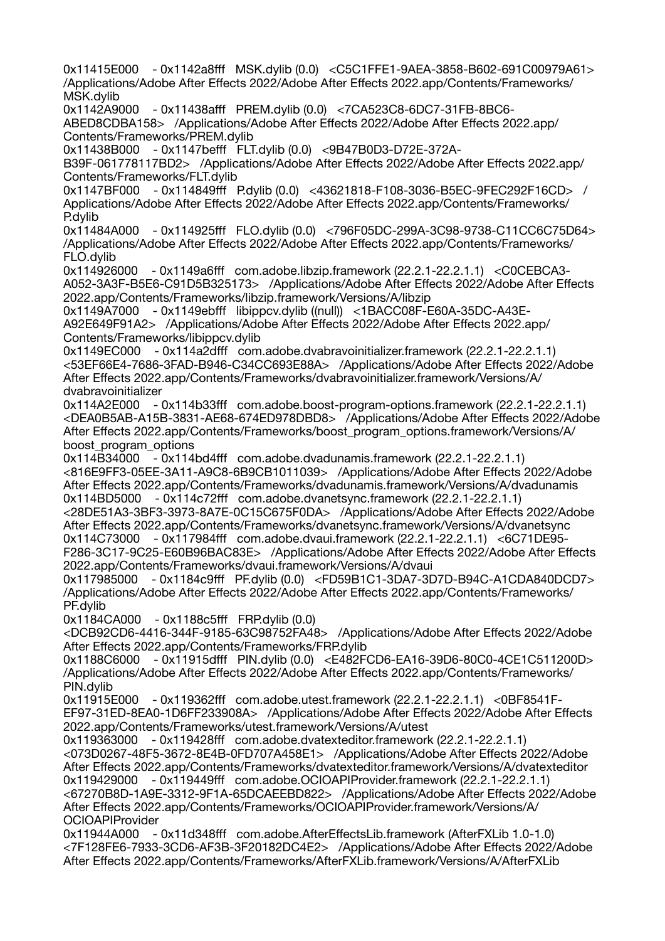0x11415E000 - 0x1142a8fff MSK.dylib (0.0) <C5C1FFE1-9AEA-3858-B602-691C00979A61> /Applications/Adobe After Effects 2022/Adobe After Effects 2022.app/Contents/Frameworks/ MSK.dylib 0x1142A9000 - 0x11438afff PREM.dylib (0.0) <7CA523C8-6DC7-31FB-8BC6- ABED8CDBA158> /Applications/Adobe After Effects 2022/Adobe After Effects 2022.app/ Contents/Frameworks/PREM.dylib 0x11438B000 - 0x1147befff FLT.dylib (0.0) <9B47B0D3-D72E-372A-B39F-061778117BD2> /Applications/Adobe After Effects 2022/Adobe After Effects 2022.app/ Contents/Frameworks/FLT.dylib 0x1147BF000 - 0x114849fff P.dylib (0.0) <43621818-F108-3036-B5EC-9FEC292F16CD> / Applications/Adobe After Effects 2022/Adobe After Effects 2022.app/Contents/Frameworks/ P.dylib 0x11484A000 - 0x114925fff FLO.dylib (0.0) <796F05DC-299A-3C98-9738-C11CC6C75D64> /Applications/Adobe After Effects 2022/Adobe After Effects 2022.app/Contents/Frameworks/ FLO.dylib 0x114926000 - 0x1149a6fff com.adobe.libzip.framework (22.2.1-22.2.1.1) <C0CEBCA3- A052-3A3F-B5E6-C91D5B325173> /Applications/Adobe After Effects 2022/Adobe After Effects 2022.app/Contents/Frameworks/libzip.framework/Versions/A/libzip 0x1149A7000 - 0x1149ebfff libippcv.dylib ((null)) <1BACC08F-E60A-35DC-A43E-A92E649F91A2> /Applications/Adobe After Effects 2022/Adobe After Effects 2022.app/ Contents/Frameworks/libippcv.dylib 0x1149EC000 - 0x114a2dfff com.adobe.dvabravoinitializer.framework (22.2.1-22.2.1.1) <53EF66E4-7686-3FAD-B946-C34CC693E88A> /Applications/Adobe After Effects 2022/Adobe After Effects 2022.app/Contents/Frameworks/dvabravoinitializer.framework/Versions/A/ dvabravoinitializer 0x114A2E000 - 0x114b33fff com.adobe.boost-program-options.framework (22.2.1-22.2.1.1) <DEA0B5AB-A15B-3831-AE68-674ED978DBD8> /Applications/Adobe After Effects 2022/Adobe After Effects 2022.app/Contents/Frameworks/boost\_program\_options.framework/Versions/A/ boost\_program\_options 0x114B34000 - 0x114bd4fff com.adobe.dvadunamis.framework (22.2.1-22.2.1.1) <816E9FF3-05EE-3A11-A9C8-6B9CB1011039> /Applications/Adobe After Effects 2022/Adobe After Effects 2022.app/Contents/Frameworks/dvadunamis.framework/Versions/A/dvadunamis 0x114BD5000 - 0x114c72fff com.adobe.dvanetsync.framework (22.2.1-22.2.1.1) <28DE51A3-3BF3-3973-8A7E-0C15C675F0DA> /Applications/Adobe After Effects 2022/Adobe After Effects 2022.app/Contents/Frameworks/dvanetsync.framework/Versions/A/dvanetsync 0x114C73000 - 0x117984fff com.adobe.dvaui.framework (22.2.1-22.2.1.1) <6C71DE95- F286-3C17-9C25-E60B96BAC83E> /Applications/Adobe After Effects 2022/Adobe After Effects 2022.app/Contents/Frameworks/dvaui.framework/Versions/A/dvaui 0x117985000 - 0x1184c9fff PF.dylib (0.0) <FD59B1C1-3DA7-3D7D-B94C-A1CDA840DCD7> /Applications/Adobe After Effects 2022/Adobe After Effects 2022.app/Contents/Frameworks/ PF.dylib 0x1184CA000 - 0x1188c5fff FRP.dylib (0.0) <DCB92CD6-4416-344F-9185-63C98752FA48> /Applications/Adobe After Effects 2022/Adobe After Effects 2022.app/Contents/Frameworks/FRP.dylib 0x1188C6000 - 0x11915dfff PIN.dylib (0.0) <E482FCD6-EA16-39D6-80C0-4CE1C511200D> /Applications/Adobe After Effects 2022/Adobe After Effects 2022.app/Contents/Frameworks/ PIN.dylib 0x11915E000 - 0x119362fff com.adobe.utest.framework (22.2.1-22.2.1.1) <0BF8541F-EF97-31ED-8EA0-1D6FF233908A> /Applications/Adobe After Effects 2022/Adobe After Effects 2022.app/Contents/Frameworks/utest.framework/Versions/A/utest 0x119363000 - 0x119428fff com.adobe.dvatexteditor.framework (22.2.1-22.2.1.1) <073D0267-48F5-3672-8E4B-0FD707A458E1> /Applications/Adobe After Effects 2022/Adobe After Effects 2022.app/Contents/Frameworks/dvatexteditor.framework/Versions/A/dvatexteditor 0x119429000 - 0x119449fff com.adobe.OCIOAPIProvider.framework (22.2.1-22.2.1.1) <67270B8D-1A9E-3312-9F1A-65DCAEEBD822> /Applications/Adobe After Effects 2022/Adobe After Effects 2022.app/Contents/Frameworks/OCIOAPIProvider.framework/Versions/A/ OCIOAPIProvider 0x11944A000 - 0x11d348fff com.adobe.AfterEffectsLib.framework (AfterFXLib 1.0-1.0) <7F128FE6-7933-3CD6-AF3B-3F20182DC4E2> /Applications/Adobe After Effects 2022/Adobe After Effects 2022.app/Contents/Frameworks/AfterFXLib.framework/Versions/A/AfterFXLib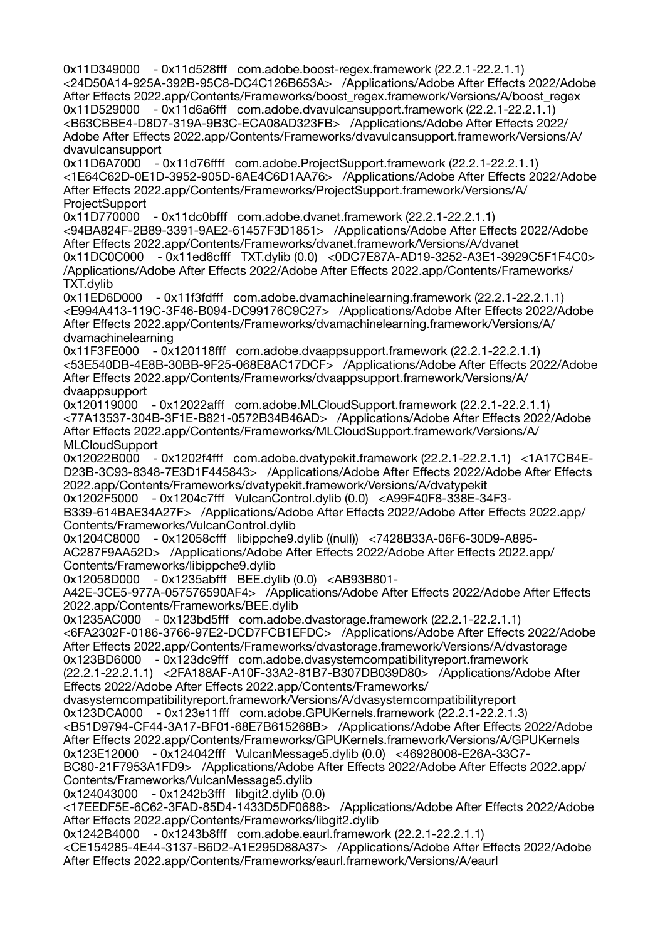0x11D349000 - 0x11d528fff com.adobe.boost-regex.framework (22.2.1-22.2.1.1) <24D50A14-925A-392B-95C8-DC4C126B653A> /Applications/Adobe After Effects 2022/Adobe After Effects 2022.app/Contents/Frameworks/boost\_regex.framework/Versions/A/boost\_regex 0x11D529000 - 0x11d6a6fff com.adobe.dvavulcansupport.framework (22.2.1-22.2.1.1) <B63CBBE4-D8D7-319A-9B3C-ECA08AD323FB> /Applications/Adobe After Effects 2022/ Adobe After Effects 2022.app/Contents/Frameworks/dvavulcansupport.framework/Versions/A/ dvavulcansupport 0x11D6A7000 - 0x11d76ffff com.adobe.ProjectSupport.framework (22.2.1-22.2.1.1) <1E64C62D-0E1D-3952-905D-6AE4C6D1AA76> /Applications/Adobe After Effects 2022/Adobe After Effects 2022.app/Contents/Frameworks/ProjectSupport.framework/Versions/A/ **ProjectSupport** 0x11D770000 - 0x11dc0bfff com.adobe.dvanet.framework (22.2.1-22.2.1.1) <94BA824F-2B89-3391-9AE2-61457F3D1851> /Applications/Adobe After Effects 2022/Adobe After Effects 2022.app/Contents/Frameworks/dvanet.framework/Versions/A/dvanet 0x11DC0C000 - 0x11ed6cfff TXT.dylib (0.0) <0DC7E87A-AD19-3252-A3E1-3929C5F1F4C0> /Applications/Adobe After Effects 2022/Adobe After Effects 2022.app/Contents/Frameworks/ TXT.dylib 0x11ED6D000 - 0x11f3fdfff com.adobe.dvamachinelearning.framework (22.2.1-22.2.1.1) <E994A413-119C-3F46-B094-DC99176C9C27> /Applications/Adobe After Effects 2022/Adobe After Effects 2022.app/Contents/Frameworks/dvamachinelearning.framework/Versions/A/ dvamachinelearning 0x11F3FE000 - 0x120118fff com.adobe.dvaappsupport.framework (22.2.1-22.2.1.1) <53E540DB-4E8B-30BB-9F25-068E8AC17DCF> /Applications/Adobe After Effects 2022/Adobe After Effects 2022.app/Contents/Frameworks/dvaappsupport.framework/Versions/A/ dvaappsupport 0x120119000 - 0x12022afff com.adobe.MLCloudSupport.framework (22.2.1-22.2.1.1) <77A13537-304B-3F1E-B821-0572B34B46AD> /Applications/Adobe After Effects 2022/Adobe After Effects 2022.app/Contents/Frameworks/MLCloudSupport.framework/Versions/A/ MLCloudSupport<br>0x12022B000 -- 0x1202f4fff com.adobe.dvatypekit.framework (22.2.1-22.2.1.1) <1A17CB4E-D23B-3C93-8348-7E3D1F445843> /Applications/Adobe After Effects 2022/Adobe After Effects 2022.app/Contents/Frameworks/dvatypekit.framework/Versions/A/dvatypekit 0x1202F5000 - 0x1204c7fff VulcanControl.dylib (0.0) <A99F40F8-338E-34F3- B339-614BAE34A27F> /Applications/Adobe After Effects 2022/Adobe After Effects 2022.app/ Contents/Frameworks/VulcanControl.dylib 0x1204C8000 - 0x12058cfff libippche9.dylib ((null)) <7428B33A-06F6-30D9-A895- AC287F9AA52D> /Applications/Adobe After Effects 2022/Adobe After Effects 2022.app/ Contents/Frameworks/libippche9.dylib 0x12058D000 - 0x1235abfff BEE.dylib (0.0) <AB93B801- A42E-3CE5-977A-057576590AF4> /Applications/Adobe After Effects 2022/Adobe After Effects 2022.app/Contents/Frameworks/BEE.dylib 0x1235AC000 - 0x123bd5fff com.adobe.dvastorage.framework (22.2.1-22.2.1.1) <6FA2302F-0186-3766-97E2-DCD7FCB1EFDC> /Applications/Adobe After Effects 2022/Adobe After Effects 2022.app/Contents/Frameworks/dvastorage.framework/Versions/A/dvastorage 0x123BD6000 - 0x123dc9fff com.adobe.dvasystemcompatibilityreport.framework (22.2.1-22.2.1.1) <2FA188AF-A10F-33A2-81B7-B307DB039D80> /Applications/Adobe After Effects 2022/Adobe After Effects 2022.app/Contents/Frameworks/ dvasystemcompatibilityreport.framework/Versions/A/dvasystemcompatibilityreport 0x123DCA000 - 0x123e11fff com.adobe.GPUKernels.framework (22.2.1-22.2.1.3) <B51D9794-CF44-3A17-BF01-68E7B615268B> /Applications/Adobe After Effects 2022/Adobe After Effects 2022.app/Contents/Frameworks/GPUKernels.framework/Versions/A/GPUKernels 0x123E12000 - 0x124042fff VulcanMessage5.dylib (0.0) <46928008-E26A-33C7- BC80-21F7953A1FD9> /Applications/Adobe After Effects 2022/Adobe After Effects 2022.app/ Contents/Frameworks/VulcanMessage5.dylib 0x124043000 - 0x1242b3fff libgit2.dylib (0.0) <17EEDF5E-6C62-3FAD-85D4-1433D5DF0688> /Applications/Adobe After Effects 2022/Adobe After Effects 2022.app/Contents/Frameworks/libgit2.dylib 0x1242B4000 - 0x1243b8fff com.adobe.eaurl.framework (22.2.1-22.2.1.1) <CE154285-4E44-3137-B6D2-A1E295D88A37> /Applications/Adobe After Effects 2022/Adobe After Effects 2022.app/Contents/Frameworks/eaurl.framework/Versions/A/eaurl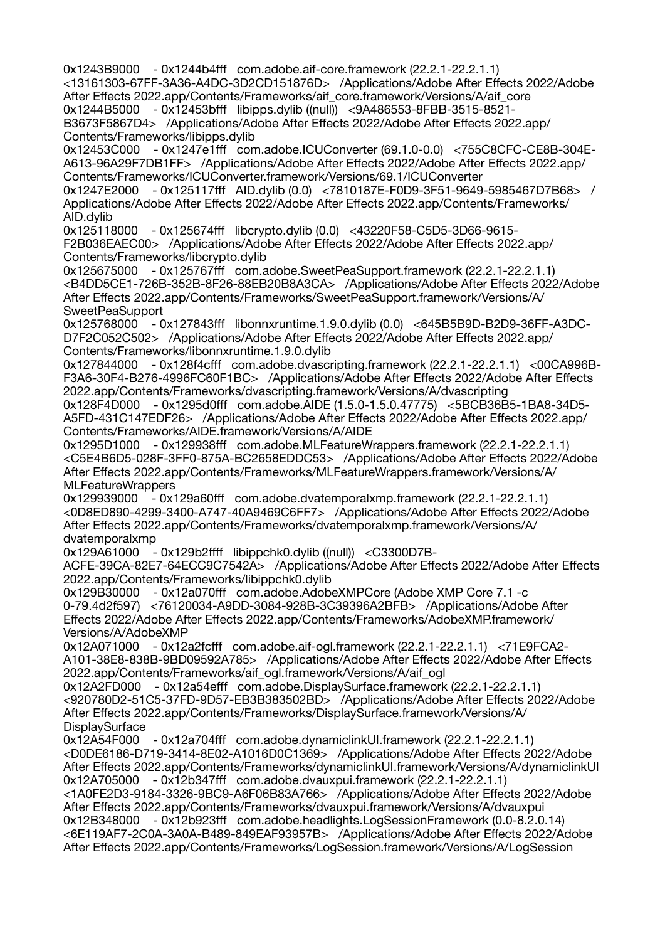0x1243B9000 - 0x1244b4fff com.adobe.aif-core.framework (22.2.1-22.2.1.1) <13161303-67FF-3A36-A4DC-3D2CD151876D> /Applications/Adobe After Effects 2022/Adobe After Effects 2022.app/Contents/Frameworks/aif\_core.framework/Versions/A/aif\_core 0x1244B5000 - 0x12453bfff libipps.dylib ((null)) <9A486553-8FBB-3515-8521- B3673F5867D4> /Applications/Adobe After Effects 2022/Adobe After Effects 2022.app/ Contents/Frameworks/libipps.dylib 0x12453C000 - 0x1247e1fff com.adobe.ICUConverter (69.1.0-0.0) <755C8CFC-CE8B-304E-A613-96A29F7DB1FF> /Applications/Adobe After Effects 2022/Adobe After Effects 2022.app/ Contents/Frameworks/ICUConverter.framework/Versions/69.1/ICUConverter 0x1247E2000 - 0x125117fff AID.dylib (0.0) <7810187E-F0D9-3F51-9649-5985467D7B68> / Applications/Adobe After Effects 2022/Adobe After Effects 2022.app/Contents/Frameworks/ AID.dylib 0x125118000 - 0x125674fff libcrypto.dylib (0.0) <43220F58-C5D5-3D66-9615- F2B036EAEC00> /Applications/Adobe After Effects 2022/Adobe After Effects 2022.app/ Contents/Frameworks/libcrypto.dylib 0x125675000 - 0x125767fff com.adobe.SweetPeaSupport.framework (22.2.1-22.2.1.1) <B4DD5CE1-726B-352B-8F26-88EB20B8A3CA> /Applications/Adobe After Effects 2022/Adobe After Effects 2022.app/Contents/Frameworks/SweetPeaSupport.framework/Versions/A/ SweetPeaSupport 0x125768000 - 0x127843fff libonnxruntime.1.9.0.dylib (0.0) <645B5B9D-B2D9-36FF-A3DC-D7F2C052C502> /Applications/Adobe After Effects 2022/Adobe After Effects 2022.app/ Contents/Frameworks/libonnxruntime.1.9.0.dylib 0x127844000 - 0x128f4cfff com.adobe.dvascripting.framework (22.2.1-22.2.1.1) <00CA996B-F3A6-30F4-B276-4996FC60F1BC> /Applications/Adobe After Effects 2022/Adobe After Effects 2022.app/Contents/Frameworks/dvascripting.framework/Versions/A/dvascripting 0x128F4D000 - 0x1295d0fff com.adobe.AIDE (1.5.0-1.5.0.47775) <5BCB36B5-1BA8-34D5- A5FD-431C147EDF26> /Applications/Adobe After Effects 2022/Adobe After Effects 2022.app/ Contents/Frameworks/AIDE.framework/Versions/A/AIDE 0x1295D1000 - 0x129938fff com.adobe.MLFeatureWrappers.framework (22.2.1-22.2.1.1) <C5E4B6D5-028F-3FF0-875A-BC2658EDDC53> /Applications/Adobe After Effects 2022/Adobe After Effects 2022.app/Contents/Frameworks/MLFeatureWrappers.framework/Versions/A/ MLFeatureWrappers 0x129939000 - 0x129a60fff com.adobe.dvatemporalxmp.framework (22.2.1-22.2.1.1) <0D8ED890-4299-3400-A747-40A9469C6FF7> /Applications/Adobe After Effects 2022/Adobe After Effects 2022.app/Contents/Frameworks/dvatemporalxmp.framework/Versions/A/ dvatemporalxmp 0x129A61000 - 0x129b2ffff libippchk0.dylib ((null)) <C3300D7B-ACFE-39CA-82E7-64ECC9C7542A> /Applications/Adobe After Effects 2022/Adobe After Effects 2022.app/Contents/Frameworks/libippchk0.dylib 0x129B30000 - 0x12a070fff com.adobe.AdobeXMPCore (Adobe XMP Core 7.1 -c 0-79.4d2f597) <76120034-A9DD-3084-928B-3C39396A2BFB> /Applications/Adobe After Effects 2022/Adobe After Effects 2022.app/Contents/Frameworks/AdobeXMP.framework/ Versions/A/AdobeXMP 0x12A071000 - 0x12a2fcfff com.adobe.aif-ogl.framework (22.2.1-22.2.1.1) <71E9FCA2- A101-38E8-838B-9BD09592A785> /Applications/Adobe After Effects 2022/Adobe After Effects 2022.app/Contents/Frameworks/aif\_ogl.framework/Versions/A/aif\_ogl 0x12A2FD000 - 0x12a54efff com.adobe.DisplaySurface.framework (22.2.1-22.2.1.1) <920780D2-51C5-37FD-9D57-EB3B383502BD> /Applications/Adobe After Effects 2022/Adobe After Effects 2022.app/Contents/Frameworks/DisplaySurface.framework/Versions/A/ **DisplaySurface** 0x12A54F000 - 0x12a704fff com.adobe.dynamiclinkUI.framework (22.2.1-22.2.1.1) <D0DE6186-D719-3414-8E02-A1016D0C1369> /Applications/Adobe After Effects 2022/Adobe After Effects 2022.app/Contents/Frameworks/dynamiclinkUI.framework/Versions/A/dynamiclinkUI 0x12A705000 - 0x12b347fff com.adobe.dvauxpui.framework (22.2.1-22.2.1.1) <1A0FE2D3-9184-3326-9BC9-A6F06B83A766> /Applications/Adobe After Effects 2022/Adobe After Effects 2022.app/Contents/Frameworks/dvauxpui.framework/Versions/A/dvauxpui 0x12B348000 - 0x12b923fff com.adobe.headlights.LogSessionFramework (0.0-8.2.0.14) <6E119AF7-2C0A-3A0A-B489-849EAF93957B> /Applications/Adobe After Effects 2022/Adobe After Effects 2022.app/Contents/Frameworks/LogSession.framework/Versions/A/LogSession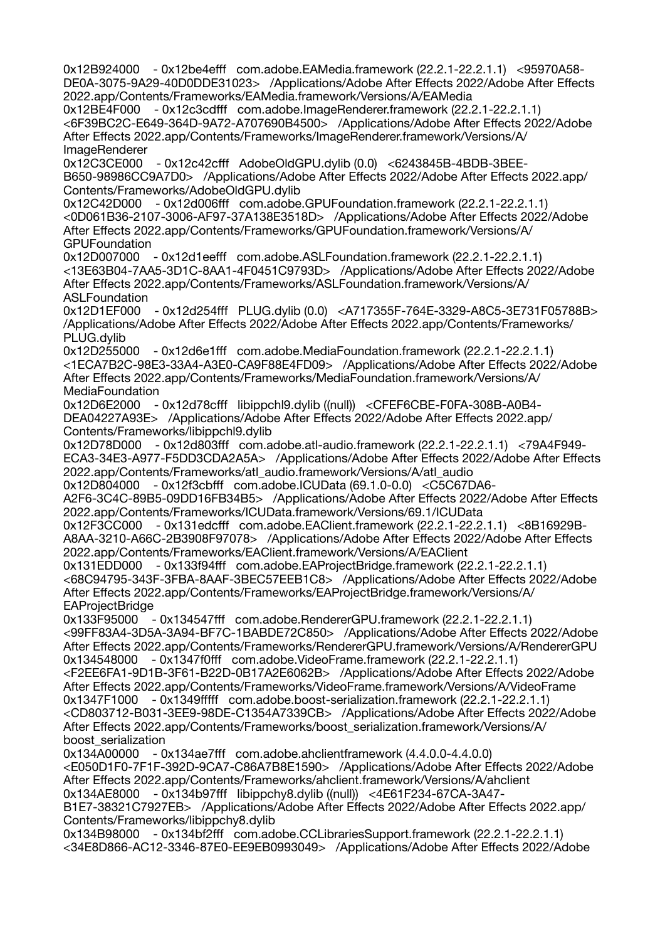0x12B924000 - 0x12be4efff com.adobe.EAMedia.framework (22.2.1-22.2.1.1) <95970A58- DE0A-3075-9A29-40D0DDE31023> /Applications/Adobe After Effects 2022/Adobe After Effects 2022.app/Contents/Frameworks/EAMedia.framework/Versions/A/EAMedia 0x12BE4F000 - 0x12c3cdfff com.adobe.ImageRenderer.framework (22.2.1-22.2.1.1) <6F39BC2C-E649-364D-9A72-A707690B4500> /Applications/Adobe After Effects 2022/Adobe After Effects 2022.app/Contents/Frameworks/ImageRenderer.framework/Versions/A/ ImageRenderer 0x12C3CE000 - 0x12c42cfff AdobeOldGPU.dylib (0.0) <6243845B-4BDB-3BEE-B650-98986CC9A7D0> /Applications/Adobe After Effects 2022/Adobe After Effects 2022.app/ Contents/Frameworks/AdobeOldGPU.dylib 0x12C42D000 - 0x12d006fff com.adobe.GPUFoundation.framework (22.2.1-22.2.1.1) <0D061B36-2107-3006-AF97-37A138E3518D> /Applications/Adobe After Effects 2022/Adobe After Effects 2022.app/Contents/Frameworks/GPUFoundation.framework/Versions/A/ **GPUFoundation** 0x12D007000 - 0x12d1eefff com.adobe.ASLFoundation.framework (22.2.1-22.2.1.1) <13E63B04-7AA5-3D1C-8AA1-4F0451C9793D> /Applications/Adobe After Effects 2022/Adobe After Effects 2022.app/Contents/Frameworks/ASLFoundation.framework/Versions/A/ ASLFoundation 0x12D1EF000 - 0x12d254fff PLUG.dylib (0.0) <A717355F-764E-3329-A8C5-3E731F05788B> /Applications/Adobe After Effects 2022/Adobe After Effects 2022.app/Contents/Frameworks/ PLUG.dylib 0x12D255000 - 0x12d6e1fff com.adobe.MediaFoundation.framework (22.2.1-22.2.1.1) <1ECA7B2C-98E3-33A4-A3E0-CA9F88E4FD09> /Applications/Adobe After Effects 2022/Adobe After Effects 2022.app/Contents/Frameworks/MediaFoundation.framework/Versions/A/ MediaFoundation 0x12D6E2000 - 0x12d78cfff libippchl9.dylib ((null)) <CFEF6CBE-F0FA-308B-A0B4- DEA04227A93E> /Applications/Adobe After Effects 2022/Adobe After Effects 2022.app/ Contents/Frameworks/libippchl9.dylib 0x12D78D000 - 0x12d803fff com.adobe.atl-audio.framework (22.2.1-22.2.1.1) <79A4F949- ECA3-34E3-A977-F5DD3CDA2A5A> /Applications/Adobe After Effects 2022/Adobe After Effects 2022.app/Contents/Frameworks/atl\_audio.framework/Versions/A/atl\_audio 0x12D804000 - 0x12f3cbfff com.adobe.ICUData (69.1.0-0.0) <C5C67DA6- A2F6-3C4C-89B5-09DD16FB34B5> /Applications/Adobe After Effects 2022/Adobe After Effects 2022.app/Contents/Frameworks/ICUData.framework/Versions/69.1/ICUData 0x12F3CC000 - 0x131edcfff com.adobe.EAClient.framework (22.2.1-22.2.1.1) <8B16929B-A8AA-3210-A66C-2B3908F97078> /Applications/Adobe After Effects 2022/Adobe After Effects 2022.app/Contents/Frameworks/EAClient.framework/Versions/A/EAClient 0x131EDD000 - 0x133f94fff com.adobe.EAProjectBridge.framework (22.2.1-22.2.1.1) <68C94795-343F-3FBA-8AAF-3BEC57EEB1C8> /Applications/Adobe After Effects 2022/Adobe After Effects 2022.app/Contents/Frameworks/EAProjectBridge.framework/Versions/A/ **EAProjectBridge** 0x133F95000 - 0x134547fff com.adobe.RendererGPU.framework (22.2.1-22.2.1.1) <99FF83A4-3D5A-3A94-BF7C-1BABDE72C850> /Applications/Adobe After Effects 2022/Adobe After Effects 2022.app/Contents/Frameworks/RendererGPU.framework/Versions/A/RendererGPU 0x134548000 - 0x1347f0fff com.adobe.VideoFrame.framework (22.2.1-22.2.1.1) <F2EE6FA1-9D1B-3F61-B22D-0B17A2E6062B> /Applications/Adobe After Effects 2022/Adobe After Effects 2022.app/Contents/Frameworks/VideoFrame.framework/Versions/A/VideoFrame 0x1347F1000 - 0x1349fffff com.adobe.boost-serialization.framework (22.2.1-22.2.1.1) <CD803712-B031-3EE9-98DE-C1354A7339CB> /Applications/Adobe After Effects 2022/Adobe After Effects 2022.app/Contents/Frameworks/boost\_serialization.framework/Versions/A/ boost\_serialization<br>0x134A00000 - 0 - 0x134ae7fff com.adobe.ahclientframework (4.4.0.0-4.4.0.0) <E050D1F0-7F1F-392D-9CA7-C86A7B8E1590> /Applications/Adobe After Effects 2022/Adobe After Effects 2022.app/Contents/Frameworks/ahclient.framework/Versions/A/ahclient 0x134AE8000 - 0x134b97fff libippchy8.dylib ((null)) <4E61F234-67CA-3A47- B1E7-38321C7927EB> /Applications/Adobe After Effects 2022/Adobe After Effects 2022.app/ Contents/Frameworks/libippchy8.dylib 0x134B98000 - 0x134bf2fff com.adobe.CCLibrariesSupport.framework (22.2.1-22.2.1.1) <34E8D866-AC12-3346-87E0-EE9EB0993049> /Applications/Adobe After Effects 2022/Adobe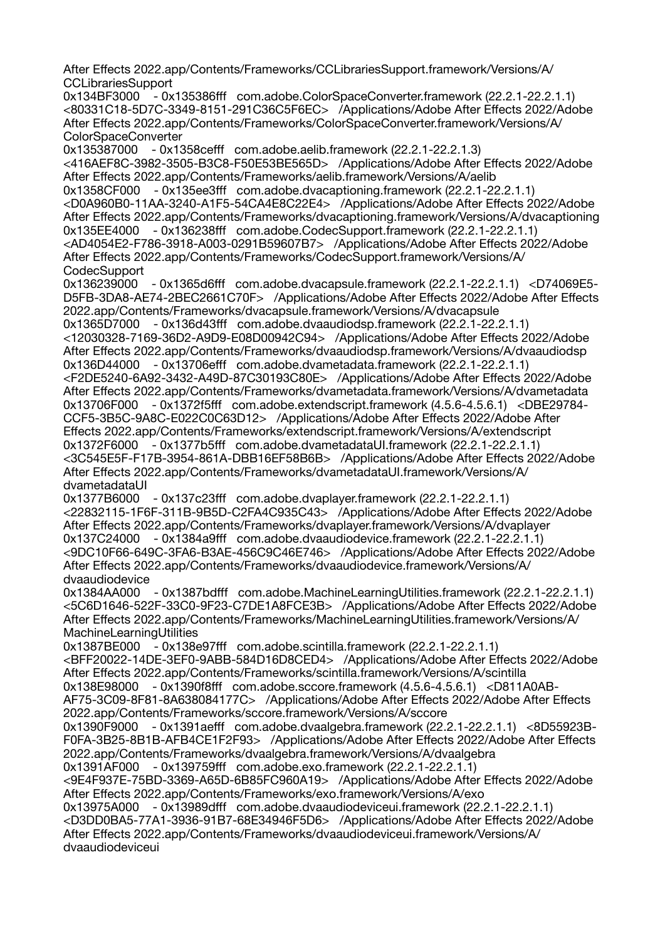After Effects 2022.app/Contents/Frameworks/CCLibrariesSupport.framework/Versions/A/ **CCLibrariesSupport** 

0x134BF3000 - 0x135386fff com.adobe.ColorSpaceConverter.framework (22.2.1-22.2.1.1) <80331C18-5D7C-3349-8151-291C36C5F6EC> /Applications/Adobe After Effects 2022/Adobe After Effects 2022.app/Contents/Frameworks/ColorSpaceConverter.framework/Versions/A/ ColorSpaceConverter

0x135387000 - 0x1358cefff com.adobe.aelib.framework (22.2.1-22.2.1.3) <416AEF8C-3982-3505-B3C8-F50E53BE565D> /Applications/Adobe After Effects 2022/Adobe After Effects 2022.app/Contents/Frameworks/aelib.framework/Versions/A/aelib 0x1358CF000 - 0x135ee3fff com.adobe.dvacaptioning.framework (22.2.1-22.2.1.1) <D0A960B0-11AA-3240-A1F5-54CA4E8C22E4> /Applications/Adobe After Effects 2022/Adobe After Effects 2022.app/Contents/Frameworks/dvacaptioning.framework/Versions/A/dvacaptioning 0x135EE4000 - 0x136238fff com.adobe.CodecSupport.framework (22.2.1-22.2.1.1) <AD4054E2-F786-3918-A003-0291B59607B7> /Applications/Adobe After Effects 2022/Adobe After Effects 2022.app/Contents/Frameworks/CodecSupport.framework/Versions/A/ CodecSupport

0x136239000 - 0x1365d6fff com.adobe.dvacapsule.framework (22.2.1-22.2.1.1) <D74069E5- D5FB-3DA8-AE74-2BEC2661C70F> /Applications/Adobe After Effects 2022/Adobe After Effects 2022.app/Contents/Frameworks/dvacapsule.framework/Versions/A/dvacapsule

0x1365D7000 - 0x136d43fff com.adobe.dvaaudiodsp.framework (22.2.1-22.2.1.1) <12030328-7169-36D2-A9D9-E08D00942C94> /Applications/Adobe After Effects 2022/Adobe After Effects 2022.app/Contents/Frameworks/dvaaudiodsp.framework/Versions/A/dvaaudiodsp 0x136D44000 - 0x13706efff com.adobe.dvametadata.framework (22.2.1-22.2.1.1) <F2DE5240-6A92-3432-A49D-87C30193C80E> /Applications/Adobe After Effects 2022/Adobe After Effects 2022.app/Contents/Frameworks/dvametadata.framework/Versions/A/dvametadata 0x13706F000 - 0x1372f5fff com.adobe.extendscript.framework (4.5.6-4.5.6.1) <DBE29784- CCF5-3B5C-9A8C-E022C0C63D12> /Applications/Adobe After Effects 2022/Adobe After Effects 2022.app/Contents/Frameworks/extendscript.framework/Versions/A/extendscript 0x1372F6000 - 0x1377b5fff com.adobe.dvametadataUI.framework (22.2.1-22.2.1.1) <3C545E5F-F17B-3954-861A-DBB16EF58B6B> /Applications/Adobe After Effects 2022/Adobe After Effects 2022.app/Contents/Frameworks/dvametadataUI.framework/Versions/A/ dvametadataUI

0x1377B6000 - 0x137c23fff com.adobe.dvaplayer.framework (22.2.1-22.2.1.1) <22832115-1F6F-311B-9B5D-C2FA4C935C43> /Applications/Adobe After Effects 2022/Adobe After Effects 2022.app/Contents/Frameworks/dvaplayer.framework/Versions/A/dvaplayer 0x137C24000 - 0x1384a9fff com.adobe.dvaaudiodevice.framework (22.2.1-22.2.1.1) <9DC10F66-649C-3FA6-B3AE-456C9C46E746> /Applications/Adobe After Effects 2022/Adobe After Effects 2022.app/Contents/Frameworks/dvaaudiodevice.framework/Versions/A/ dvaaudiodevice

0x1384AA000 - 0x1387bdfff com.adobe.MachineLearningUtilities.framework (22.2.1-22.2.1.1) <5C6D1646-522F-33C0-9F23-C7DE1A8FCE3B> /Applications/Adobe After Effects 2022/Adobe After Effects 2022.app/Contents/Frameworks/MachineLearningUtilities.framework/Versions/A/ MachineLearningUtilities

0x1387BE000 - 0x138e97fff com.adobe.scintilla.framework (22.2.1-22.2.1.1) <BFF20022-14DE-3EF0-9ABB-584D16D8CED4> /Applications/Adobe After Effects 2022/Adobe After Effects 2022.app/Contents/Frameworks/scintilla.framework/Versions/A/scintilla 0x138E98000 - 0x1390f8fff com.adobe.sccore.framework (4.5.6-4.5.6.1) <D811A0AB-AF75-3C09-8F81-8A638084177C> /Applications/Adobe After Effects 2022/Adobe After Effects 2022.app/Contents/Frameworks/sccore.framework/Versions/A/sccore

0x1390F9000 - 0x1391aefff com.adobe.dvaalgebra.framework (22.2.1-22.2.1.1) <8D55923B-F0FA-3B25-8B1B-AFB4CE1F2F93> /Applications/Adobe After Effects 2022/Adobe After Effects 2022.app/Contents/Frameworks/dvaalgebra.framework/Versions/A/dvaalgebra 0x1391AF000 - 0x139759fff com.adobe.exo.framework (22.2.1-22.2.1.1)

<9E4F937E-75BD-3369-A65D-6B85FC960A19> /Applications/Adobe After Effects 2022/Adobe After Effects 2022.app/Contents/Frameworks/exo.framework/Versions/A/exo

0x13975A000 - 0x13989dfff com.adobe.dvaaudiodeviceui.framework (22.2.1-22.2.1.1) <D3DD0BA5-77A1-3936-91B7-68E34946F5D6> /Applications/Adobe After Effects 2022/Adobe After Effects 2022.app/Contents/Frameworks/dvaaudiodeviceui.framework/Versions/A/ dvaaudiodeviceui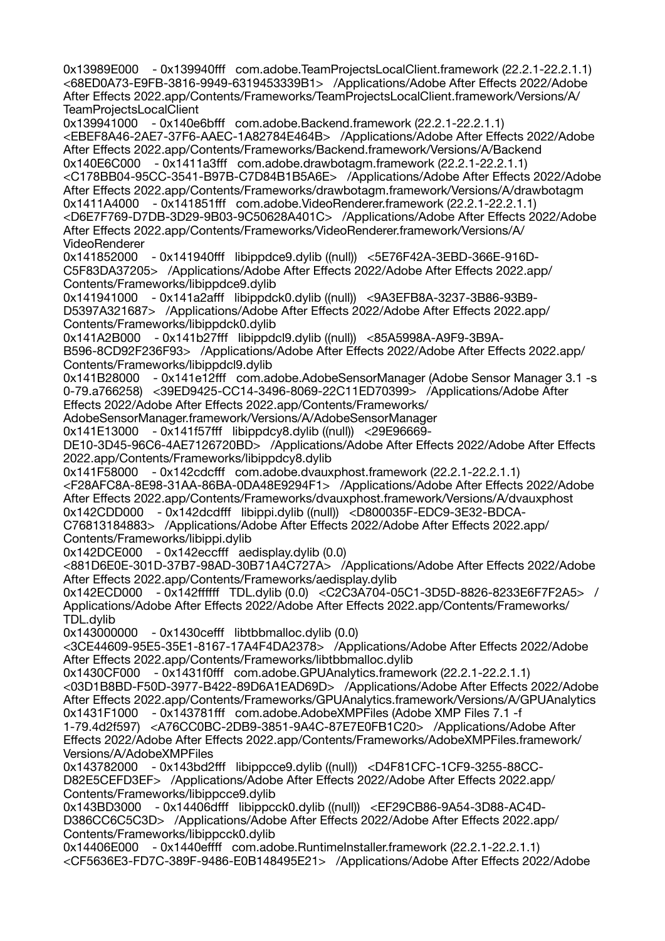0x13989E000 - 0x139940fff com.adobe.TeamProjectsLocalClient.framework (22.2.1-22.2.1.1) <68ED0A73-E9FB-3816-9949-6319453339B1> /Applications/Adobe After Effects 2022/Adobe After Effects 2022.app/Contents/Frameworks/TeamProjectsLocalClient.framework/Versions/A/ TeamProjectsLocalClient 0x139941000 - 0x140e6bfff com.adobe.Backend.framework (22.2.1-22.2.1.1) <EBEF8A46-2AE7-37F6-AAEC-1A82784E464B> /Applications/Adobe After Effects 2022/Adobe After Effects 2022.app/Contents/Frameworks/Backend.framework/Versions/A/Backend 0x140E6C000 - 0x1411a3fff com.adobe.drawbotagm.framework (22.2.1-22.2.1.1) <C178BB04-95CC-3541-B97B-C7D84B1B5A6E> /Applications/Adobe After Effects 2022/Adobe After Effects 2022.app/Contents/Frameworks/drawbotagm.framework/Versions/A/drawbotagm 0x1411A4000 - 0x141851fff com.adobe.VideoRenderer.framework (22.2.1-22.2.1.1) <D6E7F769-D7DB-3D29-9B03-9C50628A401C> /Applications/Adobe After Effects 2022/Adobe After Effects 2022.app/Contents/Frameworks/VideoRenderer.framework/Versions/A/ VideoRenderer 0x141852000 - 0x141940fff libippdce9.dylib ((null)) <5E76F42A-3EBD-366E-916D-C5F83DA37205> /Applications/Adobe After Effects 2022/Adobe After Effects 2022.app/ Contents/Frameworks/libippdce9.dylib 0x141941000 - 0x141a2afff libippdck0.dylib ((null)) <9A3EFB8A-3237-3B86-93B9- D5397A321687> /Applications/Adobe After Effects 2022/Adobe After Effects 2022.app/ Contents/Frameworks/libippdck0.dylib 0x141A2B000 - 0x141b27fff libippdcl9.dylib ((null)) <85A5998A-A9F9-3B9A-B596-8CD92F236F93> /Applications/Adobe After Effects 2022/Adobe After Effects 2022.app/ Contents/Frameworks/libippdcl9.dylib 0x141B28000 - 0x141e12fff com.adobe.AdobeSensorManager (Adobe Sensor Manager 3.1 -s 0-79.a766258) <39ED9425-CC14-3496-8069-22C11ED70399> /Applications/Adobe After Effects 2022/Adobe After Effects 2022.app/Contents/Frameworks/ AdobeSensorManager.framework/Versions/A/AdobeSensorManager 0x141E13000 - 0x141f57fff libippdcy8.dylib ((null)) <29E96669- DE10-3D45-96C6-4AE7126720BD> /Applications/Adobe After Effects 2022/Adobe After Effects 2022.app/Contents/Frameworks/libippdcy8.dylib 0x141F58000 - 0x142cdcfff com.adobe.dvauxphost.framework (22.2.1-22.2.1.1) <F28AFC8A-8E98-31AA-86BA-0DA48E9294F1> /Applications/Adobe After Effects 2022/Adobe After Effects 2022.app/Contents/Frameworks/dvauxphost.framework/Versions/A/dvauxphost 0x142CDD000 - 0x142dcdfff libippi.dylib ((null)) <D800035F-EDC9-3E32-BDCA-C76813184883> /Applications/Adobe After Effects 2022/Adobe After Effects 2022.app/ Contents/Frameworks/libippi.dylib 0x142DCE000 - 0x142eccfff aedisplay.dylib (0.0) <881D6E0E-301D-37B7-98AD-30B71A4C727A> /Applications/Adobe After Effects 2022/Adobe After Effects 2022.app/Contents/Frameworks/aedisplay.dylib 0x142ECD000 - 0x142ffffff TDL.dylib (0.0) <C2C3A704-05C1-3D5D-8826-8233E6F7F2A5> / Applications/Adobe After Effects 2022/Adobe After Effects 2022.app/Contents/Frameworks/ TDL.dylib 0x143000000 - 0x1430cefff libtbbmalloc.dylib (0.0) <3CE44609-95E5-35E1-8167-17A4F4DA2378> /Applications/Adobe After Effects 2022/Adobe After Effects 2022.app/Contents/Frameworks/libtbbmalloc.dylib 0x1430CF000 - 0x1431f0fff com.adobe.GPUAnalytics.framework (22.2.1-22.2.1.1) <03D1B8BD-F50D-3977-B422-89D6A1EAD69D> /Applications/Adobe After Effects 2022/Adobe After Effects 2022.app/Contents/Frameworks/GPUAnalytics.framework/Versions/A/GPUAnalytics 0x1431F1000 - 0x143781fff com.adobe.AdobeXMPFiles (Adobe XMP Files 7.1 -f 1-79.4d2f597) <A76CC0BC-2DB9-3851-9A4C-87E7E0FB1C20> /Applications/Adobe After Effects 2022/Adobe After Effects 2022.app/Contents/Frameworks/AdobeXMPFiles.framework/ Versions/A/AdobeXMPFiles<br>0x143782000 - 0x143bd2 0x143782000 - 0x143bd2fff libippcce9.dylib ((null)) <D4F81CFC-1CF9-3255-88CC-D82E5CEFD3EF> /Applications/Adobe After Effects 2022/Adobe After Effects 2022.app/ Contents/Frameworks/libippcce9.dylib 0x143BD3000 - 0x14406dfff libippcck0.dylib ((null)) <EF29CB86-9A54-3D88-AC4D-D386CC6C5C3D> /Applications/Adobe After Effects 2022/Adobe After Effects 2022.app/ Contents/Frameworks/libippcck0.dylib 0x14406E000 - 0x1440effff com.adobe.RuntimeInstaller.framework (22.2.1-22.2.1.1)

<CF5636E3-FD7C-389F-9486-E0B148495E21> /Applications/Adobe After Effects 2022/Adobe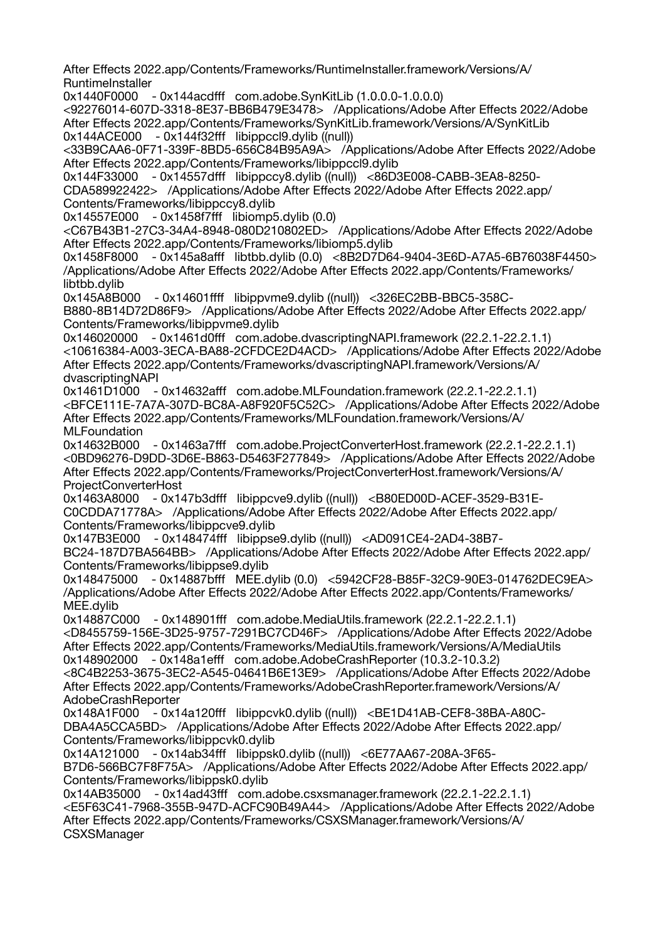After Effects 2022.app/Contents/Frameworks/RuntimeInstaller.framework/Versions/A/ **RuntimeInstaller** 

0x1440F0000 - 0x144acdfff com.adobe.SynKitLib (1.0.0.0-1.0.0.0)

<92276014-607D-3318-8E37-BB6B479E3478> /Applications/Adobe After Effects 2022/Adobe After Effects 2022.app/Contents/Frameworks/SynKitLib.framework/Versions/A/SynKitLib 0x144ACE000 - 0x144f32fff libippccl9.dylib ((null))

<33B9CAA6-0F71-339F-8BD5-656C84B95A9A> /Applications/Adobe After Effects 2022/Adobe After Effects 2022.app/Contents/Frameworks/libippccl9.dylib

0x144F33000 - 0x14557dfff libippccy8.dylib ((null)) <86D3E008-CABB-3EA8-8250- CDA589922422> /Applications/Adobe After Effects 2022/Adobe After Effects 2022.app/ Contents/Frameworks/libippccy8.dylib

0x14557E000 - 0x1458f7fff libiomp5.dylib (0.0)

<C67B43B1-27C3-34A4-8948-080D210802ED> /Applications/Adobe After Effects 2022/Adobe After Effects 2022.app/Contents/Frameworks/libiomp5.dylib

0x1458F8000 - 0x145a8afff libtbb.dylib (0.0) <8B2D7D64-9404-3E6D-A7A5-6B76038F4450> /Applications/Adobe After Effects 2022/Adobe After Effects 2022.app/Contents/Frameworks/ libtbb.dylib

0x145A8B000 - 0x14601ffff libippvme9.dylib ((null)) <326EC2BB-BBC5-358C-B880-8B14D72D86F9> /Applications/Adobe After Effects 2022/Adobe After Effects 2022.app/ Contents/Frameworks/libippvme9.dylib

0x146020000 - 0x1461d0fff com.adobe.dvascriptingNAPI.framework (22.2.1-22.2.1.1) <10616384-A003-3ECA-BA88-2CFDCE2D4ACD> /Applications/Adobe After Effects 2022/Adobe After Effects 2022.app/Contents/Frameworks/dvascriptingNAPI.framework/Versions/A/ dvascriptingNAPI

0x1461D1000 - 0x14632afff com.adobe.MLFoundation.framework (22.2.1-22.2.1.1) <BFCE111E-7A7A-307D-BC8A-A8F920F5C52C> /Applications/Adobe After Effects 2022/Adobe After Effects 2022.app/Contents/Frameworks/MLFoundation.framework/Versions/A/ **MLFoundation** 

0x14632B000 - 0x1463a7fff com.adobe.ProjectConverterHost.framework (22.2.1-22.2.1.1) <0BD96276-D9DD-3D6E-B863-D5463F277849> /Applications/Adobe After Effects 2022/Adobe After Effects 2022.app/Contents/Frameworks/ProjectConverterHost.framework/Versions/A/ ProjectConverterHost

0x1463A8000 - 0x147b3dfff libippcve9.dylib ((null)) <B80ED00D-ACEF-3529-B31E-C0CDDA71778A> /Applications/Adobe After Effects 2022/Adobe After Effects 2022.app/ Contents/Frameworks/libippcve9.dylib

0x147B3E000 - 0x148474fff libippse9.dylib ((null)) <AD091CE4-2AD4-38B7- BC24-187D7BA564BB> /Applications/Adobe After Effects 2022/Adobe After Effects 2022.app/ Contents/Frameworks/libippse9.dylib

0x148475000 - 0x14887bfff MEE.dylib (0.0) <5942CF28-B85F-32C9-90E3-014762DEC9EA> /Applications/Adobe After Effects 2022/Adobe After Effects 2022.app/Contents/Frameworks/ MEE.dylib

0x14887C000 - 0x148901fff com.adobe.MediaUtils.framework (22.2.1-22.2.1.1)

<D8455759-156E-3D25-9757-7291BC7CD46F> /Applications/Adobe After Effects 2022/Adobe After Effects 2022.app/Contents/Frameworks/MediaUtils.framework/Versions/A/MediaUtils 0x148902000 - 0x148a1efff com.adobe.AdobeCrashReporter (10.3.2-10.3.2)

<8C4B2253-3675-3EC2-A545-04641B6E13E9> /Applications/Adobe After Effects 2022/Adobe After Effects 2022.app/Contents/Frameworks/AdobeCrashReporter.framework/Versions/A/ AdobeCrashReporter

0x148A1F000 - 0x14a120fff libippcvk0.dylib ((null)) <BE1D41AB-CEF8-38BA-A80C-DBA4A5CCA5BD> /Applications/Adobe After Effects 2022/Adobe After Effects 2022.app/ Contents/Frameworks/libippcvk0.dylib

0x14A121000 - 0x14ab34fff libippsk0.dylib ((null)) <6E77AA67-208A-3F65-

B7D6-566BC7F8F75A> /Applications/Adobe After Effects 2022/Adobe After Effects 2022.app/ Contents/Frameworks/libippsk0.dylib

0x14AB35000 - 0x14ad43fff com.adobe.csxsmanager.framework (22.2.1-22.2.1.1) <E5F63C41-7968-355B-947D-ACFC90B49A44> /Applications/Adobe After Effects 2022/Adobe After Effects 2022.app/Contents/Frameworks/CSXSManager.framework/Versions/A/ **CSXSManager**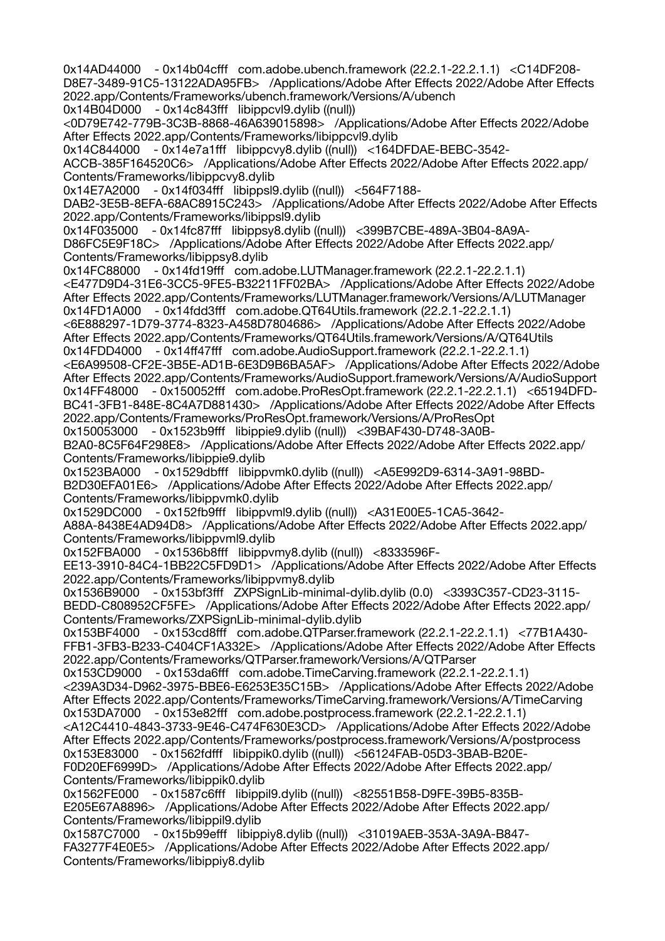0x14AD44000 - 0x14b04cfff com.adobe.ubench.framework (22.2.1-22.2.1.1) <C14DF208- D8E7-3489-91C5-13122ADA95FB> /Applications/Adobe After Effects 2022/Adobe After Effects 2022.app/Contents/Frameworks/ubench.framework/Versions/A/ubench 0x14B04D000 - 0x14c843fff libippcvl9.dylib ((null))

<0D79E742-779B-3C3B-8868-46A639015898> /Applications/Adobe After Effects 2022/Adobe After Effects 2022.app/Contents/Frameworks/libippcvl9.dylib

0x14C844000 - 0x14e7a1fff libippcvy8.dylib ((null)) <164DFDAE-BEBC-3542-

ACCB-385F164520C6> /Applications/Adobe After Effects 2022/Adobe After Effects 2022.app/ Contents/Frameworks/libippcvy8.dylib

0x14E7A2000 - 0x14f034fff libippsl9.dylib ((null)) <564F7188-

DAB2-3E5B-8EFA-68AC8915C243> /Applications/Adobe After Effects 2022/Adobe After Effects 2022.app/Contents/Frameworks/libippsl9.dylib

0x14F035000 - 0x14fc87fff libippsy8.dylib ((null)) <399B7CBE-489A-3B04-8A9A-D86FC5E9F18C> /Applications/Adobe After Effects 2022/Adobe After Effects 2022.app/ Contents/Frameworks/libippsy8.dylib

0x14FC88000 - 0x14fd19fff com.adobe.LUTManager.framework (22.2.1-22.2.1.1)

<E477D9D4-31E6-3CC5-9FE5-B32211FF02BA> /Applications/Adobe After Effects 2022/Adobe After Effects 2022.app/Contents/Frameworks/LUTManager.framework/Versions/A/LUTManager 0x14FD1A000 - 0x14fdd3fff com.adobe.QT64Utils.framework (22.2.1-22.2.1.1)

<6E888297-1D79-3774-8323-A458D7804686> /Applications/Adobe After Effects 2022/Adobe After Effects 2022.app/Contents/Frameworks/QT64Utils.framework/Versions/A/QT64Utils 0x14FDD4000 - 0x14ff47fff com.adobe.AudioSupport.framework (22.2.1-22.2.1.1)

<E6A99508-CF2E-3B5E-AD1B-6E3D9B6BA5AF> /Applications/Adobe After Effects 2022/Adobe After Effects 2022.app/Contents/Frameworks/AudioSupport.framework/Versions/A/AudioSupport 0x14FF48000 - 0x150052fff com.adobe.ProResOpt.framework (22.2.1-22.2.1.1) <65194DFD-BC41-3FB1-848E-8C4A7D881430> /Applications/Adobe After Effects 2022/Adobe After Effects 2022.app/Contents/Frameworks/ProResOpt.framework/Versions/A/ProResOpt

0x150053000 - 0x1523b9fff libippie9.dylib ((null)) <39BAF430-D748-3A0B-B2A0-8C5F64F298E8> /Applications/Adobe After Effects 2022/Adobe After Effects 2022.app/ Contents/Frameworks/libippie9.dylib

0x1523BA000 - 0x1529dbfff libippvmk0.dylib ((null)) <A5E992D9-6314-3A91-98BD-B2D30EFA01E6> /Applications/Adobe After Effects 2022/Adobe After Effects 2022.app/ Contents/Frameworks/libippvmk0.dylib

0x1529DC000 - 0x152fb9fff libippvml9.dylib ((null)) <A31E00E5-1CA5-3642-

A88A-8438E4AD94D8> /Applications/Adobe After Effects 2022/Adobe After Effects 2022.app/ Contents/Frameworks/libippvml9.dylib

0x152FBA000 - 0x1536b8fff libippvmy8.dylib ((null)) <8333596F-

EE13-3910-84C4-1BB22C5FD9D1> /Applications/Adobe After Effects 2022/Adobe After Effects 2022.app/Contents/Frameworks/libippvmy8.dylib

0x1536B9000 - 0x153bf3fff ZXPSignLib-minimal-dylib.dylib (0.0) <3393C357-CD23-3115- BEDD-C808952CF5FE> /Applications/Adobe After Effects 2022/Adobe After Effects 2022.app/ Contents/Frameworks/ZXPSignLib-minimal-dylib.dylib

0x153BF4000 - 0x153cd8fff com.adobe.QTParser.framework (22.2.1-22.2.1.1) <77B1A430- FFB1-3FB3-B233-C404CF1A332E> /Applications/Adobe After Effects 2022/Adobe After Effects 2022.app/Contents/Frameworks/QTParser.framework/Versions/A/QTParser

0x153CD9000 - 0x153da6fff com.adobe.TimeCarving.framework (22.2.1-22.2.1.1) <239A3D34-D962-3975-BBE6-E6253E35C15B> /Applications/Adobe After Effects 2022/Adobe After Effects 2022.app/Contents/Frameworks/TimeCarving.framework/Versions/A/TimeCarving 0x153DA7000 - 0x153e82fff com.adobe.postprocess.framework (22.2.1-22.2.1.1)

<A12C4410-4843-3733-9E46-C474F630E3CD> /Applications/Adobe After Effects 2022/Adobe After Effects 2022.app/Contents/Frameworks/postprocess.framework/Versions/A/postprocess 0x153E83000 - 0x1562fdfff libippik0.dylib ((null)) <56124FAB-05D3-3BAB-B20E-F0D20EF6999D> /Applications/Adobe After Effects 2022/Adobe After Effects 2022.app/

Contents/Frameworks/libippik0.dylib 0x1562FE000 - 0x1587c6fff libippil9.dylib ((null)) <82551B58-D9FE-39B5-835B-E205E67A8896> /Applications/Adobe After Effects 2022/Adobe After Effects 2022.app/

Contents/Frameworks/libippil9.dylib 0x1587C7000 - 0x15b99efff libippiy8.dylib ((null)) <31019AEB-353A-3A9A-B847- FA3277F4E0E5> /Applications/Adobe After Effects 2022/Adobe After Effects 2022.app/ Contents/Frameworks/libippiy8.dylib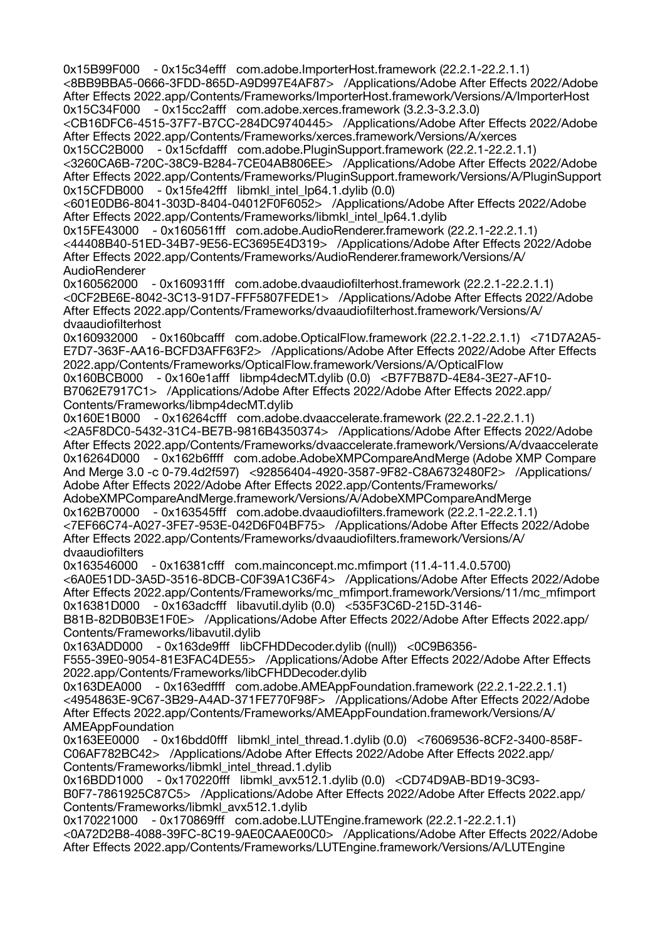0x15B99F000 - 0x15c34efff com.adobe.ImporterHost.framework (22.2.1-22.2.1.1) <8BB9BBA5-0666-3FDD-865D-A9D997E4AF87> /Applications/Adobe After Effects 2022/Adobe After Effects 2022.app/Contents/Frameworks/ImporterHost.framework/Versions/A/ImporterHost 0x15C34F000 - 0x15cc2afff com.adobe.xerces.framework (3.2.3-3.2.3.0) <CB16DFC6-4515-37F7-B7CC-284DC9740445> /Applications/Adobe After Effects 2022/Adobe After Effects 2022.app/Contents/Frameworks/xerces.framework/Versions/A/xerces 0x15CC2B000 - 0x15cfdafff com.adobe.PluginSupport.framework (22.2.1-22.2.1.1) <3260CA6B-720C-38C9-B284-7CE04AB806EE> /Applications/Adobe After Effects 2022/Adobe After Effects 2022.app/Contents/Frameworks/PluginSupport.framework/Versions/A/PluginSupport 0x15CFDB000 - 0x15fe42fff libmkl\_intel\_lp64.1.dylib (0.0) <601E0DB6-8041-303D-8404-04012F0F6052> /Applications/Adobe After Effects 2022/Adobe After Effects 2022.app/Contents/Frameworks/libmkl\_intel\_lp64.1.dylib 0x15FE43000 - 0x160561fff com.adobe.AudioRenderer.framework (22.2.1-22.2.1.1) <44408B40-51ED-34B7-9E56-EC3695E4D319> /Applications/Adobe After Effects 2022/Adobe After Effects 2022.app/Contents/Frameworks/AudioRenderer.framework/Versions/A/ AudioRenderer 0x160562000 - 0x160931fff com.adobe.dvaaudiofilterhost.framework (22.2.1-22.2.1.1) <0CF2BE6E-8042-3C13-91D7-FFF5807FEDE1> /Applications/Adobe After Effects 2022/Adobe After Effects 2022.app/Contents/Frameworks/dvaaudiofilterhost.framework/Versions/A/ dvaaudiofilterhost 0x160932000 - 0x160bcafff com.adobe.OpticalFlow.framework (22.2.1-22.2.1.1) <71D7A2A5- E7D7-363F-AA16-BCFD3AFF63F2> /Applications/Adobe After Effects 2022/Adobe After Effects 2022.app/Contents/Frameworks/OpticalFlow.framework/Versions/A/OpticalFlow 0x160BCB000 - 0x160e1afff libmp4decMT.dylib (0.0) <B7F7B87D-4E84-3E27-AF10- B7062E7917C1> /Applications/Adobe After Effects 2022/Adobe After Effects 2022.app/ Contents/Frameworks/libmp4decMT.dylib 0x160E1B000 - 0x16264cfff com.adobe.dvaaccelerate.framework (22.2.1-22.2.1.1) <2A5F8DC0-5432-31C4-BE7B-9816B4350374> /Applications/Adobe After Effects 2022/Adobe After Effects 2022.app/Contents/Frameworks/dvaaccelerate.framework/Versions/A/dvaaccelerate - 0x162b6ffff com.adobe.AdobeXMPCompareAndMerge (Adobe XMP Compare And Merge 3.0 -c 0-79.4d2f597) <92856404-4920-3587-9F82-C8A6732480F2> /Applications/ Adobe After Effects 2022/Adobe After Effects 2022.app/Contents/Frameworks/ AdobeXMPCompareAndMerge.framework/Versions/A/AdobeXMPCompareAndMerge 0x162B70000 - 0x163545fff com.adobe.dvaaudiofilters.framework (22.2.1-22.2.1.1) <7EF66C74-A027-3FE7-953E-042D6F04BF75> /Applications/Adobe After Effects 2022/Adobe After Effects 2022.app/Contents/Frameworks/dvaaudiofilters.framework/Versions/A/ dvaaudiofilters 0x163546000 - 0x16381cfff com.mainconcept.mc.mfimport (11.4-11.4.0.5700) <6A0E51DD-3A5D-3516-8DCB-C0F39A1C36F4> /Applications/Adobe After Effects 2022/Adobe After Effects 2022.app/Contents/Frameworks/mc\_mfimport.framework/Versions/11/mc\_mfimport 0x16381D000 - 0x163adcfff libavutil.dylib (0.0) <535F3C6D-215D-3146- B81B-82DB0B3E1F0E> /Applications/Adobe After Effects 2022/Adobe After Effects 2022.app/ Contents/Frameworks/libavutil.dylib 0x163ADD000 - 0x163de9fff libCFHDDecoder.dylib ((null)) <0C9B6356- F555-39E0-9054-81E3FAC4DE55> /Applications/Adobe After Effects 2022/Adobe After Effects 2022.app/Contents/Frameworks/libCFHDDecoder.dylib 0x163DEA000 - 0x163edffff com.adobe.AMEAppFoundation.framework (22.2.1-22.2.1.1) <4954863E-9C67-3B29-A4AD-371FE770F98F> /Applications/Adobe After Effects 2022/Adobe After Effects 2022.app/Contents/Frameworks/AMEAppFoundation.framework/Versions/A/ AMEAppFoundation 0x163EE0000 - 0x16bdd0fff libmkl\_intel\_thread.1.dylib (0.0) <76069536-8CF2-3400-858F-C06AF782BC42> /Applications/Adobe After Effects 2022/Adobe After Effects 2022.app/ Contents/Frameworks/libmkl\_intel\_thread.1.dylib 0x16BDD1000 - 0x170220fff libmkl\_avx512.1.dylib (0.0) <CD74D9AB-BD19-3C93- B0F7-7861925C87C5> /Applications/Adobe After Effects 2022/Adobe After Effects 2022.app/ Contents/Frameworks/libmkl\_avx512.1.dylib 0x170221000 - 0x170869fff com.adobe.LUTEngine.framework (22.2.1-22.2.1.1) <0A72D2B8-4088-39FC-8C19-9AE0CAAE00C0> /Applications/Adobe After Effects 2022/Adobe After Effects 2022.app/Contents/Frameworks/LUTEngine.framework/Versions/A/LUTEngine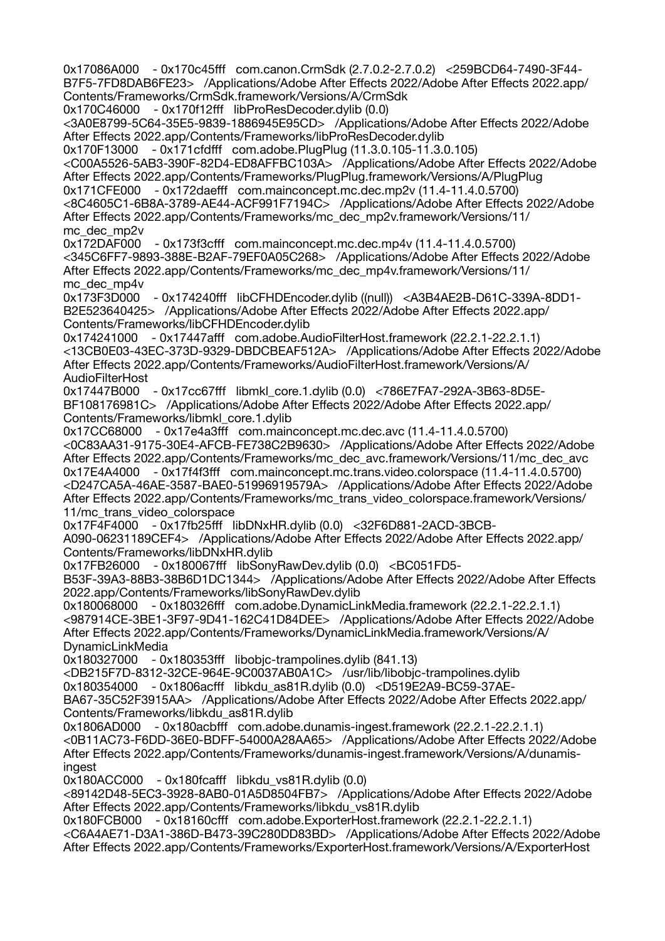0x17086A000 - 0x170c45fff com.canon.CrmSdk (2.7.0.2-2.7.0.2) <259BCD64-7490-3F44- B7F5-7FD8DAB6FE23> /Applications/Adobe After Effects 2022/Adobe After Effects 2022.app/ Contents/Frameworks/CrmSdk.framework/Versions/A/CrmSdk 0x170C46000 - 0x170f12fff libProResDecoder.dylib (0.0) <3A0E8799-5C64-35E5-9839-1886945E95CD> /Applications/Adobe After Effects 2022/Adobe After Effects 2022.app/Contents/Frameworks/libProResDecoder.dylib 0x170F13000 - 0x171cfdfff com.adobe.PlugPlug (11.3.0.105-11.3.0.105) <C00A5526-5AB3-390F-82D4-ED8AFFBC103A> /Applications/Adobe After Effects 2022/Adobe After Effects 2022.app/Contents/Frameworks/PlugPlug.framework/Versions/A/PlugPlug 0x171CFE000 - 0x172daefff com.mainconcept.mc.dec.mp2v (11.4-11.4.0.5700) <8C4605C1-6B8A-3789-AE44-ACF991F7194C> /Applications/Adobe After Effects 2022/Adobe After Effects 2022.app/Contents/Frameworks/mc\_dec\_mp2v.framework/Versions/11/ mc\_dec\_mp2v 0x172DAF000 - 0x173f3cfff com.mainconcept.mc.dec.mp4v (11.4-11.4.0.5700) <345C6FF7-9893-388E-B2AF-79EF0A05C268> /Applications/Adobe After Effects 2022/Adobe After Effects 2022.app/Contents/Frameworks/mc\_dec\_mp4v.framework/Versions/11/ mc\_dec\_mp4v 0x173F3D000 - 0x174240fff libCFHDEncoder.dylib ((null)) <A3B4AE2B-D61C-339A-8DD1- B2E523640425> /Applications/Adobe After Effects 2022/Adobe After Effects 2022.app/ Contents/Frameworks/libCFHDEncoder.dylib 0x174241000 - 0x17447afff com.adobe.AudioFilterHost.framework (22.2.1-22.2.1.1) <13CB0E03-43EC-373D-9329-DBDCBEAF512A> /Applications/Adobe After Effects 2022/Adobe After Effects 2022.app/Contents/Frameworks/AudioFilterHost.framework/Versions/A/ AudioFilterHost 0x17447B000 - 0x17cc67fff libmkl\_core.1.dylib (0.0) <786E7FA7-292A-3B63-8D5E-BF108176981C> /Applications/Adobe After Effects 2022/Adobe After Effects 2022.app/ Contents/Frameworks/libmkl\_core.1.dylib 0x17CC68000 - 0x17e4a3fff com.mainconcept.mc.dec.avc (11.4-11.4.0.5700) <0C83AA31-9175-30E4-AFCB-FE738C2B9630> /Applications/Adobe After Effects 2022/Adobe After Effects 2022.app/Contents/Frameworks/mc\_dec\_avc.framework/Versions/11/mc\_dec\_avc 0x17E4A4000 - 0x17f4f3fff com.mainconcept.mc.trans.video.colorspace (11.4-11.4.0.5700) <D247CA5A-46AE-3587-BAE0-51996919579A> /Applications/Adobe After Effects 2022/Adobe After Effects 2022.app/Contents/Frameworks/mc\_trans\_video\_colorspace.framework/Versions/ 11/mc\_trans\_video\_colorspace 0x17F4F4000 - 0x17fb25fff libDNxHR.dylib (0.0) <32F6D881-2ACD-3BCB-A090-06231189CEF4> /Applications/Adobe After Effects 2022/Adobe After Effects 2022.app/ Contents/Frameworks/libDNxHR.dylib 0x17FB26000 - 0x180067fff libSonyRawDev.dylib (0.0) <BC051FD5- B53F-39A3-88B3-38B6D1DC1344> /Applications/Adobe After Effects 2022/Adobe After Effects 2022.app/Contents/Frameworks/libSonyRawDev.dylib 0x180068000 - 0x180326fff com.adobe.DynamicLinkMedia.framework (22.2.1-22.2.1.1) <987914CE-3BE1-3F97-9D41-162C41D84DEE> /Applications/Adobe After Effects 2022/Adobe After Effects 2022.app/Contents/Frameworks/DynamicLinkMedia.framework/Versions/A/ DynamicLinkMedia 0x180327000 - 0x180353fff libobjc-trampolines.dylib (841.13) <DB215F7D-8312-32CE-964E-9C0037AB0A1C> /usr/lib/libobjc-trampolines.dylib 0x180354000 - 0x1806acfff libkdu\_as81R.dylib (0.0) <D519E2A9-BC59-37AE-BA67-35C52F3915AA> /Applications/Adobe After Effects 2022/Adobe After Effects 2022.app/ Contents/Frameworks/libkdu\_as81R.dylib 0x1806AD000 - 0x180acbfff com.adobe.dunamis-ingest.framework (22.2.1-22.2.1.1) <0B11AC73-F6DD-36E0-BDFF-54000A28AA65> /Applications/Adobe After Effects 2022/Adobe After Effects 2022.app/Contents/Frameworks/dunamis-ingest.framework/Versions/A/dunamisingest 0x180ACC000 - 0x180fcafff libkdu vs81R.dylib (0.0) <89142D48-5EC3-3928-8AB0-01A5D8504FB7> /Applications/Adobe After Effects 2022/Adobe After Effects 2022.app/Contents/Frameworks/libkdu\_vs81R.dylib 0x180FCB000 - 0x18160cfff com.adobe.ExporterHost.framework (22.2.1-22.2.1.1) <C6A4AE71-D3A1-386D-B473-39C280DD83BD> /Applications/Adobe After Effects 2022/Adobe After Effects 2022.app/Contents/Frameworks/ExporterHost.framework/Versions/A/ExporterHost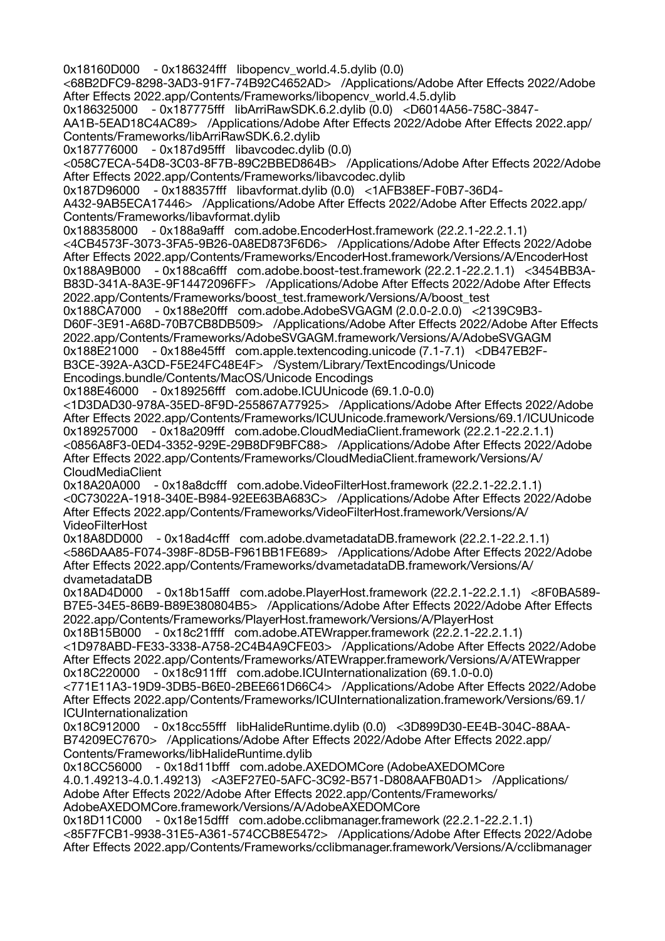0x18160D000 - 0x186324fff libopencv\_world.4.5.dylib (0.0) <68B2DFC9-8298-3AD3-91F7-74B92C4652AD> /Applications/Adobe After Effects 2022/Adobe After Effects 2022.app/Contents/Frameworks/libopencv\_world.4.5.dylib 0x186325000 - 0x187775fff libArriRawSDK.6.2.dylib (0.0) <D6014A56-758C-3847- AA1B-5EAD18C4AC89> /Applications/Adobe After Effects 2022/Adobe After Effects 2022.app/ Contents/Frameworks/libArriRawSDK.6.2.dylib 0x187776000 - 0x187d95fff libavcodec.dylib (0.0) <058C7ECA-54D8-3C03-8F7B-89C2BBED864B> /Applications/Adobe After Effects 2022/Adobe After Effects 2022.app/Contents/Frameworks/libavcodec.dylib 0x187D96000 - 0x188357fff libavformat.dylib (0.0) <1AFB38EF-F0B7-36D4- A432-9AB5ECA17446> /Applications/Adobe After Effects 2022/Adobe After Effects 2022.app/ Contents/Frameworks/libavformat.dylib 0x188358000 - 0x188a9afff com.adobe.EncoderHost.framework (22.2.1-22.2.1.1) <4CB4573F-3073-3FA5-9B26-0A8ED873F6D6> /Applications/Adobe After Effects 2022/Adobe After Effects 2022.app/Contents/Frameworks/EncoderHost.framework/Versions/A/EncoderHost 0x188A9B000 - 0x188ca6fff com.adobe.boost-test.framework (22.2.1-22.2.1.1) <3454BB3A-B83D-341A-8A3E-9F14472096FF> /Applications/Adobe After Effects 2022/Adobe After Effects 2022.app/Contents/Frameworks/boost\_test.framework/Versions/A/boost\_test 0x188CA7000 - 0x188e20fff com.adobe.AdobeSVGAGM (2.0.0-2.0.0) <2139C9B3- D60F-3E91-A68D-70B7CB8DB509> /Applications/Adobe After Effects 2022/Adobe After Effects 2022.app/Contents/Frameworks/AdobeSVGAGM.framework/Versions/A/AdobeSVGAGM 0x188E21000 - 0x188e45fff com.apple.textencoding.unicode (7.1-7.1) <DB47EB2F-B3CE-392A-A3CD-F5E24FC48E4F> /System/Library/TextEncodings/Unicode Encodings.bundle/Contents/MacOS/Unicode Encodings 0x188E46000 - 0x189256fff com.adobe.ICUUnicode (69.1.0-0.0) <1D3DAD30-978A-35ED-8F9D-255867A77925> /Applications/Adobe After Effects 2022/Adobe After Effects 2022.app/Contents/Frameworks/ICUUnicode.framework/Versions/69.1/ICUUnicode 0x189257000 - 0x18a209fff com.adobe.CloudMediaClient.framework (22.2.1-22.2.1.1) <0856A8F3-0ED4-3352-929E-29B8DF9BFC88> /Applications/Adobe After Effects 2022/Adobe After Effects 2022.app/Contents/Frameworks/CloudMediaClient.framework/Versions/A/ CloudMediaClient<br>0x18A20A000 - 0 - 0x18a8dcfff com.adobe.VideoFilterHost.framework (22.2.1-22.2.1.1) <0C73022A-1918-340E-B984-92EE63BA683C> /Applications/Adobe After Effects 2022/Adobe After Effects 2022.app/Contents/Frameworks/VideoFilterHost.framework/Versions/A/ VideoFilterHost 0x18A8DD000 - 0x18ad4cfff com.adobe.dvametadataDB.framework (22.2.1-22.2.1.1) <586DAA85-F074-398F-8D5B-F961BB1FE689> /Applications/Adobe After Effects 2022/Adobe After Effects 2022.app/Contents/Frameworks/dvametadataDB.framework/Versions/A/ dvametadataDB 0x18AD4D000 - 0x18b15afff com.adobe.PlayerHost.framework (22.2.1-22.2.1.1) <8F0BA589- B7E5-34E5-86B9-B89E380804B5> /Applications/Adobe After Effects 2022/Adobe After Effects 2022.app/Contents/Frameworks/PlayerHost.framework/Versions/A/PlayerHost 0x18B15B000 - 0x18c21ffff com.adobe.ATEWrapper.framework (22.2.1-22.2.1.1) <1D978ABD-FE33-3338-A758-2C4B4A9CFE03> /Applications/Adobe After Effects 2022/Adobe After Effects 2022.app/Contents/Frameworks/ATEWrapper.framework/Versions/A/ATEWrapper 0x18C220000 - 0x18c911fff com.adobe.ICUInternationalization (69.1.0-0.0) <771E11A3-19D9-3DB5-B6E0-2BEE661D66C4> /Applications/Adobe After Effects 2022/Adobe After Effects 2022.app/Contents/Frameworks/ICUInternationalization.framework/Versions/69.1/ ICUInternationalization 0x18C912000 - 0x18cc55fff libHalideRuntime.dylib (0.0) <3D899D30-EE4B-304C-88AA-B74209EC7670> /Applications/Adobe After Effects 2022/Adobe After Effects 2022.app/ Contents/Frameworks/libHalideRuntime.dylib 0x18CC56000 - 0x18d11bfff com.adobe.AXEDOMCore (AdobeAXEDOMCore 4.0.1.49213-4.0.1.49213) <A3EF27E0-5AFC-3C92-B571-D808AAFB0AD1> /Applications/ Adobe After Effects 2022/Adobe After Effects 2022.app/Contents/Frameworks/ AdobeAXEDOMCore.framework/Versions/A/AdobeAXEDOMCore 0x18D11C000 - 0x18e15dfff com.adobe.cclibmanager.framework (22.2.1-22.2.1.1) <85F7FCB1-9938-31E5-A361-574CCB8E5472> /Applications/Adobe After Effects 2022/Adobe After Effects 2022.app/Contents/Frameworks/cclibmanager.framework/Versions/A/cclibmanager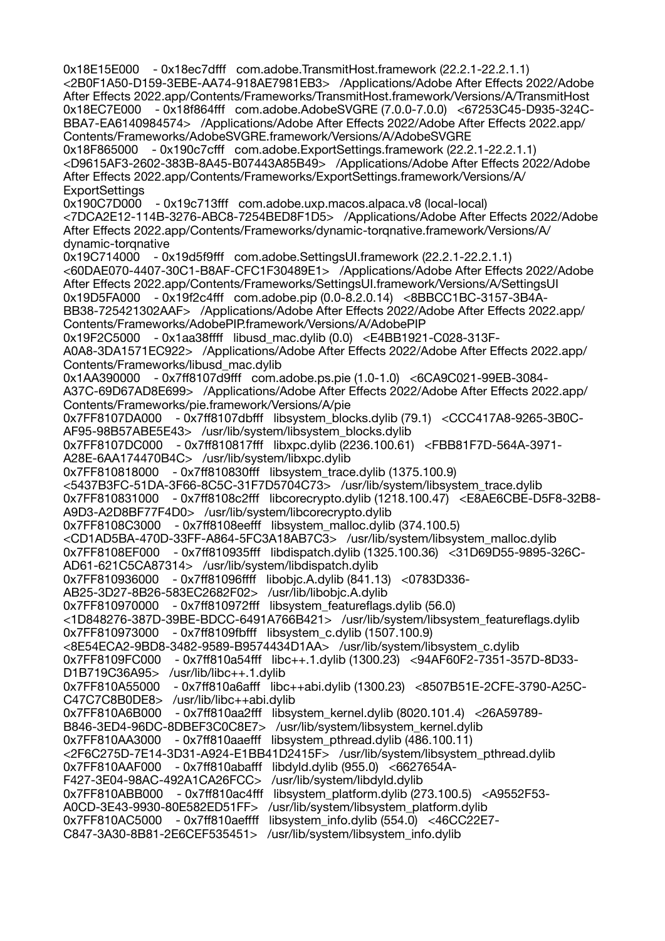0x18E15E000 - 0x18ec7dfff com.adobe.TransmitHost.framework (22.2.1-22.2.1.1) <2B0F1A50-D159-3EBE-AA74-918AE7981EB3> /Applications/Adobe After Effects 2022/Adobe After Effects 2022.app/Contents/Frameworks/TransmitHost.framework/Versions/A/TransmitHost 0x18EC7E000 - 0x18f864fff com.adobe.AdobeSVGRE (7.0.0-7.0.0) <67253C45-D935-324C-BBA7-EA6140984574> /Applications/Adobe After Effects 2022/Adobe After Effects 2022.app/ Contents/Frameworks/AdobeSVGRE.framework/Versions/A/AdobeSVGRE 0x18F865000 - 0x190c7cfff com.adobe.ExportSettings.framework (22.2.1-22.2.1.1) <D9615AF3-2602-383B-8A45-B07443A85B49> /Applications/Adobe After Effects 2022/Adobe After Effects 2022.app/Contents/Frameworks/ExportSettings.framework/Versions/A/ **ExportSettings** 0x190C7D000 - 0x19c713fff com.adobe.uxp.macos.alpaca.v8 (local-local) <7DCA2E12-114B-3276-ABC8-7254BED8F1D5> /Applications/Adobe After Effects 2022/Adobe After Effects 2022.app/Contents/Frameworks/dynamic-torqnative.framework/Versions/A/ dynamic-torqnative 0x19C714000 - 0x19d5f9fff com.adobe.SettingsUI.framework (22.2.1-22.2.1.1) <60DAE070-4407-30C1-B8AF-CFC1F30489E1> /Applications/Adobe After Effects 2022/Adobe After Effects 2022.app/Contents/Frameworks/SettingsUI.framework/Versions/A/SettingsUI 0x19D5FA000 - 0x19f2c4fff com.adobe.pip (0.0-8.2.0.14) <8BBCC1BC-3157-3B4A-BB38-725421302AAF> /Applications/Adobe After Effects 2022/Adobe After Effects 2022.app/ Contents/Frameworks/AdobePIP.framework/Versions/A/AdobePIP 0x19F2C5000 - 0x1aa38ffff libusd\_mac.dylib (0.0) <E4BB1921-C028-313F-A0A8-3DA1571EC922> /Applications/Adobe After Effects 2022/Adobe After Effects 2022.app/ Contents/Frameworks/libusd\_mac.dylib 0x1AA390000 - 0x7ff8107d9fff com.adobe.ps.pie (1.0-1.0) <6CA9C021-99EB-3084- A37C-69D67AD8E699> /Applications/Adobe After Effects 2022/Adobe After Effects 2022.app/ Contents/Frameworks/pie.framework/Versions/A/pie 0x7FF8107DA000 - 0x7ff8107dbfff libsystem\_blocks.dylib (79.1) <CCC417A8-9265-3B0C-AF95-98B57ABE5E43> /usr/lib/system/libsystem\_blocks.dylib 0x7FF8107DC000 - 0x7ff810817fff libxpc.dylib (2236.100.61) <FBB81F7D-564A-3971- A28E-6AA174470B4C> /usr/lib/system/libxpc.dylib 0x7FF810818000 - 0x7ff810830fff libsystem\_trace.dylib (1375.100.9) <5437B3FC-51DA-3F66-8C5C-31F7D5704C73> /usr/lib/system/libsystem\_trace.dylib 0x7FF810831000 - 0x7ff8108c2fff libcorecrypto.dylib (1218.100.47) <E8AE6CBE-D5F8-32B8- A9D3-A2D8BF77F4D0> /usr/lib/system/libcorecrypto.dylib 0x7FF8108C3000 - 0x7ff8108eefff libsystem\_malloc.dylib (374.100.5) <CD1AD5BA-470D-33FF-A864-5FC3A18AB7C3> /usr/lib/system/libsystem\_malloc.dylib 0x7FF8108EF000 - 0x7ff810935fff libdispatch.dylib (1325.100.36) <31D69D55-9895-326C-AD61-621C5CA87314> /usr/lib/system/libdispatch.dylib 0x7FF810936000 - 0x7ff81096ffff libobjc.A.dylib (841.13) <0783D336- AB25-3D27-8B26-583EC2682F02> /usr/lib/libobjc.A.dylib 0x7FF810970000 - 0x7ff810972fff libsystem\_featureflags.dylib (56.0) <1D848276-387D-39BE-BDCC-6491A766B421> /usr/lib/system/libsystem\_featureflags.dylib 0x7FF810973000 - 0x7ff8109fbfff libsystem\_c.dylib (1507.100.9) <8E54ECA2-9BD8-3482-9589-B9574434D1AA> /usr/lib/system/libsystem\_c.dylib 0x7FF8109FC000 - 0x7ff810a54fff libc++.1.dylib (1300.23) <94AF60F2-7351-357D-8D33- D1B719C36A95> /usr/lib/libc++.1.dylib 0x7FF810A55000 - 0x7ff810a6afff libc++abi.dylib (1300.23) <8507B51E-2CFE-3790-A25C-C47C7C8B0DE8> /usr/lib/libc++abi.dylib 0x7FF810A6B000 - 0x7ff810aa2fff libsystem\_kernel.dylib (8020.101.4) <26A59789- B846-3ED4-96DC-8DBEF3C0C8E7> /usr/lib/system/libsystem\_kernel.dylib 0x7FF810AA3000 - 0x7ff810aaefff libsystem\_pthread.dylib (486.100.11) <2F6C275D-7E14-3D31-A924-E1BB41D2415F> /usr/lib/system/libsystem\_pthread.dylib 0x7FF810AAF000 - 0x7ff810abafff libdyld.dylib (955.0) <6627654A-F427-3E04-98AC-492A1CA26FCC> /usr/lib/system/libdyld.dylib 0x7FF810ABB000 - 0x7ff810ac4fff libsystem\_platform.dylib (273.100.5) <A9552F53- A0CD-3E43-9930-80E582ED51FF> /usr/lib/system/libsystem\_platform.dylib  $0x7FF810AC5000 - 0x7ff810a$ effff libsystem info.dylib (554.0) <46CC22E7-C847-3A30-8B81-2E6CEF535451> /usr/lib/system/libsystem\_info.dylib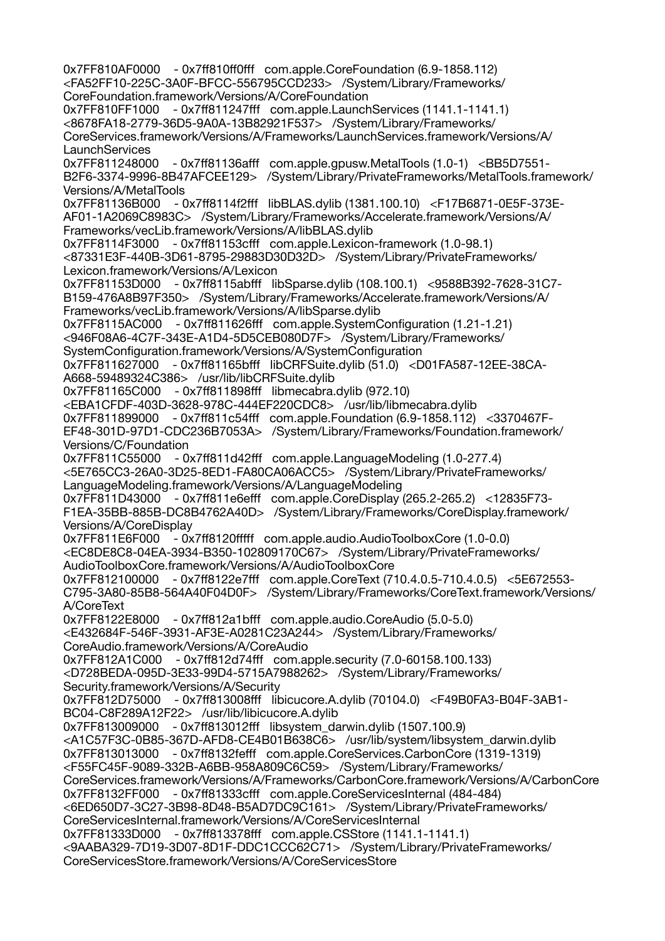0x7FF810AF0000 - 0x7ff810ff0fff com.apple.CoreFoundation (6.9-1858.112) <FA52FF10-225C-3A0F-BFCC-556795CCD233> /System/Library/Frameworks/ CoreFoundation.framework/Versions/A/CoreFoundation 0x7FF810FF1000 - 0x7ff811247fff com.apple.LaunchServices (1141.1-1141.1) <8678FA18-2779-36D5-9A0A-13B82921F537> /System/Library/Frameworks/ CoreServices.framework/Versions/A/Frameworks/LaunchServices.framework/Versions/A/ **LaunchServices** 0x7FF811248000 - 0x7ff81136afff com.apple.gpusw.MetalTools (1.0-1) <BB5D7551- B2F6-3374-9996-8B47AFCEE129> /System/Library/PrivateFrameworks/MetalTools.framework/ Versions/A/MetalTools 0x7FF81136B000 - 0x7ff8114f2fff libBLAS.dylib (1381.100.10) <F17B6871-0E5F-373E-AF01-1A2069C8983C> /System/Library/Frameworks/Accelerate.framework/Versions/A/ Frameworks/vecLib.framework/Versions/A/libBLAS.dylib 0x7FF8114F3000 - 0x7ff81153cfff com.apple.Lexicon-framework (1.0-98.1) <87331E3F-440B-3D61-8795-29883D30D32D> /System/Library/PrivateFrameworks/ Lexicon.framework/Versions/A/Lexicon 0x7FF81153D000 - 0x7ff8115abfff libSparse.dylib (108.100.1) <9588B392-7628-31C7- B159-476A8B97F350> /System/Library/Frameworks/Accelerate.framework/Versions/A/ Frameworks/vecLib.framework/Versions/A/libSparse.dylib 0x7FF8115AC000 - 0x7ff811626fff com.apple.SystemConfiguration (1.21-1.21) <946F08A6-4C7F-343E-A1D4-5D5CEB080D7F> /System/Library/Frameworks/ SystemConfiguration.framework/Versions/A/SystemConfiguration 0x7FF811627000 - 0x7ff81165bfff libCRFSuite.dylib (51.0) <D01FA587-12EE-38CA-A668-59489324C386> /usr/lib/libCRFSuite.dylib 0x7FF81165C000 - 0x7ff811898fff libmecabra.dylib (972.10) <EBA1CFDF-403D-3628-978C-444EF220CDC8> /usr/lib/libmecabra.dylib 0x7FF811899000 - 0x7ff811c54fff com.apple.Foundation (6.9-1858.112) <3370467F-EF48-301D-97D1-CDC236B7053A> /System/Library/Frameworks/Foundation.framework/ Versions/C/Foundation 0x7FF811C55000 - 0x7ff811d42fff com.apple.LanguageModeling (1.0-277.4) <5E765CC3-26A0-3D25-8ED1-FA80CA06ACC5> /System/Library/PrivateFrameworks/ LanguageModeling.framework/Versions/A/LanguageModeling 0x7FF811D43000 - 0x7ff811e6efff com.apple.CoreDisplay (265.2-265.2) <12835F73- F1EA-35BB-885B-DC8B4762A40D> /System/Library/Frameworks/CoreDisplay.framework/ Versions/A/CoreDisplay 0x7FF811E6F000 - 0x7ff8120fffff com.apple.audio.AudioToolboxCore (1.0-0.0) <EC8DE8C8-04EA-3934-B350-102809170C67> /System/Library/PrivateFrameworks/ AudioToolboxCore.framework/Versions/A/AudioToolboxCore 0x7FF812100000 - 0x7ff8122e7fff com.apple.CoreText (710.4.0.5-710.4.0.5) <5E672553- C795-3A80-85B8-564A40F04D0F> /System/Library/Frameworks/CoreText.framework/Versions/ A/CoreText 0x7FF8122E8000 - 0x7ff812a1bfff com.apple.audio.CoreAudio (5.0-5.0) <E432684F-546F-3931-AF3E-A0281C23A244> /System/Library/Frameworks/ CoreAudio.framework/Versions/A/CoreAudio 0x7FF812A1C000 - 0x7ff812d74fff com.apple.security (7.0-60158.100.133) <D728BEDA-095D-3E33-99D4-5715A7988262> /System/Library/Frameworks/ Security.framework/Versions/A/Security 0x7FF812D75000 - 0x7ff813008fff libicucore.A.dylib (70104.0) <F49B0FA3-B04F-3AB1- BC04-C8F289A12F22> /usr/lib/libicucore.A.dylib 0x7FF813009000 - 0x7ff813012fff libsystem\_darwin.dylib (1507.100.9) <A1C57F3C-0B85-367D-AFD8-CE4B01B638C6> /usr/lib/system/libsystem\_darwin.dylib 0x7FF813013000 - 0x7ff8132fefff com.apple.CoreServices.CarbonCore (1319-1319) <F55FC45F-9089-332B-A6BB-958A809C6C59> /System/Library/Frameworks/ CoreServices.framework/Versions/A/Frameworks/CarbonCore.framework/Versions/A/CarbonCore 0x7FF8132FF000 - 0x7ff81333cfff com.apple.CoreServicesInternal (484-484) <6ED650D7-3C27-3B98-8D48-B5AD7DC9C161> /System/Library/PrivateFrameworks/ CoreServicesInternal.framework/Versions/A/CoreServicesInternal 0x7FF81333D000 - 0x7ff813378fff com.apple.CSStore (1141.1-1141.1) <9AABA329-7D19-3D07-8D1F-DDC1CCC62C71> /System/Library/PrivateFrameworks/ CoreServicesStore.framework/Versions/A/CoreServicesStore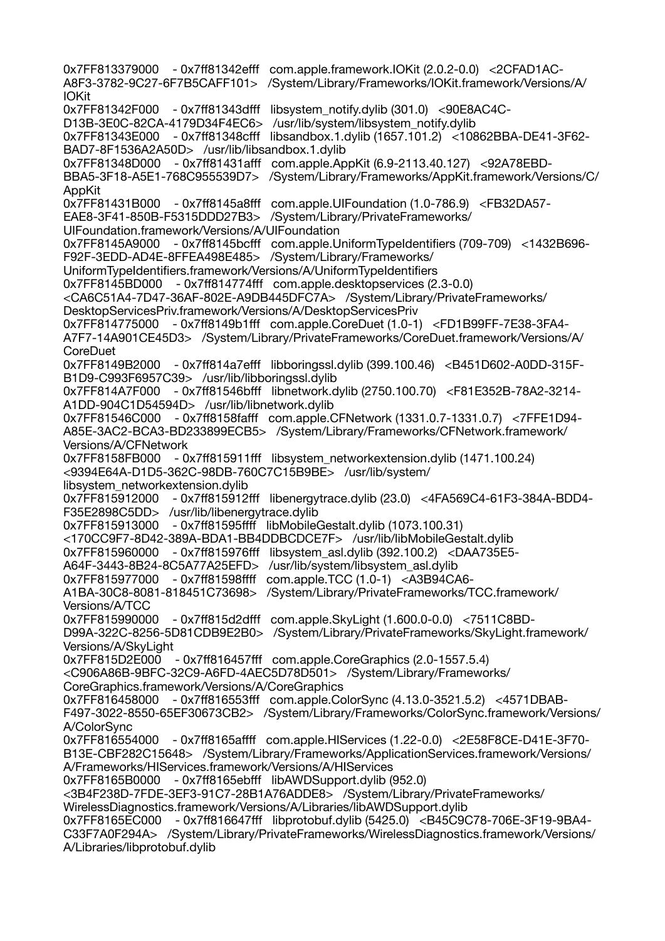0x7FF813379000 - 0x7ff81342efff com.apple.framework.IOKit (2.0.2-0.0) <2CFAD1AC-A8F3-3782-9C27-6F7B5CAFF101> /System/Library/Frameworks/IOKit.framework/Versions/A/ IOKit 0x7FF81342F000 - 0x7ff81343dfff libsystem\_notify.dylib (301.0) <90E8AC4C-D13B-3E0C-82CA-4179D34F4EC6> /usr/lib/system/libsystem\_notify.dylib 0x7FF81343E000 - 0x7ff81348cfff libsandbox.1.dylib (1657.101.2) <10862BBA-DE41-3F62- BAD7-8F1536A2A50D> /usr/lib/libsandbox.1.dylib 0x7FF81348D000 - 0x7ff81431afff com.apple.AppKit (6.9-2113.40.127) <92A78EBD-BBA5-3F18-A5E1-768C955539D7> /System/Library/Frameworks/AppKit.framework/Versions/C/ AppKit 0x7FF81431B000 - 0x7ff8145a8fff com.apple.UIFoundation (1.0-786.9) <FB32DA57- EAE8-3F41-850B-F5315DDD27B3> /System/Library/PrivateFrameworks/ UIFoundation.framework/Versions/A/UIFoundation 0x7FF8145A9000 - 0x7ff8145bcfff com.apple.UniformTypeIdentifiers (709-709) <1432B696- F92F-3EDD-AD4E-8FFEA498E485> /System/Library/Frameworks/ UniformTypeIdentifiers.framework/Versions/A/UniformTypeIdentifiers 0x7FF8145BD000 - 0x7ff814774fff com.apple.desktopservices (2.3-0.0) <CA6C51A4-7D47-36AF-802E-A9DB445DFC7A> /System/Library/PrivateFrameworks/ DesktopServicesPriv.framework/Versions/A/DesktopServicesPriv 0x7FF814775000 - 0x7ff8149b1fff com.apple.CoreDuet (1.0-1) <FD1B99FF-7E38-3FA4- A7F7-14A901CE45D3> /System/Library/PrivateFrameworks/CoreDuet.framework/Versions/A/ **CoreDuet** 0x7FF8149B2000 - 0x7ff814a7efff libboringssl.dylib (399.100.46) <B451D602-A0DD-315F-B1D9-C993F6957C39> /usr/lib/libboringssl.dylib 0x7FF814A7F000 - 0x7ff81546bfff libnetwork.dylib (2750.100.70) <F81E352B-78A2-3214- A1DD-904C1D54594D> /usr/lib/libnetwork.dylib 0x7FF81546C000 - 0x7ff8158fafff com.apple.CFNetwork (1331.0.7-1331.0.7) <7FFE1D94- A85E-3AC2-BCA3-BD233899ECB5> /System/Library/Frameworks/CFNetwork.framework/ Versions/A/CFNetwork 0x7FF8158FB000 - 0x7ff815911fff libsystem\_networkextension.dylib (1471.100.24) <9394E64A-D1D5-362C-98DB-760C7C15B9BE> /usr/lib/system/ libsystem\_networkextension.dylib 0x7FF815912000 - 0x7ff815912fff libenergytrace.dylib (23.0) <4FA569C4-61F3-384A-BDD4- F35E2898C5DD> /usr/lib/libenergytrace.dylib 0x7FF815913000 - 0x7ff81595ffff libMobileGestalt.dylib (1073.100.31) <170CC9F7-8D42-389A-BDA1-BB4DDBCDCE7F> /usr/lib/libMobileGestalt.dylib 0x7FF815960000 - 0x7ff815976fff libsystem\_asl.dylib (392.100.2) <DAA735E5- A64F-3443-8B24-8C5A77A25EFD> /usr/lib/system/libsystem\_asl.dylib 0x7FF815977000 - 0x7ff81598ffff com.apple.TCC (1.0-1) <A3B94CA6- A1BA-30C8-8081-818451C73698> /System/Library/PrivateFrameworks/TCC.framework/ Versions/A/TCC 0x7FF815990000 - 0x7ff815d2dfff com.apple.SkyLight (1.600.0-0.0) <7511C8BD-D99A-322C-8256-5D81CDB9E2B0> /System/Library/PrivateFrameworks/SkyLight.framework/ Versions/A/SkyLight 0x7FF815D2E000 - 0x7ff816457fff com.apple.CoreGraphics (2.0-1557.5.4) <C906A86B-9BFC-32C9-A6FD-4AEC5D78D501> /System/Library/Frameworks/ CoreGraphics.framework/Versions/A/CoreGraphics 0x7FF816458000 - 0x7ff816553fff com.apple.ColorSync (4.13.0-3521.5.2) <4571DBAB-F497-3022-8550-65EF30673CB2> /System/Library/Frameworks/ColorSync.framework/Versions/ A/ColorSync 0x7FF816554000 - 0x7ff8165affff com.apple.HIServices (1.22-0.0) <2E58F8CE-D41E-3F70- B13E-CBF282C15648> /System/Library/Frameworks/ApplicationServices.framework/Versions/ A/Frameworks/HIServices.framework/Versions/A/HIServices 0x7FF8165B0000 - 0x7ff8165ebfff libAWDSupport.dylib (952.0) <3B4F238D-7FDE-3EF3-91C7-28B1A76ADDE8> /System/Library/PrivateFrameworks/ WirelessDiagnostics.framework/Versions/A/Libraries/libAWDSupport.dylib 0x7FF8165EC000 - 0x7ff816647fff libprotobuf.dylib (5425.0) <B45C9C78-706E-3F19-9BA4- C33F7A0F294A> /System/Library/PrivateFrameworks/WirelessDiagnostics.framework/Versions/ A/Libraries/libprotobuf.dylib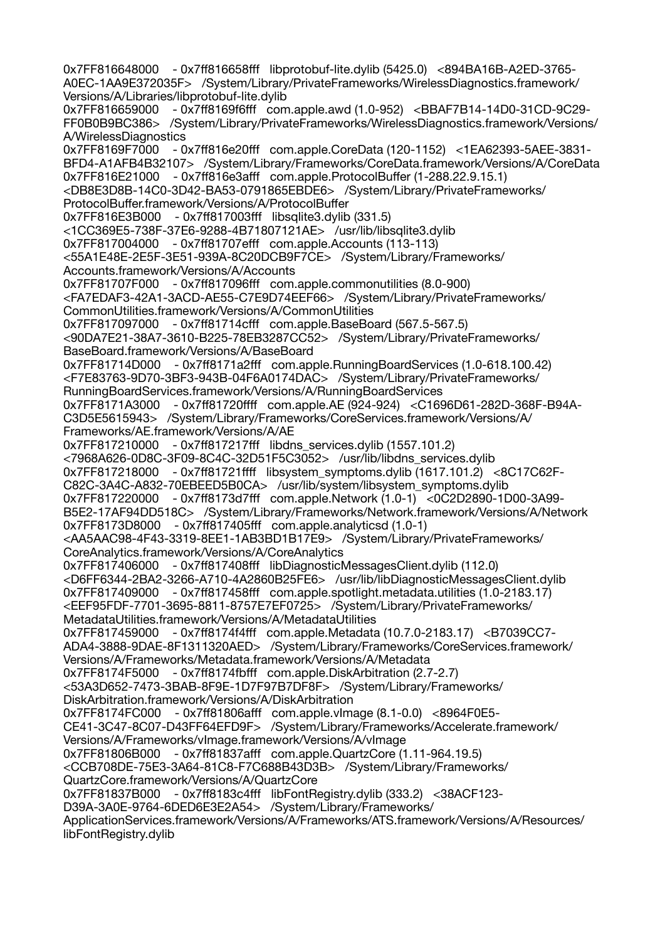0x7FF816648000 - 0x7ff816658fff libprotobuf-lite.dylib (5425.0) <894BA16B-A2ED-3765- A0EC-1AA9E372035F> /System/Library/PrivateFrameworks/WirelessDiagnostics.framework/ Versions/A/Libraries/libprotobuf-lite.dylib 0x7FF816659000 - 0x7ff8169f6fff com.apple.awd (1.0-952) <BBAF7B14-14D0-31CD-9C29- FF0B0B9BC386> /System/Library/PrivateFrameworks/WirelessDiagnostics.framework/Versions/ A/WirelessDiagnostics 0x7FF8169F7000 - 0x7ff816e20fff com.apple.CoreData (120-1152) <1EA62393-5AEE-3831- BFD4-A1AFB4B32107> /System/Library/Frameworks/CoreData.framework/Versions/A/CoreData 0x7FF816E21000 - 0x7ff816e3afff com.apple.ProtocolBuffer (1-288.22.9.15.1) <DB8E3D8B-14C0-3D42-BA53-0791865EBDE6> /System/Library/PrivateFrameworks/ ProtocolBuffer.framework/Versions/A/ProtocolBuffer 0x7FF816E3B000 - 0x7ff817003fff libsqlite3.dylib (331.5) <1CC369E5-738F-37E6-9288-4B71807121AE> /usr/lib/libsqlite3.dylib 0x7FF817004000 - 0x7ff81707efff com.apple.Accounts (113-113) <55A1E48E-2E5F-3E51-939A-8C20DCB9F7CE> /System/Library/Frameworks/ Accounts.framework/Versions/A/Accounts 0x7FF81707F000 - 0x7ff817096fff com.apple.commonutilities (8.0-900) <FA7EDAF3-42A1-3ACD-AE55-C7E9D74EEF66> /System/Library/PrivateFrameworks/ CommonUtilities.framework/Versions/A/CommonUtilities 0x7FF817097000 - 0x7ff81714cfff com.apple.BaseBoard (567.5-567.5) <90DA7E21-38A7-3610-B225-78EB3287CC52> /System/Library/PrivateFrameworks/ BaseBoard.framework/Versions/A/BaseBoard 0x7FF81714D000 - 0x7ff8171a2fff com.apple.RunningBoardServices (1.0-618.100.42) <F7E83763-9D70-3BF3-943B-04F6A0174DAC> /System/Library/PrivateFrameworks/ RunningBoardServices.framework/Versions/A/RunningBoardServices 0x7FF8171A3000 - 0x7ff81720ffff com.apple.AE (924-924) <C1696D61-282D-368F-B94A-C3D5E5615943> /System/Library/Frameworks/CoreServices.framework/Versions/A/ Frameworks/AE.framework/Versions/A/AE 0x7FF817210000 - 0x7ff817217fff libdns\_services.dylib (1557.101.2) <7968A626-0D8C-3F09-8C4C-32D51F5C3052> /usr/lib/libdns\_services.dylib 0x7FF817218000 - 0x7ff81721ffff libsystem\_symptoms.dylib (1617.101.2) <8C17C62F-C82C-3A4C-A832-70EBEED5B0CA> /usr/lib/system/libsystem\_symptoms.dylib 0x7FF817220000 - 0x7ff8173d7fff com.apple.Network (1.0-1) <0C2D2890-1D00-3A99- B5E2-17AF94DD518C> /System/Library/Frameworks/Network.framework/Versions/A/Network 0x7FF8173D8000 - 0x7ff817405fff com.apple.analyticsd (1.0-1) <AA5AAC98-4F43-3319-8EE1-1AB3BD1B17E9> /System/Library/PrivateFrameworks/ CoreAnalytics.framework/Versions/A/CoreAnalytics 0x7FF817406000 - 0x7ff817408fff libDiagnosticMessagesClient.dylib (112.0) <D6FF6344-2BA2-3266-A710-4A2860B25FE6> /usr/lib/libDiagnosticMessagesClient.dylib 0x7FF817409000 - 0x7ff817458fff com.apple.spotlight.metadata.utilities (1.0-2183.17) <EEF95FDF-7701-3695-8811-8757E7EF0725> /System/Library/PrivateFrameworks/ MetadataUtilities.framework/Versions/A/MetadataUtilities 0x7FF817459000 - 0x7ff8174f4fff com.apple.Metadata (10.7.0-2183.17) <B7039CC7- ADA4-3888-9DAE-8F1311320AED> /System/Library/Frameworks/CoreServices.framework/ Versions/A/Frameworks/Metadata.framework/Versions/A/Metadata 0x7FF8174F5000 - 0x7ff8174fbfff com.apple.DiskArbitration (2.7-2.7) <53A3D652-7473-3BAB-8F9E-1D7F97B7DF8F> /System/Library/Frameworks/ DiskArbitration.framework/Versions/A/DiskArbitration 0x7FF8174FC000 - 0x7ff81806afff com.apple.vImage (8.1-0.0) <8964F0E5- CE41-3C47-8C07-D43FF64EFD9F> /System/Library/Frameworks/Accelerate.framework/ Versions/A/Frameworks/vImage.framework/Versions/A/vImage 0x7FF81806B000 - 0x7ff81837afff com.apple.QuartzCore (1.11-964.19.5) <CCB708DE-75E3-3A64-81C8-F7C688B43D3B> /System/Library/Frameworks/ QuartzCore.framework/Versions/A/QuartzCore 0x7FF81837B000 - 0x7ff8183c4fff libFontRegistry.dylib (333.2) <38ACF123- D39A-3A0E-9764-6DED6E3E2A54> /System/Library/Frameworks/ ApplicationServices.framework/Versions/A/Frameworks/ATS.framework/Versions/A/Resources/ libFontRegistry.dylib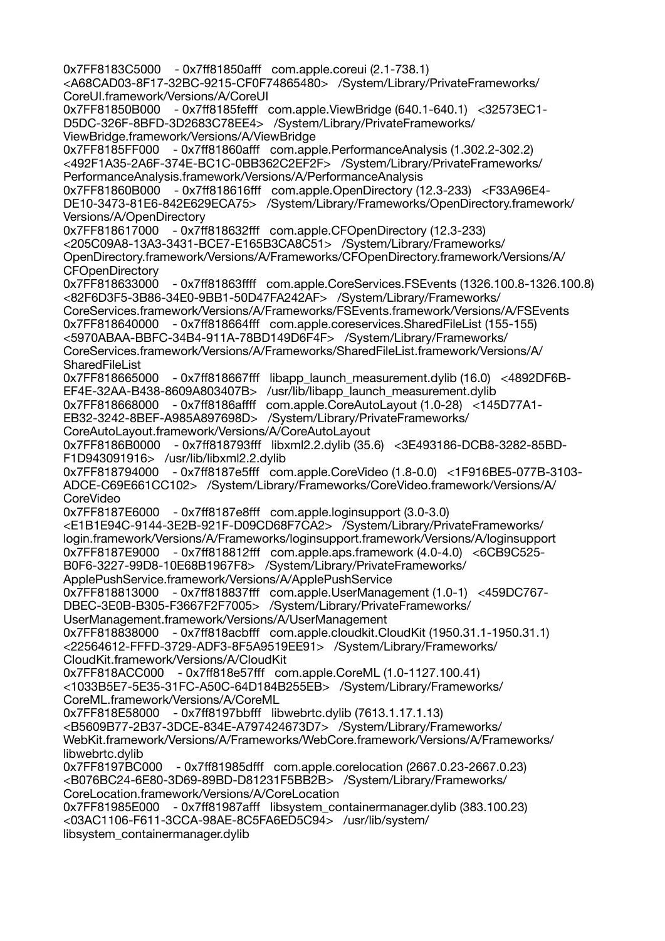0x7FF8183C5000 - 0x7ff81850afff com.apple.coreui (2.1-738.1) <A68CAD03-8F17-32BC-9215-CF0F74865480> /System/Library/PrivateFrameworks/ CoreUI.framework/Versions/A/CoreUI 0x7FF81850B000 - 0x7ff8185fefff com.apple.ViewBridge (640.1-640.1) <32573EC1- D5DC-326F-8BFD-3D2683C78EE4> /System/Library/PrivateFrameworks/ ViewBridge.framework/Versions/A/ViewBridge 0x7FF8185FF000 - 0x7ff81860afff com.apple.PerformanceAnalysis (1.302.2-302.2) <492F1A35-2A6F-374E-BC1C-0BB362C2EF2F> /System/Library/PrivateFrameworks/ PerformanceAnalysis.framework/Versions/A/PerformanceAnalysis 0x7FF81860B000 - 0x7ff818616fff com.apple.OpenDirectory (12.3-233) <F33A96E4- DE10-3473-81E6-842E629ECA75> /System/Library/Frameworks/OpenDirectory.framework/ Versions/A/OpenDirectory 0x7FF818617000 - 0x7ff818632fff com.apple.CFOpenDirectory (12.3-233) <205C09A8-13A3-3431-BCE7-E165B3CA8C51> /System/Library/Frameworks/ OpenDirectory.framework/Versions/A/Frameworks/CFOpenDirectory.framework/Versions/A/ **CFOpenDirectory** 0x7FF818633000 - 0x7ff81863ffff com.apple.CoreServices.FSEvents (1326.100.8-1326.100.8) <82F6D3F5-3B86-34E0-9BB1-50D47FA242AF> /System/Library/Frameworks/ CoreServices.framework/Versions/A/Frameworks/FSEvents.framework/Versions/A/FSEvents 0x7FF818640000 - 0x7ff818664fff com.apple.coreservices.SharedFileList (155-155) <5970ABAA-BBFC-34B4-911A-78BD149D6F4F> /System/Library/Frameworks/ CoreServices.framework/Versions/A/Frameworks/SharedFileList.framework/Versions/A/ **SharedFileList** 0x7FF818665000 - 0x7ff818667fff libapp launch measurement.dylib (16.0) <4892DF6B-EF4E-32AA-B438-8609A803407B> /usr/lib/libapp\_launch\_measurement.dylib 0x7FF818668000 - 0x7ff8186affff com.apple.CoreAutoLayout (1.0-28) <145D77A1- EB32-3242-8BEF-A985A897698D> /System/Library/PrivateFrameworks/ CoreAutoLayout.framework/Versions/A/CoreAutoLayout 0x7FF8186B0000 - 0x7ff818793fff libxml2.2.dylib (35.6) <3E493186-DCB8-3282-85BD-F1D943091916> /usr/lib/libxml2.2.dylib 0x7FF818794000 - 0x7ff8187e5fff com.apple.CoreVideo (1.8-0.0) <1F916BE5-077B-3103- ADCE-C69E661CC102> /System/Library/Frameworks/CoreVideo.framework/Versions/A/ CoreVideo 0x7FF8187E6000 - 0x7ff8187e8fff com.apple.loginsupport (3.0-3.0) <E1B1E94C-9144-3E2B-921F-D09CD68F7CA2> /System/Library/PrivateFrameworks/ login.framework/Versions/A/Frameworks/loginsupport.framework/Versions/A/loginsupport 0x7FF8187E9000 - 0x7ff818812fff com.apple.aps.framework (4.0-4.0) <6CB9C525- B0F6-3227-99D8-10E68B1967F8> /System/Library/PrivateFrameworks/ ApplePushService.framework/Versions/A/ApplePushService 0x7FF818813000 - 0x7ff818837fff com.apple.UserManagement (1.0-1) <459DC767- DBEC-3E0B-B305-F3667F2F7005> /System/Library/PrivateFrameworks/ UserManagement.framework/Versions/A/UserManagement 0x7FF818838000 - 0x7ff818acbfff com.apple.cloudkit.CloudKit (1950.31.1-1950.31.1) <22564612-FFFD-3729-ADF3-8F5A9519EE91> /System/Library/Frameworks/ CloudKit.framework/Versions/A/CloudKit 0x7FF818ACC000 - 0x7ff818e57fff com.apple.CoreML (1.0-1127.100.41) <1033B5E7-5E35-31FC-A50C-64D184B255EB> /System/Library/Frameworks/ CoreML.framework/Versions/A/CoreML 0x7FF818E58000 - 0x7ff8197bbfff libwebrtc.dylib (7613.1.17.1.13) <B5609B77-2B37-3DCE-834E-A797424673D7> /System/Library/Frameworks/ WebKit.framework/Versions/A/Frameworks/WebCore.framework/Versions/A/Frameworks/ libwebrtc.dylib 0x7FF8197BC000 - 0x7ff81985dfff com.apple.corelocation (2667.0.23-2667.0.23) <B076BC24-6E80-3D69-89BD-D81231F5BB2B> /System/Library/Frameworks/ CoreLocation.framework/Versions/A/CoreLocation 0x7FF81985E000 - 0x7ff81987afff libsystem\_containermanager.dylib (383.100.23) <03AC1106-F611-3CCA-98AE-8C5FA6ED5C94> /usr/lib/system/

libsystem\_containermanager.dylib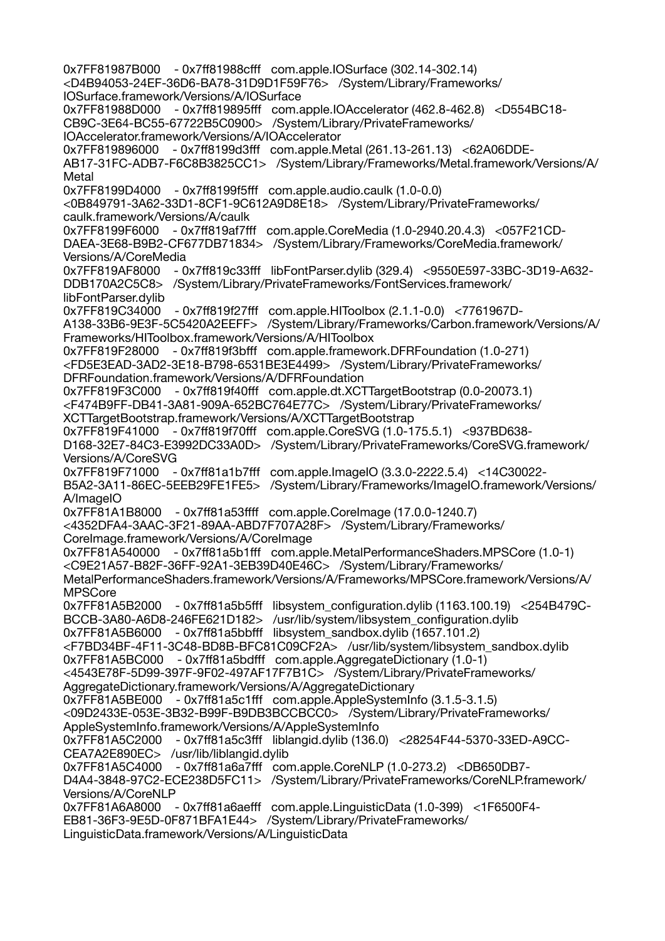0x7FF81987B000 - 0x7ff81988cfff com.apple.IOSurface (302.14-302.14) <D4B94053-24EF-36D6-BA78-31D9D1F59F76> /System/Library/Frameworks/ IOSurface.framework/Versions/A/IOSurface 0x7FF81988D000 - 0x7ff819895fff com.apple.IOAccelerator (462.8-462.8) <D554BC18- CB9C-3E64-BC55-67722B5C0900> /System/Library/PrivateFrameworks/ IOAccelerator.framework/Versions/A/IOAccelerator 0x7FF819896000 - 0x7ff8199d3fff com.apple.Metal (261.13-261.13) <62A06DDE-AB17-31FC-ADB7-F6C8B3825CC1> /System/Library/Frameworks/Metal.framework/Versions/A/ Metal 0x7FF8199D4000 - 0x7ff8199f5fff com.apple.audio.caulk (1.0-0.0) <0B849791-3A62-33D1-8CF1-9C612A9D8E18> /System/Library/PrivateFrameworks/ caulk.framework/Versions/A/caulk 0x7FF8199F6000 - 0x7ff819af7fff com.apple.CoreMedia (1.0-2940.20.4.3) <057F21CD-DAEA-3E68-B9B2-CF677DB71834> /System/Library/Frameworks/CoreMedia.framework/ Versions/A/CoreMedia 0x7FF819AF8000 - 0x7ff819c33fff libFontParser.dylib (329.4) <9550E597-33BC-3D19-A632- DDB170A2C5C8> /System/Library/PrivateFrameworks/FontServices.framework/ libFontParser.dylib 0x7FF819C34000 - 0x7ff819f27fff com.apple.HIToolbox (2.1.1-0.0) <7761967D-A138-33B6-9E3F-5C5420A2EEFF> /System/Library/Frameworks/Carbon.framework/Versions/A/ Frameworks/HIToolbox.framework/Versions/A/HIToolbox 0x7FF819F28000 - 0x7ff819f3bfff com.apple.framework.DFRFoundation (1.0-271) <FD5E3EAD-3AD2-3E18-B798-6531BE3E4499> /System/Library/PrivateFrameworks/ DFRFoundation.framework/Versions/A/DFRFoundation 0x7FF819F3C000 - 0x7ff819f40fff com.apple.dt.XCTTargetBootstrap (0.0-20073.1) <F474B9FF-DB41-3A81-909A-652BC764E77C> /System/Library/PrivateFrameworks/ XCTTargetBootstrap.framework/Versions/A/XCTTargetBootstrap 0x7FF819F41000 - 0x7ff819f70fff com.apple.CoreSVG (1.0-175.5.1) <937BD638- D168-32E7-84C3-E3992DC33A0D> /System/Library/PrivateFrameworks/CoreSVG.framework/ Versions/A/CoreSVG 0x7FF819F71000 - 0x7ff81a1b7fff com.apple.ImageIO (3.3.0-2222.5.4) <14C30022- B5A2-3A11-86EC-5EEB29FE1FE5> /System/Library/Frameworks/ImageIO.framework/Versions/ A/ImageIO 0x7FF81A1B8000 - 0x7ff81a53ffff com.apple.CoreImage (17.0.0-1240.7) <4352DFA4-3AAC-3F21-89AA-ABD7F707A28F> /System/Library/Frameworks/ CoreImage.framework/Versions/A/CoreImage 0x7FF81A540000 - 0x7ff81a5b1fff com.apple.MetalPerformanceShaders.MPSCore (1.0-1) <C9E21A57-B82F-36FF-92A1-3EB39D40E46C> /System/Library/Frameworks/ MetalPerformanceShaders.framework/Versions/A/Frameworks/MPSCore.framework/Versions/A/ MPSCore 0x7FF81A5B2000 - 0x7ff81a5b5fff libsystem\_configuration.dylib (1163.100.19) <254B479C-BCCB-3A80-A6D8-246FE621D182> /usr/lib/system/libsystem\_configuration.dylib 0x7FF81A5B6000 - 0x7ff81a5bbfff libsystem\_sandbox.dylib (1657.101.2) <F7BD34BF-4F11-3C48-BD8B-BFC81C09CF2A> /usr/lib/system/libsystem\_sandbox.dylib 0x7FF81A5BC000 - 0x7ff81a5bdfff com.apple.AggregateDictionary (1.0-1) <4543E78F-5D99-397F-9F02-497AF17F7B1C> /System/Library/PrivateFrameworks/ AggregateDictionary.framework/Versions/A/AggregateDictionary 0x7FF81A5BE000 - 0x7ff81a5c1fff com.apple.AppleSystemInfo (3.1.5-3.1.5) <09D2433E-053E-3B32-B99F-B9DB3BCCBCC0> /System/Library/PrivateFrameworks/ AppleSystemInfo.framework/Versions/A/AppleSystemInfo 0x7FF81A5C2000 - 0x7ff81a5c3fff liblangid.dylib (136.0) <28254F44-5370-33ED-A9CC-CEA7A2E890EC> /usr/lib/liblangid.dylib 0x7FF81A5C4000 - 0x7ff81a6a7fff com.apple.CoreNLP (1.0-273.2) <DB650DB7- D4A4-3848-97C2-ECE238D5FC11> /System/Library/PrivateFrameworks/CoreNLP.framework/ Versions/A/CoreNLP 0x7FF81A6A8000 - 0x7ff81a6aefff com.apple.LinguisticData (1.0-399) <1F6500F4- EB81-36F3-9E5D-0F871BFA1E44> /System/Library/PrivateFrameworks/ LinguisticData.framework/Versions/A/LinguisticData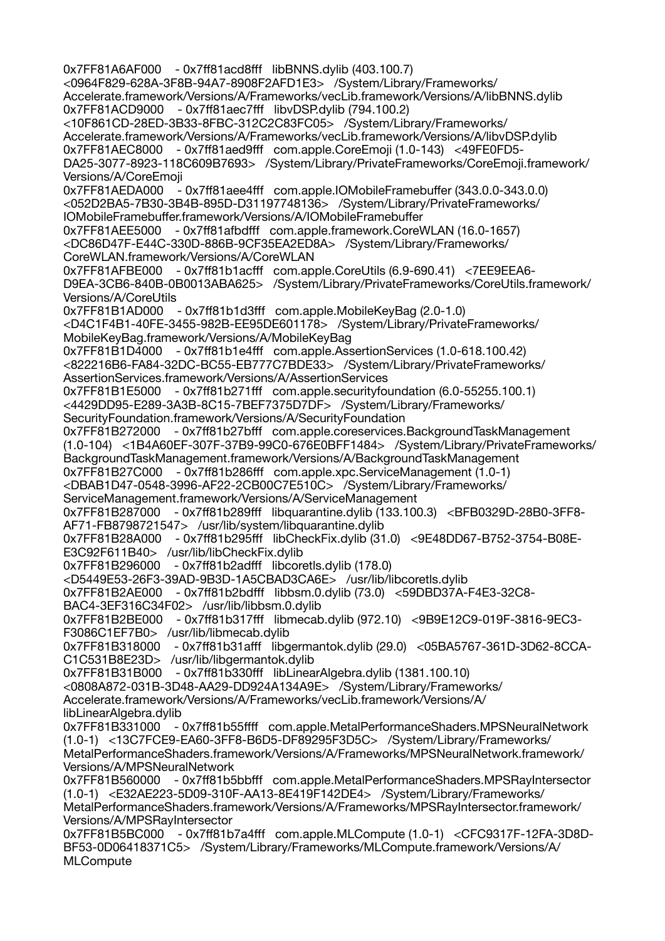0x7FF81A6AF000 - 0x7ff81acd8fff libBNNS.dylib (403.100.7) <0964F829-628A-3F8B-94A7-8908F2AFD1E3> /System/Library/Frameworks/ Accelerate.framework/Versions/A/Frameworks/vecLib.framework/Versions/A/libBNNS.dylib 0x7FF81ACD9000 - 0x7ff81aec7fff libvDSP.dylib (794.100.2) <10F861CD-28ED-3B33-8FBC-312C2C83FC05> /System/Library/Frameworks/ Accelerate.framework/Versions/A/Frameworks/vecLib.framework/Versions/A/libvDSP.dylib 0x7FF81AEC8000 - 0x7ff81aed9fff com.apple.CoreEmoji (1.0-143) <49FE0FD5- DA25-3077-8923-118C609B7693> /System/Library/PrivateFrameworks/CoreEmoji.framework/ Versions/A/CoreEmoji 0x7FF81AEDA000 - 0x7ff81aee4fff com.apple.IOMobileFramebuffer (343.0.0-343.0.0) <052D2BA5-7B30-3B4B-895D-D31197748136> /System/Library/PrivateFrameworks/ IOMobileFramebuffer.framework/Versions/A/IOMobileFramebuffer 0x7FF81AEE5000 - 0x7ff81afbdfff com.apple.framework.CoreWLAN (16.0-1657) <DC86D47F-E44C-330D-886B-9CF35EA2ED8A> /System/Library/Frameworks/ CoreWLAN.framework/Versions/A/CoreWLAN 0x7FF81AFBE000 - 0x7ff81b1acfff com.apple.CoreUtils (6.9-690.41) <7EE9EEA6- D9EA-3CB6-840B-0B0013ABA625> /System/Library/PrivateFrameworks/CoreUtils.framework/ Versions/A/CoreUtils 0x7FF81B1AD000 - 0x7ff81b1d3fff com.apple.MobileKeyBag (2.0-1.0) <D4C1F4B1-40FE-3455-982B-EE95DE601178> /System/Library/PrivateFrameworks/ MobileKeyBag.framework/Versions/A/MobileKeyBag 0x7FF81B1D4000 - 0x7ff81b1e4fff com.apple.AssertionServices (1.0-618.100.42) <822216B6-FA84-32DC-BC55-EB777C7BDE33> /System/Library/PrivateFrameworks/ AssertionServices.framework/Versions/A/AssertionServices 0x7FF81B1E5000 - 0x7ff81b271fff com.apple.securityfoundation (6.0-55255.100.1) <4429DD95-E289-3A3B-8C15-7BEF7375D7DF> /System/Library/Frameworks/ SecurityFoundation.framework/Versions/A/SecurityFoundation 0x7FF81B272000 - 0x7ff81b27bfff com.apple.coreservices.BackgroundTaskManagement (1.0-104) <1B4A60EF-307F-37B9-99C0-676E0BFF1484> /System/Library/PrivateFrameworks/ BackgroundTaskManagement.framework/Versions/A/BackgroundTaskManagement 0x7FF81B27C000 - 0x7ff81b286fff com.apple.xpc.ServiceManagement (1.0-1) <DBAB1D47-0548-3996-AF22-2CB00C7E510C> /System/Library/Frameworks/ ServiceManagement.framework/Versions/A/ServiceManagement 0x7FF81B287000 - 0x7ff81b289fff libquarantine.dylib (133.100.3) <BFB0329D-28B0-3FF8- AF71-FB8798721547> /usr/lib/system/libquarantine.dylib 0x7FF81B28A000 - 0x7ff81b295fff libCheckFix.dylib (31.0) <9E48DD67-B752-3754-B08E-E3C92F611B40> /usr/lib/libCheckFix.dylib 0x7FF81B296000 - 0x7ff81b2adfff libcoretls.dylib (178.0) <D5449E53-26F3-39AD-9B3D-1A5CBAD3CA6E> /usr/lib/libcoretls.dylib 0x7FF81B2AE000 - 0x7ff81b2bdfff libbsm.0.dylib (73.0) <59DBD37A-F4E3-32C8- BAC4-3EF316C34F02> /usr/lib/libbsm.0.dylib 0x7FF81B2BE000 - 0x7ff81b317fff libmecab.dylib (972.10) <9B9E12C9-019F-3816-9EC3- F3086C1EF7B0> /usr/lib/libmecab.dylib 0x7FF81B318000 - 0x7ff81b31afff libgermantok.dylib (29.0) <05BA5767-361D-3D62-8CCA-C1C531B8E23D> /usr/lib/libgermantok.dylib 0x7FF81B31B000 - 0x7ff81b330fff libLinearAlgebra.dylib (1381.100.10) <0808A872-031B-3D48-AA29-DD924A134A9E> /System/Library/Frameworks/ Accelerate.framework/Versions/A/Frameworks/vecLib.framework/Versions/A/ libLinearAlgebra.dvlib 0x7FF81B331000 - 0x7ff81b55ffff com.apple.MetalPerformanceShaders.MPSNeuralNetwork (1.0-1) <13C7FCE9-EA60-3FF8-B6D5-DF89295F3D5C> /System/Library/Frameworks/ MetalPerformanceShaders.framework/Versions/A/Frameworks/MPSNeuralNetwork.framework/ Versions/A/MPSNeuralNetwork 0x7FF81B560000 - 0x7ff81b5bbfff com.apple.MetalPerformanceShaders.MPSRayIntersector (1.0-1) <E32AE223-5D09-310F-AA13-8E419F142DE4> /System/Library/Frameworks/ MetalPerformanceShaders.framework/Versions/A/Frameworks/MPSRayIntersector.framework/ Versions/A/MPSRayIntersector 0x7FF81B5BC000 - 0x7ff81b7a4fff com.apple.MLCompute (1.0-1) <CFC9317F-12FA-3D8D-BF53-0D06418371C5> /System/Library/Frameworks/MLCompute.framework/Versions/A/ **MLCompute**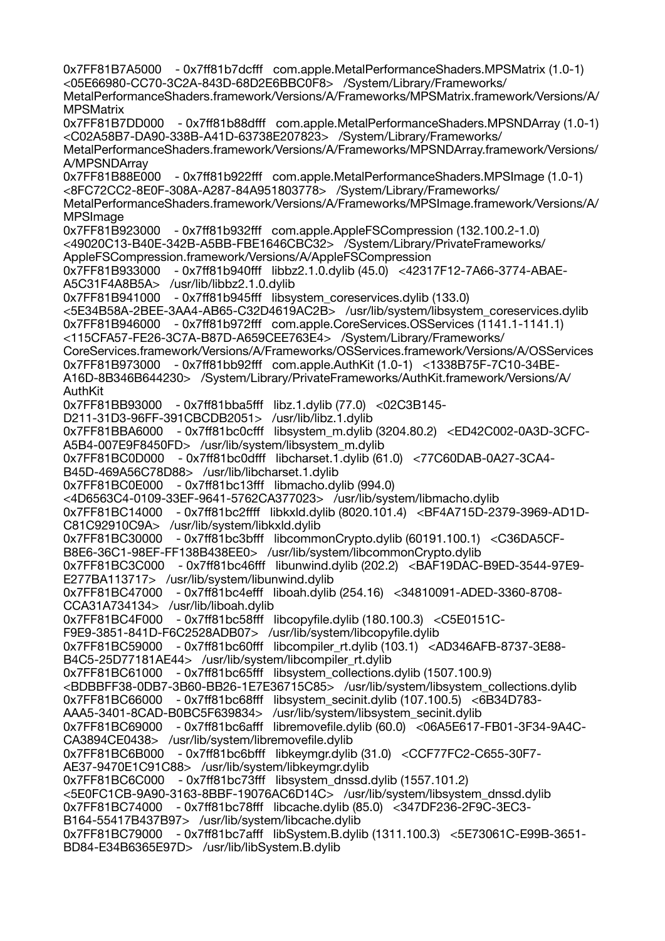0x7FF81B7A5000 - 0x7ff81b7dcfff com.apple.MetalPerformanceShaders.MPSMatrix (1.0-1) <05E66980-CC70-3C2A-843D-68D2E6BBC0F8> /System/Library/Frameworks/ MetalPerformanceShaders.framework/Versions/A/Frameworks/MPSMatrix.framework/Versions/A/ **MPSMatrix** 0x7FF81B7DD000 - 0x7ff81b88dfff com.apple.MetalPerformanceShaders.MPSNDArray (1.0-1) <C02A58B7-DA90-338B-A41D-63738E207823> /System/Library/Frameworks/ MetalPerformanceShaders.framework/Versions/A/Frameworks/MPSNDArray.framework/Versions/ A/MPSNDArray 0x7FF81B88E000 - 0x7ff81b922fff com.apple.MetalPerformanceShaders.MPSImage (1.0-1) <8FC72CC2-8E0F-308A-A287-84A951803778> /System/Library/Frameworks/ MetalPerformanceShaders.framework/Versions/A/Frameworks/MPSImage.framework/Versions/A/ MPSImage 0x7FF81B923000 - 0x7ff81b932fff com.apple.AppleFSCompression (132.100.2-1.0) <49020C13-B40E-342B-A5BB-FBE1646CBC32> /System/Library/PrivateFrameworks/ AppleFSCompression.framework/Versions/A/AppleFSCompression 0x7FF81B933000 - 0x7ff81b940fff libbz2.1.0.dylib (45.0) <42317F12-7A66-3774-ABAE-A5C31F4A8B5A> /usr/lib/libbz2.1.0.dylib 0x7FF81B941000 - 0x7ff81b945fff libsystem\_coreservices.dylib (133.0) <5E34B58A-2BEE-3AA4-AB65-C32D4619AC2B> /usr/lib/system/libsystem\_coreservices.dylib 0x7FF81B946000 - 0x7ff81b972fff com.apple.CoreServices.OSServices (1141.1-1141.1) <115CFA57-FE26-3C7A-B87D-A659CEE763E4> /System/Library/Frameworks/ CoreServices.framework/Versions/A/Frameworks/OSServices.framework/Versions/A/OSServices 0x7FF81B973000 - 0x7ff81bb92fff com.apple.AuthKit (1.0-1) <1338B75F-7C10-34BE-A16D-8B346B644230> /System/Library/PrivateFrameworks/AuthKit.framework/Versions/A/ AuthKit 0x7FF81BB93000 - 0x7ff81bba5fff libz.1.dylib (77.0) <02C3B145- D211-31D3-96FF-391CBCDB2051> /usr/lib/libz.1.dylib 0x7FF81BBA6000 - 0x7ff81bc0cfff libsystem\_m.dylib (3204.80.2) <ED42C002-0A3D-3CFC-A5B4-007E9F8450FD> /usr/lib/system/libsystem\_m.dylib 0x7FF81BC0D000 - 0x7ff81bc0dfff libcharset.1.dylib (61.0) <77C60DAB-0A27-3CA4- B45D-469A56C78D88> /usr/lib/libcharset.1.dylib 0x7FF81BC0E000 - 0x7ff81bc13fff libmacho.dylib (994.0) <4D6563C4-0109-33EF-9641-5762CA377023> /usr/lib/system/libmacho.dylib 0x7FF81BC14000 - 0x7ff81bc2ffff libkxld.dylib (8020.101.4) <BF4A715D-2379-3969-AD1D-C81C92910C9A> /usr/lib/system/libkxld.dylib 0x7FF81BC30000 - 0x7ff81bc3bfff libcommonCrypto.dylib (60191.100.1) <C36DA5CF-B8E6-36C1-98EF-FF138B438EE0> /usr/lib/system/libcommonCrypto.dylib 0x7FF81BC3C000 - 0x7ff81bc46fff libunwind.dylib (202.2) <BAF19DAC-B9ED-3544-97E9- E277BA113717> /usr/lib/system/libunwind.dylib 0x7FF81BC47000 - 0x7ff81bc4efff liboah.dylib (254.16) <34810091-ADED-3360-8708- CCA31A734134> /usr/lib/liboah.dylib 0x7FF81BC4F000 - 0x7ff81bc58fff libcopyfile.dylib (180.100.3) <C5E0151C-F9E9-3851-841D-F6C2528ADB07> /usr/lib/system/libcopyfile.dylib 0x7FF81BC59000 - 0x7ff81bc60fff libcompiler\_rt.dylib (103.1) <AD346AFB-8737-3E88- B4C5-25D77181AE44> /usr/lib/system/libcompiler\_rt.dylib 0x7FF81BC61000 - 0x7ff81bc65fff libsystem\_collections.dylib (1507.100.9) <BDBBFF38-0DB7-3B60-BB26-1E7E36715C85> /usr/lib/system/libsystem\_collections.dylib 0x7FF81BC66000 - 0x7ff81bc68fff libsystem\_secinit.dylib (107.100.5) <6B34D783- AAA5-3401-8CAD-B0BC5F639834> /usr/lib/system/libsystem\_secinit.dylib 0x7FF81BC69000 - 0x7ff81bc6afff libremovefile.dylib (60.0) <06A5E617-FB01-3F34-9A4C-CA3894CE0438> /usr/lib/system/libremovefile.dylib 0x7FF81BC6B000 - 0x7ff81bc6bfff libkeymgr.dylib (31.0) <CCF77FC2-C655-30F7- AE37-9470E1C91C88> /usr/lib/system/libkeymgr.dylib 0x7FF81BC6C000 - 0x7ff81bc73fff libsystem\_dnssd.dylib (1557.101.2) <5E0FC1CB-9A90-3163-8BBF-19076AC6D14C> /usr/lib/system/libsystem\_dnssd.dylib 0x7FF81BC74000 - 0x7ff81bc78fff libcache.dylib (85.0) <347DF236-2F9C-3EC3- B164-55417B437B97> /usr/lib/system/libcache.dylib 0x7FF81BC79000 - 0x7ff81bc7afff libSystem.B.dylib (1311.100.3) <5E73061C-E99B-3651- BD84-E34B6365E97D> /usr/lib/libSystem.B.dylib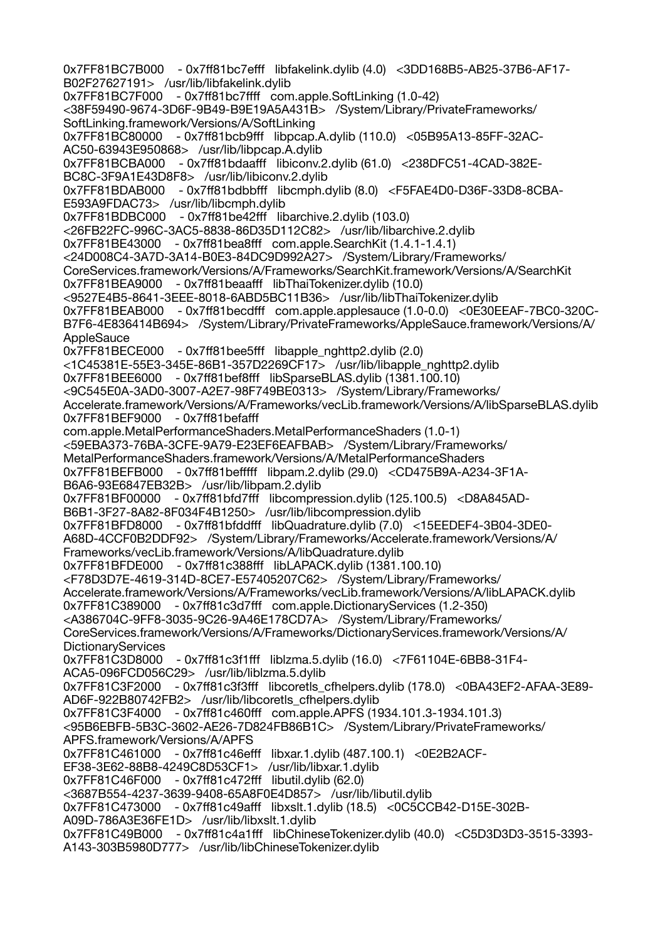0x7FF81BC7B000 - 0x7ff81bc7efff libfakelink.dylib (4.0) <3DD168B5-AB25-37B6-AF17- B02F27627191> /usr/lib/libfakelink.dylib 0x7FF81BC7F000 - 0x7ff81bc7ffff com.apple.SoftLinking (1.0-42) <38F59490-9674-3D6F-9B49-B9E19A5A431B> /System/Library/PrivateFrameworks/ SoftLinking.framework/Versions/A/SoftLinking 0x7FF81BC80000 - 0x7ff81bcb9fff libpcap.A.dylib (110.0) <05B95A13-85FF-32AC-AC50-63943E950868> /usr/lib/libpcap.A.dylib 0x7FF81BCBA000 - 0x7ff81bdaafff libiconv.2.dylib (61.0) <238DFC51-4CAD-382E-BC8C-3F9A1E43D8F8> /usr/lib/libiconv.2.dylib 0x7FF81BDAB000 - 0x7ff81bdbbfff libcmph.dylib (8.0) <F5FAE4D0-D36F-33D8-8CBA-E593A9FDAC73> /usr/lib/libcmph.dylib 0x7FF81BDBC000 - 0x7ff81be42fff libarchive.2.dylib (103.0) <26FB22FC-996C-3AC5-8838-86D35D112C82> /usr/lib/libarchive.2.dylib 0x7FF81BE43000 - 0x7ff81bea8fff com.apple.SearchKit (1.4.1-1.4.1) <24D008C4-3A7D-3A14-B0E3-84DC9D992A27> /System/Library/Frameworks/ CoreServices.framework/Versions/A/Frameworks/SearchKit.framework/Versions/A/SearchKit 0x7FF81BEA9000 - 0x7ff81beaafff libThaiTokenizer.dylib (10.0) <9527E4B5-8641-3EEE-8018-6ABD5BC11B36> /usr/lib/libThaiTokenizer.dylib 0x7FF81BEAB000 - 0x7ff81becdfff com.apple.applesauce (1.0-0.0) <0E30EEAF-7BC0-320C-B7F6-4E836414B694> /System/Library/PrivateFrameworks/AppleSauce.framework/Versions/A/ **AppleSauce** 0x7FF81BECE000 - 0x7ff81bee5fff libapple\_nghttp2.dylib (2.0) <1C45381E-55E3-345E-86B1-357D2269CF17> /usr/lib/libapple\_nghttp2.dylib 0x7FF81BEE6000 - 0x7ff81bef8fff libSparseBLAS.dylib (1381.100.10) <9C545E0A-3AD0-3007-A2E7-98F749BE0313> /System/Library/Frameworks/ Accelerate.framework/Versions/A/Frameworks/vecLib.framework/Versions/A/libSparseBLAS.dylib 0x7FF81BEF9000 - 0x7ff81befafff com.apple.MetalPerformanceShaders.MetalPerformanceShaders (1.0-1) <59EBA373-76BA-3CFE-9A79-E23EF6EAFBAB> /System/Library/Frameworks/ MetalPerformanceShaders.framework/Versions/A/MetalPerformanceShaders 0x7FF81BEFB000 - 0x7ff81befffff libpam.2.dylib (29.0) <CD475B9A-A234-3F1A-B6A6-93E6847EB32B> /usr/lib/libpam.2.dylib 0x7FF81BF00000 - 0x7ff81bfd7fff libcompression.dylib (125.100.5) <D8A845AD-B6B1-3F27-8A82-8F034F4B1250> /usr/lib/libcompression.dylib 0x7FF81BFD8000 - 0x7ff81bfddfff libQuadrature.dylib (7.0) <15EEDEF4-3B04-3DE0- A68D-4CCF0B2DDF92> /System/Library/Frameworks/Accelerate.framework/Versions/A/ Frameworks/vecLib.framework/Versions/A/libQuadrature.dylib 0x7FF81BFDE000 - 0x7ff81c388fff libLAPACK.dylib (1381.100.10) <F78D3D7E-4619-314D-8CE7-E57405207C62> /System/Library/Frameworks/ Accelerate.framework/Versions/A/Frameworks/vecLib.framework/Versions/A/libLAPACK.dylib 0x7FF81C389000 - 0x7ff81c3d7fff com.apple.DictionaryServices (1.2-350) <A386704C-9FF8-3035-9C26-9A46E178CD7A> /System/Library/Frameworks/ CoreServices.framework/Versions/A/Frameworks/DictionaryServices.framework/Versions/A/ **DictionaryServices** 0x7FF81C3D8000 - 0x7ff81c3f1fff liblzma.5.dylib (16.0) <7F61104E-6BB8-31F4- ACA5-096FCD056C29> /usr/lib/liblzma.5.dylib 0x7FF81C3F2000 - 0x7ff81c3f3fff libcoretls\_cfhelpers.dylib (178.0) <0BA43EF2-AFAA-3E89- AD6F-922B80742FB2> /usr/lib/libcoretls\_cfhelpers.dylib 0x7FF81C3F4000 - 0x7ff81c460fff com.apple.APFS (1934.101.3-1934.101.3) <95B6EBFB-5B3C-3602-AE26-7D824FB86B1C> /System/Library/PrivateFrameworks/ APFS.framework/Versions/A/APFS 0x7FF81C461000 - 0x7ff81c46efff libxar.1.dylib (487.100.1) <0E2B2ACF-EF38-3E62-88B8-4249C8D53CF1> /usr/lib/libxar.1.dylib 0x7FF81C46F000 - 0x7ff81c472fff libutil.dylib (62.0) <3687B554-4237-3639-9408-65A8F0E4D857> /usr/lib/libutil.dylib 0x7FF81C473000 - 0x7ff81c49afff libxslt.1.dylib (18.5) <0C5CCB42-D15E-302B-A09D-786A3E36FE1D> /usr/lib/libxslt.1.dylib 0x7FF81C49B000 - 0x7ff81c4a1fff libChineseTokenizer.dylib (40.0) <C5D3D3D3-3515-3393- A143-303B5980D777> /usr/lib/libChineseTokenizer.dylib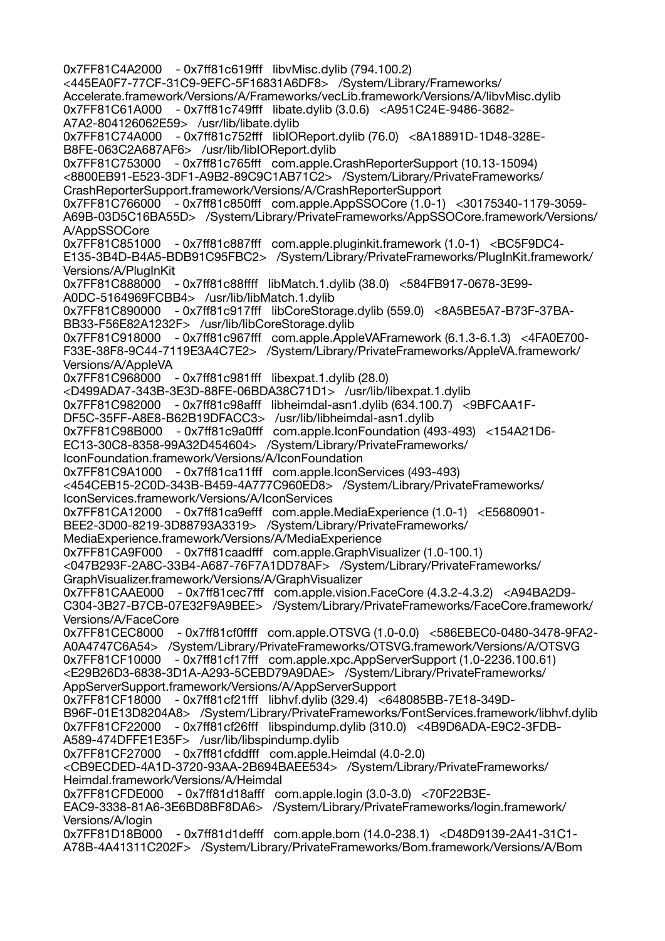0x7FF81C4A2000 - 0x7ff81c619fff libvMisc.dylib (794.100.2) <445EA0F7-77CF-31C9-9EFC-5F16831A6DF8> /System/Library/Frameworks/ Accelerate.framework/Versions/A/Frameworks/vecLib.framework/Versions/A/libvMisc.dylib 0x7FF81C61A000 - 0x7ff81c749fff libate.dylib (3.0.6) <A951C24E-9486-3682- A7A2-804126062E59> /usr/lib/libate.dylib 0x7FF81C74A000 - 0x7ff81c752fff libIOReport.dylib (76.0) <8A18891D-1D48-328E-B8FE-063C2A687AF6> /usr/lib/libIOReport.dylib 0x7FF81C753000 - 0x7ff81c765fff com.apple.CrashReporterSupport (10.13-15094) <8800EB91-E523-3DF1-A9B2-89C9C1AB71C2> /System/Library/PrivateFrameworks/ CrashReporterSupport.framework/Versions/A/CrashReporterSupport 0x7FF81C766000 - 0x7ff81c850fff com.apple.AppSSOCore (1.0-1) <30175340-1179-3059- A69B-03D5C16BA55D> /System/Library/PrivateFrameworks/AppSSOCore.framework/Versions/ A/AppSSOCore 0x7FF81C851000 - 0x7ff81c887fff com.apple.pluginkit.framework (1.0-1) <BC5F9DC4- E135-3B4D-B4A5-BDB91C95FBC2> /System/Library/PrivateFrameworks/PlugInKit.framework/ Versions/A/PlugInKit 0x7FF81C888000 - 0x7ff81c88ffff libMatch.1.dylib (38.0) <584FB917-0678-3E99- A0DC-5164969FCBB4> /usr/lib/libMatch.1.dylib 0x7FF81C890000 - 0x7ff81c917fff libCoreStorage.dylib (559.0) <8A5BE5A7-B73F-37BA-BB33-F56E82A1232F> /usr/lib/libCoreStorage.dylib 0x7FF81C918000 - 0x7ff81c967fff com.apple.AppleVAFramework (6.1.3-6.1.3) <4FA0E700- F33E-38F8-9C44-7119E3A4C7E2> /System/Library/PrivateFrameworks/AppleVA.framework/ Versions/A/AppleVA 0x7FF81C968000 - 0x7ff81c981fff libexpat.1.dylib (28.0) <D499ADA7-343B-3E3D-88FE-06BDA38C71D1> /usr/lib/libexpat.1.dylib 0x7FF81C982000 - 0x7ff81c98afff libheimdal-asn1.dylib (634.100.7) <9BFCAA1F-DF5C-35FF-A8E8-B62B19DFACC3> /usr/lib/libheimdal-asn1.dylib 0x7FF81C98B000 - 0x7ff81c9a0fff com.apple.IconFoundation (493-493) <154A21D6- EC13-30C8-8358-99A32D454604> /System/Library/PrivateFrameworks/ IconFoundation.framework/Versions/A/IconFoundation 0x7FF81C9A1000 - 0x7ff81ca11fff com.apple.IconServices (493-493) <454CEB15-2C0D-343B-B459-4A777C960ED8> /System/Library/PrivateFrameworks/ IconServices.framework/Versions/A/IconServices 0x7FF81CA12000 - 0x7ff81ca9efff com.apple.MediaExperience (1.0-1) <E5680901- BEE2-3D00-8219-3D88793A3319> /System/Library/PrivateFrameworks/ MediaExperience.framework/Versions/A/MediaExperience 0x7FF81CA9F000 - 0x7ff81caadfff com.apple.GraphVisualizer (1.0-100.1) <047B293F-2A8C-33B4-A687-76F7A1DD78AF> /System/Library/PrivateFrameworks/ GraphVisualizer.framework/Versions/A/GraphVisualizer 0x7FF81CAAE000 - 0x7ff81cec7fff com.apple.vision.FaceCore (4.3.2-4.3.2) <A94BA2D9- C304-3B27-B7CB-07E32F9A9BEE> /System/Library/PrivateFrameworks/FaceCore.framework/ Versions/A/FaceCore 0x7FF81CEC8000 - 0x7ff81cf0ffff com.apple.OTSVG (1.0-0.0) <586EBEC0-0480-3478-9FA2- A0A4747C6A54> /System/Library/PrivateFrameworks/OTSVG.framework/Versions/A/OTSVG 0x7FF81CF10000 - 0x7ff81cf17fff com.apple.xpc.AppServerSupport (1.0-2236.100.61) <E29B26D3-6838-3D1A-A293-5CEBD79A9DAE> /System/Library/PrivateFrameworks/ AppServerSupport.framework/Versions/A/AppServerSupport 0x7FF81CF18000 - 0x7ff81cf21fff libhvf.dylib (329.4) <648085BB-7E18-349D-B96F-01E13D8204A8> /System/Library/PrivateFrameworks/FontServices.framework/libhvf.dylib 0x7FF81CF22000 - 0x7ff81cf26fff libspindump.dylib (310.0) <4B9D6ADA-E9C2-3FDB-A589-474DFFE1E35F> /usr/lib/libspindump.dylib 0x7FF81CF27000 - 0x7ff81cfddfff com.apple.Heimdal (4.0-2.0) <CB9ECDED-4A1D-3720-93AA-2B694BAEE534> /System/Library/PrivateFrameworks/ Heimdal.framework/Versions/A/Heimdal 0x7FF81CFDE000 - 0x7ff81d18afff com.apple.login (3.0-3.0) <70F22B3E-EAC9-3338-81A6-3E6BD8BF8DA6> /System/Library/PrivateFrameworks/login.framework/ Versions/A/login 0x7FF81D18B000 - 0x7ff81d1defff com.apple.bom (14.0-238.1) <D48D9139-2A41-31C1- A78B-4A41311C202F> /System/Library/PrivateFrameworks/Bom.framework/Versions/A/Bom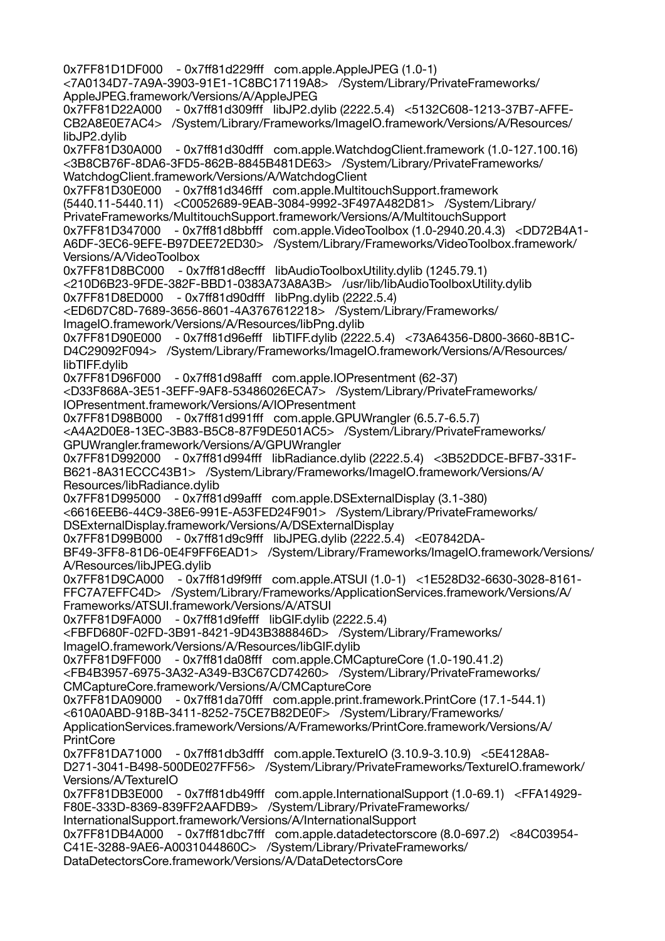0x7FF81D1DF000 - 0x7ff81d229fff com.apple.AppleJPEG (1.0-1) <7A0134D7-7A9A-3903-91E1-1C8BC17119A8> /System/Library/PrivateFrameworks/ AppleJPEG.framework/Versions/A/AppleJPEG 0x7FF81D22A000 - 0x7ff81d309fff libJP2.dylib (2222.5.4) <5132C608-1213-37B7-AFFE-CB2A8E0E7AC4> /System/Library/Frameworks/ImageIO.framework/Versions/A/Resources/ libJP2.dylib 0x7FF81D30A000 - 0x7ff81d30dfff com.apple.WatchdogClient.framework (1.0-127.100.16) <3B8CB76F-8DA6-3FD5-862B-8845B481DE63> /System/Library/PrivateFrameworks/ WatchdogClient.framework/Versions/A/WatchdogClient 0x7FF81D30E000 - 0x7ff81d346fff com.apple.MultitouchSupport.framework (5440.11-5440.11) <C0052689-9EAB-3084-9992-3F497A482D81> /System/Library/ PrivateFrameworks/MultitouchSupport.framework/Versions/A/MultitouchSupport 0x7FF81D347000 - 0x7ff81d8bbfff com.apple.VideoToolbox (1.0-2940.20.4.3) <DD72B4A1- A6DF-3EC6-9EFE-B97DEE72ED30> /System/Library/Frameworks/VideoToolbox.framework/ Versions/A/VideoToolbox 0x7FF81D8BC000 - 0x7ff81d8ecfff libAudioToolboxUtility.dylib (1245.79.1) <210D6B23-9FDE-382F-BBD1-0383A73A8A3B> /usr/lib/libAudioToolboxUtility.dylib 0x7FF81D8ED000 - 0x7ff81d90dfff libPng.dylib (2222.5.4) <ED6D7C8D-7689-3656-8601-4A3767612218> /System/Library/Frameworks/ ImageIO.framework/Versions/A/Resources/libPng.dylib 0x7FF81D90E000 - 0x7ff81d96efff libTIFF.dylib (2222.5.4) <73A64356-D800-3660-8B1C-D4C29092F094> /System/Library/Frameworks/ImageIO.framework/Versions/A/Resources/ libTIFF.dylib 0x7FF81D96F000 - 0x7ff81d98afff com.apple.IOPresentment (62-37) <D33F868A-3E51-3EFF-9AF8-53486026ECA7> /System/Library/PrivateFrameworks/ IOPresentment.framework/Versions/A/IOPresentment 0x7FF81D98B000 - 0x7ff81d991fff com.apple.GPUWrangler (6.5.7-6.5.7) <A4A2D0E8-13EC-3B83-B5C8-87F9DE501AC5> /System/Library/PrivateFrameworks/ GPUWrangler.framework/Versions/A/GPUWrangler 0x7FF81D992000 - 0x7ff81d994fff libRadiance.dylib (2222.5.4) <3B52DDCE-BFB7-331F-B621-8A31ECCC43B1> /System/Library/Frameworks/ImageIO.framework/Versions/A/ Resources/libRadiance.dylib 0x7FF81D995000 - 0x7ff81d99afff com.apple.DSExternalDisplay (3.1-380) <6616EEB6-44C9-38E6-991E-A53FED24F901> /System/Library/PrivateFrameworks/ DSExternalDisplay.framework/Versions/A/DSExternalDisplay 0x7FF81D99B000 - 0x7ff81d9c9fff libJPEG.dylib (2222.5.4) <E07842DA-BF49-3FF8-81D6-0E4F9FF6EAD1> /System/Library/Frameworks/ImageIO.framework/Versions/ A/Resources/libJPEG.dylib 0x7FF81D9CA000 - 0x7ff81d9f9fff com.apple.ATSUI (1.0-1) <1E528D32-6630-3028-8161- FFC7A7EFFC4D> /System/Library/Frameworks/ApplicationServices.framework/Versions/A/ Frameworks/ATSUI.framework/Versions/A/ATSUI 0x7FF81D9FA000 - 0x7ff81d9fefff libGIF.dylib (2222.5.4) <FBFD680F-02FD-3B91-8421-9D43B388846D> /System/Library/Frameworks/ ImageIO.framework/Versions/A/Resources/libGIF.dylib 0x7FF81D9FF000 - 0x7ff81da08fff com.apple.CMCaptureCore (1.0-190.41.2) <FB4B3957-6975-3A32-A349-B3C67CD74260> /System/Library/PrivateFrameworks/ CMCaptureCore.framework/Versions/A/CMCaptureCore 0x7FF81DA09000 - 0x7ff81da70fff com.apple.print.framework.PrintCore (17.1-544.1) <610A0ABD-918B-3411-8252-75CE7B82DE0F> /System/Library/Frameworks/ ApplicationServices.framework/Versions/A/Frameworks/PrintCore.framework/Versions/A/ **PrintCore** 0x7FF81DA71000 - 0x7ff81db3dfff com.apple.TextureIO (3.10.9-3.10.9) <5E4128A8- D271-3041-B498-500DE027FF56> /System/Library/PrivateFrameworks/TextureIO.framework/ Versions/A/TextureIO 0x7FF81DB3E000 - 0x7ff81db49fff com.apple.InternationalSupport (1.0-69.1) <FFA14929- F80E-333D-8369-839FF2AAFDB9> /System/Library/PrivateFrameworks/ InternationalSupport.framework/Versions/A/InternationalSupport 0x7FF81DB4A000 - 0x7ff81dbc7fff com.apple.datadetectorscore (8.0-697.2) <84C03954- C41E-3288-9AE6-A0031044860C> /System/Library/PrivateFrameworks/ DataDetectorsCore.framework/Versions/A/DataDetectorsCore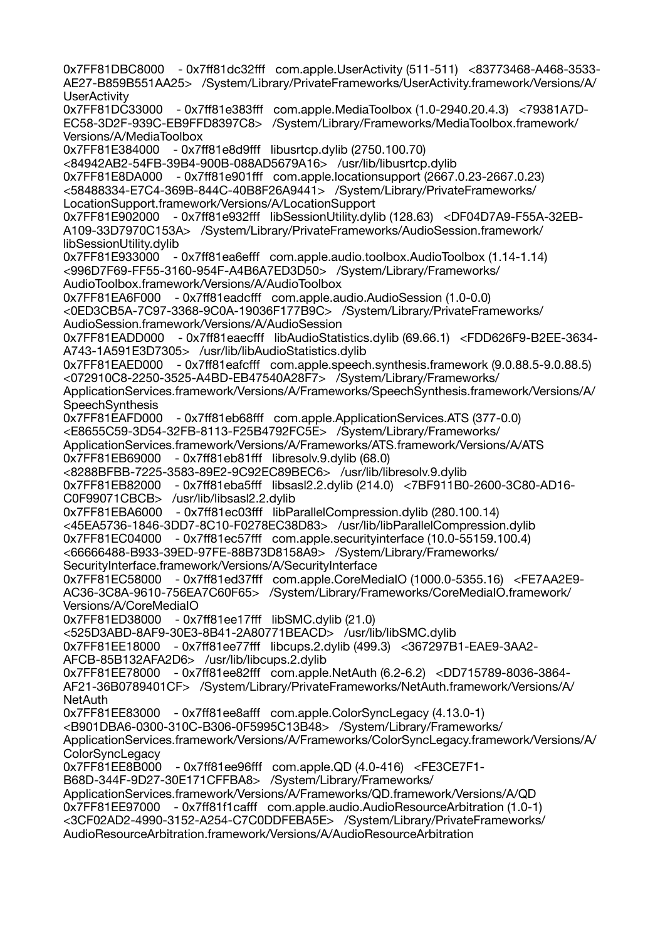0x7FF81DBC8000 - 0x7ff81dc32fff com.apple.UserActivity (511-511) <83773468-A468-3533- AE27-B859B551AA25> /System/Library/PrivateFrameworks/UserActivity.framework/Versions/A/ **UserActivity** 0x7FF81DC33000 - 0x7ff81e383fff com.apple.MediaToolbox (1.0-2940.20.4.3) <79381A7D-EC58-3D2F-939C-EB9FFD8397C8> /System/Library/Frameworks/MediaToolbox.framework/ Versions/A/MediaToolbox 0x7FF81E384000 - 0x7ff81e8d9fff libusrtcp.dylib (2750.100.70) <84942AB2-54FB-39B4-900B-088AD5679A16> /usr/lib/libusrtcp.dylib 0x7FF81E8DA000 - 0x7ff81e901fff com.apple.locationsupport (2667.0.23-2667.0.23) <58488334-E7C4-369B-844C-40B8F26A9441> /System/Library/PrivateFrameworks/ LocationSupport.framework/Versions/A/LocationSupport 0x7FF81E902000 - 0x7ff81e932fff libSessionUtility.dylib (128.63) <DF04D7A9-F55A-32EB-A109-33D7970C153A> /System/Library/PrivateFrameworks/AudioSession.framework/ libSessionUtility.dylib 0x7FF81E933000 - 0x7ff81ea6efff com.apple.audio.toolbox.AudioToolbox (1.14-1.14) <996D7F69-FF55-3160-954F-A4B6A7ED3D50> /System/Library/Frameworks/ AudioToolbox.framework/Versions/A/AudioToolbox 0x7FF81EA6F000 - 0x7ff81eadcfff com.apple.audio.AudioSession (1.0-0.0) <0ED3CB5A-7C97-3368-9C0A-19036F177B9C> /System/Library/PrivateFrameworks/ AudioSession.framework/Versions/A/AudioSession 0x7FF81EADD000 - 0x7ff81eaecfff libAudioStatistics.dylib (69.66.1) <FDD626F9-B2EE-3634- A743-1A591E3D7305> /usr/lib/libAudioStatistics.dylib 0x7FF81EAED000 - 0x7ff81eafcfff com.apple.speech.synthesis.framework (9.0.88.5-9.0.88.5) <072910C8-2250-3525-A4BD-EB47540A28F7> /System/Library/Frameworks/ ApplicationServices.framework/Versions/A/Frameworks/SpeechSynthesis.framework/Versions/A/ **SpeechSynthesis** 0x7FF81EAFD000 - 0x7ff81eb68fff com.apple.ApplicationServices.ATS (377-0.0) <E8655C59-3D54-32FB-8113-F25B4792FC5E> /System/Library/Frameworks/ ApplicationServices.framework/Versions/A/Frameworks/ATS.framework/Versions/A/ATS 0x7FF81EB69000 - 0x7ff81eb81fff libresolv.9.dylib (68.0) <8288BFBB-7225-3583-89E2-9C92EC89BEC6> /usr/lib/libresolv.9.dylib 0x7FF81EB82000 - 0x7ff81eba5fff libsasl2.2.dylib (214.0) <7BF911B0-2600-3C80-AD16- C0F99071CBCB> /usr/lib/libsasl2.2.dylib 0x7FF81EBA6000 - 0x7ff81ec03fff libParallelCompression.dylib (280.100.14) <45EA5736-1846-3DD7-8C10-F0278EC38D83> /usr/lib/libParallelCompression.dylib 0x7FF81EC04000 - 0x7ff81ec57fff com.apple.securityinterface (10.0-55159.100.4) <66666488-B933-39ED-97FE-88B73D8158A9> /System/Library/Frameworks/ SecurityInterface.framework/Versions/A/SecurityInterface 0x7FF81EC58000 - 0x7ff81ed37fff com.apple.CoreMediaIO (1000.0-5355.16) <FE7AA2E9- AC36-3C8A-9610-756EA7C60F65> /System/Library/Frameworks/CoreMediaIO.framework/ Versions/A/CoreMediaIO 0x7FF81ED38000 - 0x7ff81ee17fff libSMC.dylib (21.0) <525D3ABD-8AF9-30E3-8B41-2A80771BEACD> /usr/lib/libSMC.dylib 0x7FF81EE18000 - 0x7ff81ee77fff libcups.2.dylib (499.3) <367297B1-EAE9-3AA2- AFCB-85B132AFA2D6> /usr/lib/libcups.2.dylib 0x7FF81EE78000 - 0x7ff81ee82fff com.apple.NetAuth (6.2-6.2) <DD715789-8036-3864- AF21-36B0789401CF> /System/Library/PrivateFrameworks/NetAuth.framework/Versions/A/ **NetAuth** 0x7FF81EE83000 - 0x7ff81ee8afff com.apple.ColorSyncLegacy (4.13.0-1) <B901DBA6-0300-310C-B306-0F5995C13B48> /System/Library/Frameworks/ ApplicationServices.framework/Versions/A/Frameworks/ColorSyncLegacy.framework/Versions/A/ ColorSyncLegacy<br>0x7FF81EE8B000 - 0x7ff81ee96fff com.apple.QD (4.0-416) <FE3CE7F1-B68D-344F-9D27-30E171CFFBA8> /System/Library/Frameworks/ ApplicationServices.framework/Versions/A/Frameworks/QD.framework/Versions/A/QD 0x7FF81EE97000 - 0x7ff81f1cafff com.apple.audio.AudioResourceArbitration (1.0-1) <3CF02AD2-4990-3152-A254-C7C0DDFEBA5E> /System/Library/PrivateFrameworks/ AudioResourceArbitration.framework/Versions/A/AudioResourceArbitration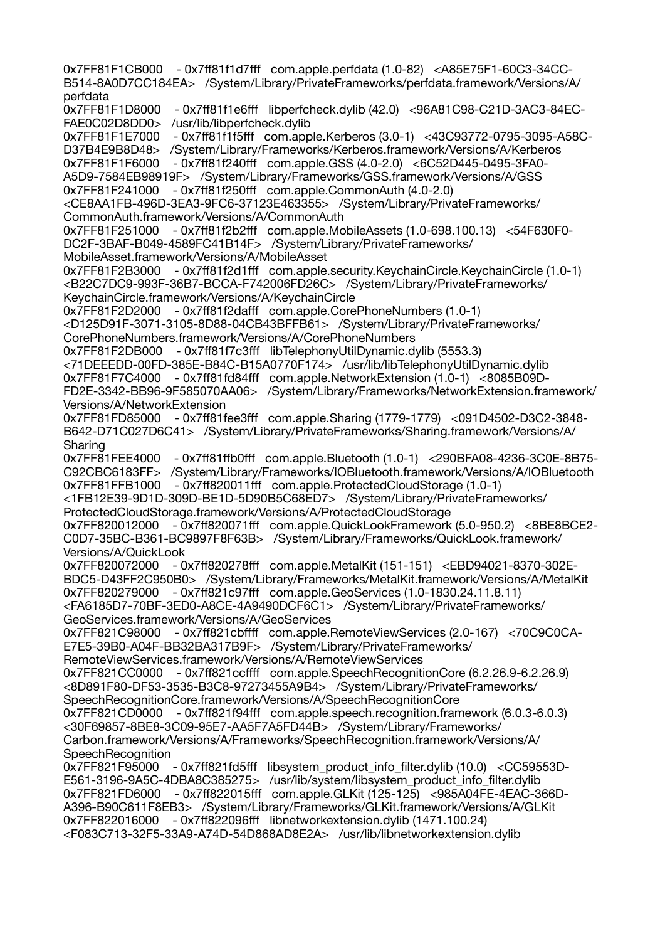0x7FF81F1CB000 - 0x7ff81f1d7fff com.apple.perfdata (1.0-82) <A85E75F1-60C3-34CC-B514-8A0D7CC184EA> /System/Library/PrivateFrameworks/perfdata.framework/Versions/A/ perfdata 0x7FF81F1D8000 - 0x7ff81f1e6fff libperfcheck.dylib (42.0) <96A81C98-C21D-3AC3-84EC-FAE0C02D8DD0> /usr/lib/libperfcheck.dylib 0x7FF81F1E7000 - 0x7ff81f1f5fff com.apple.Kerberos (3.0-1) <43C93772-0795-3095-A58C-D37B4E9B8D48> /System/Library/Frameworks/Kerberos.framework/Versions/A/Kerberos 0x7FF81F1F6000 - 0x7ff81f240fff com.apple.GSS (4.0-2.0) <6C52D445-0495-3FA0- A5D9-7584EB98919F> /System/Library/Frameworks/GSS.framework/Versions/A/GSS 0x7FF81F241000 - 0x7ff81f250fff com.apple.CommonAuth (4.0-2.0) <CE8AA1FB-496D-3EA3-9FC6-37123E463355> /System/Library/PrivateFrameworks/ CommonAuth.framework/Versions/A/CommonAuth 0x7FF81F251000 - 0x7ff81f2b2fff com.apple.MobileAssets (1.0-698.100.13) <54F630F0- DC2F-3BAF-B049-4589FC41B14F> /System/Library/PrivateFrameworks/ MobileAsset.framework/Versions/A/MobileAsset 0x7FF81F2B3000 - 0x7ff81f2d1fff com.apple.security.KeychainCircle.KeychainCircle (1.0-1) <B22C7DC9-993F-36B7-BCCA-F742006FD26C> /System/Library/PrivateFrameworks/ KeychainCircle.framework/Versions/A/KeychainCircle 0x7FF81F2D2000 - 0x7ff81f2dafff com.apple.CorePhoneNumbers (1.0-1) <D125D91F-3071-3105-8D88-04CB43BFFB61> /System/Library/PrivateFrameworks/ CorePhoneNumbers.framework/Versions/A/CorePhoneNumbers 0x7FF81F2DB000 - 0x7ff81f7c3fff libTelephonyUtilDynamic.dylib (5553.3) <71DEEEDD-00FD-385E-B84C-B15A0770F174> /usr/lib/libTelephonyUtilDynamic.dylib 0x7FF81F7C4000 - 0x7ff81fd84fff com.apple.NetworkExtension (1.0-1) <8085B09D-FD2E-3342-BB96-9F585070AA06> /System/Library/Frameworks/NetworkExtension.framework/ Versions/A/NetworkExtension 0x7FF81FD85000 - 0x7ff81fee3fff com.apple.Sharing (1779-1779) <091D4502-D3C2-3848- B642-D71C027D6C41> /System/Library/PrivateFrameworks/Sharing.framework/Versions/A/ Sharing 0x7FF81FEE4000 - 0x7ff81ffb0fff com.apple.Bluetooth (1.0-1) <290BFA08-4236-3C0E-8B75- C92CBC6183FF> /System/Library/Frameworks/IOBluetooth.framework/Versions/A/IOBluetooth 0x7FF81FFB1000 - 0x7ff820011fff com.apple.ProtectedCloudStorage (1.0-1) <1FB12E39-9D1D-309D-BE1D-5D90B5C68ED7> /System/Library/PrivateFrameworks/ ProtectedCloudStorage.framework/Versions/A/ProtectedCloudStorage 0x7FF820012000 - 0x7ff820071fff com.apple.QuickLookFramework (5.0-950.2) <8BE8BCE2- C0D7-35BC-B361-BC9897F8F63B> /System/Library/Frameworks/QuickLook.framework/ Versions/A/QuickLook 0x7FF820072000 - 0x7ff820278fff com.apple.MetalKit (151-151) <EBD94021-8370-302E-BDC5-D43FF2C950B0> /System/Library/Frameworks/MetalKit.framework/Versions/A/MetalKit 0x7FF820279000 - 0x7ff821c97fff com.apple.GeoServices (1.0-1830.24.11.8.11) <FA6185D7-70BF-3ED0-A8CE-4A9490DCF6C1> /System/Library/PrivateFrameworks/ GeoServices.framework/Versions/A/GeoServices 0x7FF821C98000 - 0x7ff821cbffff com.apple.RemoteViewServices (2.0-167) <70C9C0CA-E7E5-39B0-A04F-BB32BA317B9F> /System/Library/PrivateFrameworks/ RemoteViewServices.framework/Versions/A/RemoteViewServices 0x7FF821CC0000 - 0x7ff821ccffff com.apple.SpeechRecognitionCore (6.2.26.9-6.2.26.9) <8D891F80-DF53-3535-B3C8-97273455A9B4> /System/Library/PrivateFrameworks/ SpeechRecognitionCore.framework/Versions/A/SpeechRecognitionCore 0x7FF821CD0000 - 0x7ff821f94fff com.apple.speech.recognition.framework (6.0.3-6.0.3) <30F69857-8BE8-3C09-95E7-AA5F7A5FD44B> /System/Library/Frameworks/ Carbon.framework/Versions/A/Frameworks/SpeechRecognition.framework/Versions/A/ SpeechRecognition<br>0x7FF821F95000 - 0x7ff821fd5fff libsystem\_product\_info\_filter.dylib (10.0) <CC59553D-E561-3196-9A5C-4DBA8C385275> /usr/lib/system/libsystem\_product\_info\_filter.dylib 0x7FF821FD6000 - 0x7ff822015fff com.apple.GLKit (125-125) <985A04FE-4EAC-366D-A396-B90C611F8EB3> /System/Library/Frameworks/GLKit.framework/Versions/A/GLKit 0x7FF822016000 - 0x7ff822096fff libnetworkextension.dylib (1471.100.24) <F083C713-32F5-33A9-A74D-54D868AD8E2A> /usr/lib/libnetworkextension.dylib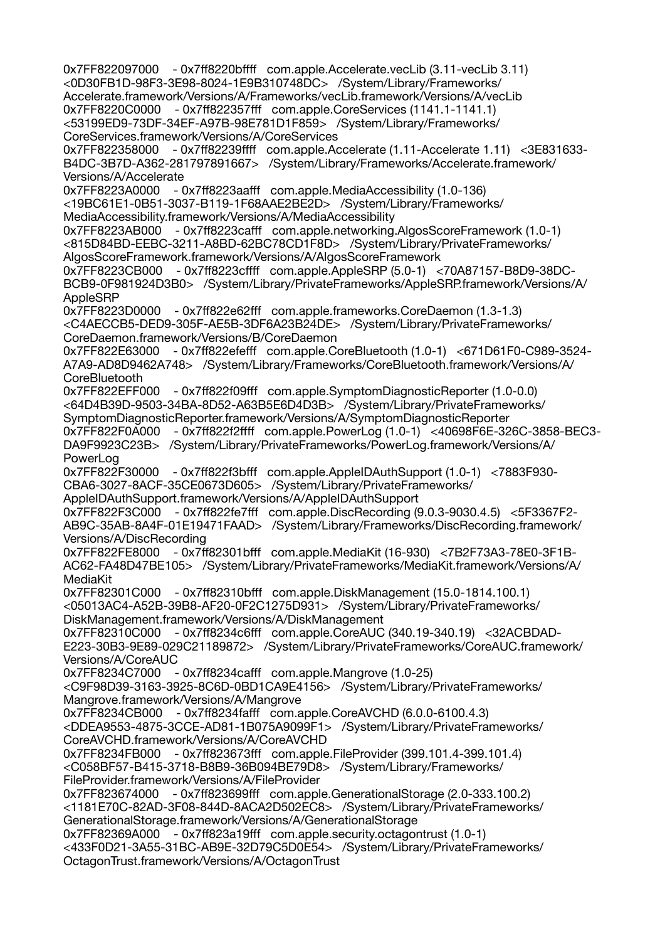0x7FF822097000 - 0x7ff8220bffff com.apple.Accelerate.vecLib (3.11-vecLib 3.11) <0D30FB1D-98F3-3E98-8024-1E9B310748DC> /System/Library/Frameworks/ Accelerate.framework/Versions/A/Frameworks/vecLib.framework/Versions/A/vecLib 0x7FF8220C0000 - 0x7ff822357fff com.apple.CoreServices (1141.1-1141.1) <53199ED9-73DF-34EF-A97B-98E781D1F859> /System/Library/Frameworks/ CoreServices.framework/Versions/A/CoreServices 0x7FF822358000 - 0x7ff82239ffff com.apple.Accelerate (1.11-Accelerate 1.11) <3E831633- B4DC-3B7D-A362-281797891667> /System/Library/Frameworks/Accelerate.framework/ Versions/A/Accelerate 0x7FF8223A0000 - 0x7ff8223aafff com.apple.MediaAccessibility (1.0-136) <19BC61E1-0B51-3037-B119-1F68AAE2BE2D> /System/Library/Frameworks/ MediaAccessibility.framework/Versions/A/MediaAccessibility 0x7FF8223AB000 - 0x7ff8223cafff com.apple.networking.AlgosScoreFramework (1.0-1) <815D84BD-EEBC-3211-A8BD-62BC78CD1F8D> /System/Library/PrivateFrameworks/ AlgosScoreFramework.framework/Versions/A/AlgosScoreFramework 0x7FF8223CB000 - 0x7ff8223cffff com.apple.AppleSRP (5.0-1) <70A87157-B8D9-38DC-BCB9-0F981924D3B0> /System/Library/PrivateFrameworks/AppleSRP.framework/Versions/A/ **AppleSRP** 0x7FF8223D0000 - 0x7ff822e62fff com.apple.frameworks.CoreDaemon (1.3-1.3) <C4AECCB5-DED9-305F-AE5B-3DF6A23B24DE> /System/Library/PrivateFrameworks/ CoreDaemon.framework/Versions/B/CoreDaemon 0x7FF822E63000 - 0x7ff822efefff com.apple.CoreBluetooth (1.0-1) <671D61F0-C989-3524- A7A9-AD8D9462A748> /System/Library/Frameworks/CoreBluetooth.framework/Versions/A/ **CoreBluetooth** 0x7FF822EFF000 - 0x7ff822f09fff com.apple.SymptomDiagnosticReporter (1.0-0.0) <64D4B39D-9503-34BA-8D52-A63B5E6D4D3B> /System/Library/PrivateFrameworks/ SymptomDiagnosticReporter.framework/Versions/A/SymptomDiagnosticReporter 0x7FF822F0A000 - 0x7ff822f2ffff com.apple.PowerLog (1.0-1) <40698F6E-326C-3858-BEC3- DA9F9923C23B> /System/Library/PrivateFrameworks/PowerLog.framework/Versions/A/ PowerLog 0x7FF822F30000 - 0x7ff822f3bfff com.apple.AppleIDAuthSupport (1.0-1) <7883F930- CBA6-3027-8ACF-35CE0673D605> /System/Library/PrivateFrameworks/ AppleIDAuthSupport.framework/Versions/A/AppleIDAuthSupport 0x7FF822F3C000 - 0x7ff822fe7fff com.apple.DiscRecording (9.0.3-9030.4.5) <5F3367F2- AB9C-35AB-8A4F-01E19471FAAD> /System/Library/Frameworks/DiscRecording.framework/ Versions/A/DiscRecording 0x7FF822FE8000 - 0x7ff82301bfff com.apple.MediaKit (16-930) <7B2F73A3-78E0-3F1B-AC62-FA48D47BE105> /System/Library/PrivateFrameworks/MediaKit.framework/Versions/A/ MediaKit 0x7FF82301C000 - 0x7ff82310bfff com.apple.DiskManagement (15.0-1814.100.1) <05013AC4-A52B-39B8-AF20-0F2C1275D931> /System/Library/PrivateFrameworks/ DiskManagement.framework/Versions/A/DiskManagement 0x7FF82310C000 - 0x7ff8234c6fff com.apple.CoreAUC (340.19-340.19) <32ACBDAD-E223-30B3-9E89-029C21189872> /System/Library/PrivateFrameworks/CoreAUC.framework/ Versions/A/CoreAUC 0x7FF8234C7000 - 0x7ff8234cafff com.apple.Mangrove (1.0-25) <C9F98D39-3163-3925-8C6D-0BD1CA9E4156> /System/Library/PrivateFrameworks/ Mangrove.framework/Versions/A/Mangrove 0x7FF8234CB000 - 0x7ff8234fafff com.apple.CoreAVCHD (6.0.0-6100.4.3) <DDEA9553-4875-3CCE-AD81-1B075A9099F1> /System/Library/PrivateFrameworks/ CoreAVCHD.framework/Versions/A/CoreAVCHD 0x7FF8234FB000 - 0x7ff823673fff com.apple.FileProvider (399.101.4-399.101.4) <C058BF57-B415-3718-B8B9-36B094BE79D8> /System/Library/Frameworks/ FileProvider.framework/Versions/A/FileProvider 0x7FF823674000 - 0x7ff823699fff com.apple.GenerationalStorage (2.0-333.100.2) <1181E70C-82AD-3F08-844D-8ACA2D502EC8> /System/Library/PrivateFrameworks/ GenerationalStorage.framework/Versions/A/GenerationalStorage 0x7FF82369A000 - 0x7ff823a19fff com.apple.security.octagontrust (1.0-1) <433F0D21-3A55-31BC-AB9E-32D79C5D0E54> /System/Library/PrivateFrameworks/ OctagonTrust.framework/Versions/A/OctagonTrust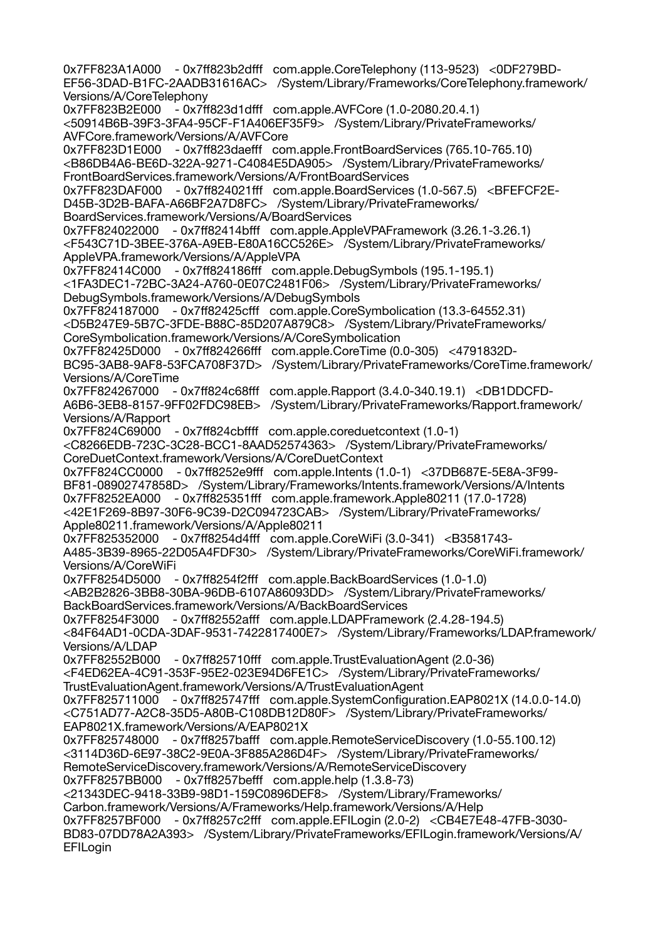0x7FF823A1A000 - 0x7ff823b2dfff com.apple.CoreTelephony (113-9523) <0DF279BD-EF56-3DAD-B1FC-2AADB31616AC> /System/Library/Frameworks/CoreTelephony.framework/ Versions/A/CoreTelephony 0x7FF823B2E000 - 0x7ff823d1dfff com.apple.AVFCore (1.0-2080.20.4.1) <50914B6B-39F3-3FA4-95CF-F1A406EF35F9> /System/Library/PrivateFrameworks/ AVFCore.framework/Versions/A/AVFCore 0x7FF823D1E000 - 0x7ff823daefff com.apple.FrontBoardServices (765.10-765.10) <B86DB4A6-BE6D-322A-9271-C4084E5DA905> /System/Library/PrivateFrameworks/ FrontBoardServices.framework/Versions/A/FrontBoardServices 0x7FF823DAF000 - 0x7ff824021fff com.apple.BoardServices (1.0-567.5) <BFEFCF2E-D45B-3D2B-BAFA-A66BF2A7D8FC> /System/Library/PrivateFrameworks/ BoardServices.framework/Versions/A/BoardServices 0x7FF824022000 - 0x7ff82414bfff com.apple.AppleVPAFramework (3.26.1-3.26.1) <F543C71D-3BEE-376A-A9EB-E80A16CC526E> /System/Library/PrivateFrameworks/ AppleVPA.framework/Versions/A/AppleVPA 0x7FF82414C000 - 0x7ff824186fff com.apple.DebugSymbols (195.1-195.1) <1FA3DEC1-72BC-3A24-A760-0E07C2481F06> /System/Library/PrivateFrameworks/ DebugSymbols.framework/Versions/A/DebugSymbols 0x7FF824187000 - 0x7ff82425cfff com.apple.CoreSymbolication (13.3-64552.31) <D5B247E9-5B7C-3FDE-B88C-85D207A879C8> /System/Library/PrivateFrameworks/ CoreSymbolication.framework/Versions/A/CoreSymbolication 0x7FF82425D000 - 0x7ff824266fff com.apple.CoreTime (0.0-305) <4791832D-BC95-3AB8-9AF8-53FCA708F37D> /System/Library/PrivateFrameworks/CoreTime.framework/ Versions/A/CoreTime 0x7FF824267000 - 0x7ff824c68fff com.apple.Rapport (3.4.0-340.19.1) <DB1DDCFD-A6B6-3EB8-8157-9FF02FDC98EB> /System/Library/PrivateFrameworks/Rapport.framework/ Versions/A/Rapport 0x7FF824C69000 - 0x7ff824cbffff com.apple.coreduetcontext (1.0-1) <C8266EDB-723C-3C28-BCC1-8AAD52574363> /System/Library/PrivateFrameworks/ CoreDuetContext.framework/Versions/A/CoreDuetContext 0x7FF824CC0000 - 0x7ff8252e9fff com.apple.Intents (1.0-1) <37DB687E-5E8A-3F99- BF81-08902747858D> /System/Library/Frameworks/Intents.framework/Versions/A/Intents 0x7FF8252EA000 - 0x7ff825351fff com.apple.framework.Apple80211 (17.0-1728) <42E1F269-8B97-30F6-9C39-D2C094723CAB> /System/Library/PrivateFrameworks/ Apple80211.framework/Versions/A/Apple80211 0x7FF825352000 - 0x7ff8254d4fff com.apple.CoreWiFi (3.0-341) <B3581743-A485-3B39-8965-22D05A4FDF30> /System/Library/PrivateFrameworks/CoreWiFi.framework/ Versions/A/CoreWiFi 0x7FF8254D5000 - 0x7ff8254f2fff com.apple.BackBoardServices (1.0-1.0) <AB2B2826-3BB8-30BA-96DB-6107A86093DD> /System/Library/PrivateFrameworks/ BackBoardServices.framework/Versions/A/BackBoardServices 0x7FF8254F3000 - 0x7ff82552afff com.apple.LDAPFramework (2.4.28-194.5) <84F64AD1-0CDA-3DAF-9531-7422817400E7> /System/Library/Frameworks/LDAP.framework/ Versions/A/LDAP 0x7FF82552B000 - 0x7ff825710fff com.apple.TrustEvaluationAgent (2.0-36) <F4ED62EA-4C91-353F-95E2-023E94D6FE1C> /System/Library/PrivateFrameworks/ TrustEvaluationAgent.framework/Versions/A/TrustEvaluationAgent 0x7FF825711000 - 0x7ff825747fff com.apple.SystemConfiguration.EAP8021X (14.0.0-14.0) <C751AD77-A2C8-35D5-A80B-C108DB12D80F> /System/Library/PrivateFrameworks/ EAP8021X.framework/Versions/A/EAP8021X 0x7FF825748000 - 0x7ff8257bafff com.apple.RemoteServiceDiscovery (1.0-55.100.12) <3114D36D-6E97-38C2-9E0A-3F885A286D4F> /System/Library/PrivateFrameworks/ RemoteServiceDiscovery.framework/Versions/A/RemoteServiceDiscovery 0x7FF8257BB000 - 0x7ff8257befff com.apple.help (1.3.8-73) <21343DEC-9418-33B9-98D1-159C0896DEF8> /System/Library/Frameworks/ Carbon.framework/Versions/A/Frameworks/Help.framework/Versions/A/Help 0x7FF8257BF000 - 0x7ff8257c2fff com.apple.EFILogin (2.0-2) <CB4E7E48-47FB-3030- BD83-07DD78A2A393> /System/Library/PrivateFrameworks/EFILogin.framework/Versions/A/ **EFILogin**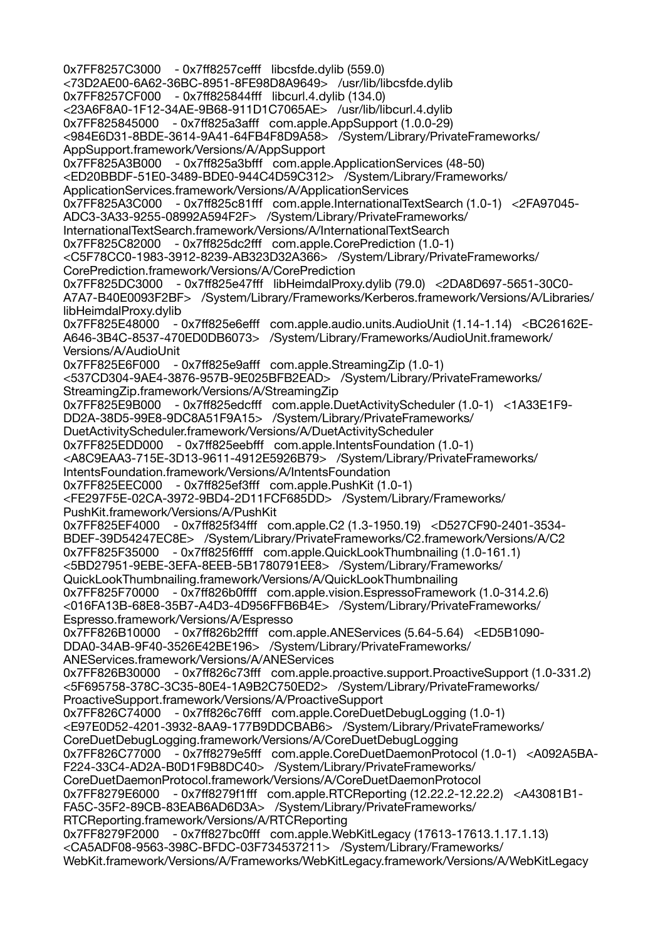0x7FF8257C3000 - 0x7ff8257cefff libcsfde.dylib (559.0) <73D2AE00-6A62-36BC-8951-8FE98D8A9649> /usr/lib/libcsfde.dylib 0x7FF8257CF000 - 0x7ff825844fff libcurl.4.dylib (134.0) <23A6F8A0-1F12-34AE-9B68-911D1C7065AE> /usr/lib/libcurl.4.dylib 0x7FF825845000 - 0x7ff825a3afff com.apple.AppSupport (1.0.0-29) <984E6D31-8BDE-3614-9A41-64FB4F8D9A58> /System/Library/PrivateFrameworks/ AppSupport.framework/Versions/A/AppSupport 0x7FF825A3B000 - 0x7ff825a3bfff com.apple.ApplicationServices (48-50) <ED20BBDF-51E0-3489-BDE0-944C4D59C312> /System/Library/Frameworks/ ApplicationServices.framework/Versions/A/ApplicationServices 0x7FF825A3C000 - 0x7ff825c81fff com.apple.InternationalTextSearch (1.0-1) <2FA97045- ADC3-3A33-9255-08992A594F2F> /System/Library/PrivateFrameworks/ InternationalTextSearch.framework/Versions/A/InternationalTextSearch 0x7FF825C82000 - 0x7ff825dc2fff com.apple.CorePrediction (1.0-1) <C5F78CC0-1983-3912-8239-AB323D32A366> /System/Library/PrivateFrameworks/ CorePrediction.framework/Versions/A/CorePrediction 0x7FF825DC3000 - 0x7ff825e47fff libHeimdalProxy.dylib (79.0) <2DA8D697-5651-30C0- A7A7-B40E0093F2BF> /System/Library/Frameworks/Kerberos.framework/Versions/A/Libraries/ libHeimdalProxy.dylib 0x7FF825E48000 - 0x7ff825e6efff com.apple.audio.units.AudioUnit (1.14-1.14) <BC26162E-A646-3B4C-8537-470ED0DB6073> /System/Library/Frameworks/AudioUnit.framework/ Versions/A/AudioUnit 0x7FF825E6F000 - 0x7ff825e9afff com.apple.StreamingZip (1.0-1) <537CD304-9AE4-3876-957B-9E025BFB2EAD> /System/Library/PrivateFrameworks/ StreamingZip.framework/Versions/A/StreamingZip 0x7FF825E9B000 - 0x7ff825edcfff com.apple.DuetActivityScheduler (1.0-1) <1A33E1F9- DD2A-38D5-99E8-9DC8A51F9A15> /System/Library/PrivateFrameworks/ DuetActivityScheduler.framework/Versions/A/DuetActivityScheduler 0x7FF825EDD000 - 0x7ff825eebfff com.apple.IntentsFoundation (1.0-1) <A8C9EAA3-715E-3D13-9611-4912E5926B79> /System/Library/PrivateFrameworks/ IntentsFoundation.framework/Versions/A/IntentsFoundation 0x7FF825EEC000 - 0x7ff825ef3fff com.apple.PushKit (1.0-1) <FE297F5E-02CA-3972-9BD4-2D11FCF685DD> /System/Library/Frameworks/ PushKit.framework/Versions/A/PushKit 0x7FF825EF4000 - 0x7ff825f34fff com.apple.C2 (1.3-1950.19) <D527CF90-2401-3534- BDEF-39D54247EC8E> /System/Library/PrivateFrameworks/C2.framework/Versions/A/C2 0x7FF825F35000 - 0x7ff825f6ffff com.apple.QuickLookThumbnailing (1.0-161.1) <5BD27951-9EBE-3EFA-8EEB-5B1780791EE8> /System/Library/Frameworks/ QuickLookThumbnailing.framework/Versions/A/QuickLookThumbnailing 0x7FF825F70000 - 0x7ff826b0ffff com.apple.vision.EspressoFramework (1.0-314.2.6) <016FA13B-68E8-35B7-A4D3-4D956FFB6B4E> /System/Library/PrivateFrameworks/ Espresso.framework/Versions/A/Espresso 0x7FF826B10000 - 0x7ff826b2ffff com.apple.ANEServices (5.64-5.64) <ED5B1090- DDA0-34AB-9F40-3526E42BE196> /System/Library/PrivateFrameworks/ ANEServices.framework/Versions/A/ANEServices 0x7FF826B30000 - 0x7ff826c73fff com.apple.proactive.support.ProactiveSupport (1.0-331.2) <5F695758-378C-3C35-80E4-1A9B2C750ED2> /System/Library/PrivateFrameworks/ ProactiveSupport.framework/Versions/A/ProactiveSupport 0x7FF826C74000 - 0x7ff826c76fff com.apple.CoreDuetDebugLogging (1.0-1) <E97E0D52-4201-3932-8AA9-177B9DDCBAB6> /System/Library/PrivateFrameworks/ CoreDuetDebugLogging.framework/Versions/A/CoreDuetDebugLogging 0x7FF826C77000 - 0x7ff8279e5fff com.apple.CoreDuetDaemonProtocol (1.0-1) <A092A5BA-F224-33C4-AD2A-B0D1F9B8DC40> /System/Library/PrivateFrameworks/ CoreDuetDaemonProtocol.framework/Versions/A/CoreDuetDaemonProtocol 0x7FF8279E6000 - 0x7ff8279f1fff com.apple.RTCReporting (12.22.2-12.22.2) <A43081B1- FA5C-35F2-89CB-83EAB6AD6D3A> /System/Library/PrivateFrameworks/ RTCReporting.framework/Versions/A/RTCReporting 0x7FF8279F2000 - 0x7ff827bc0fff com.apple.WebKitLegacy (17613-17613.1.17.1.13) <CA5ADF08-9563-398C-BFDC-03F734537211> /System/Library/Frameworks/ WebKit.framework/Versions/A/Frameworks/WebKitLegacy.framework/Versions/A/WebKitLegacy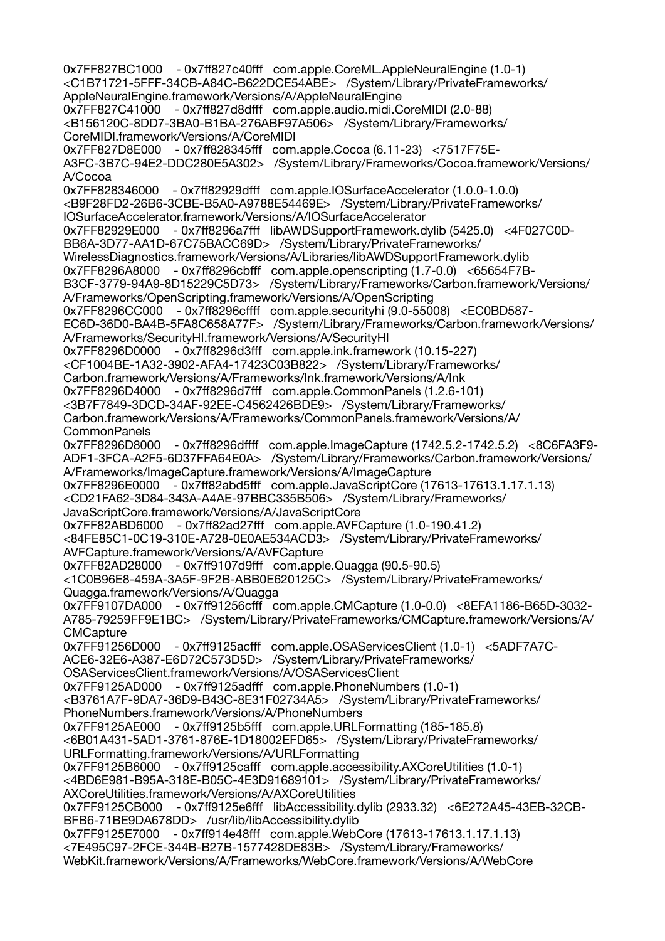0x7FF827BC1000 - 0x7ff827c40fff com.apple.CoreML.AppleNeuralEngine (1.0-1) <C1B71721-5FFF-34CB-A84C-B622DCE54ABE> /System/Library/PrivateFrameworks/ AppleNeuralEngine.framework/Versions/A/AppleNeuralEngine 0x7FF827C41000 - 0x7ff827d8dfff com.apple.audio.midi.CoreMIDI (2.0-88) <B156120C-8DD7-3BA0-B1BA-276ABF97A506> /System/Library/Frameworks/ CoreMIDI.framework/Versions/A/CoreMIDI 0x7FF827D8E000 - 0x7ff828345fff com.apple.Cocoa (6.11-23) <7517F75E-A3FC-3B7C-94E2-DDC280E5A302> /System/Library/Frameworks/Cocoa.framework/Versions/ A/Cocoa 0x7FF828346000 - 0x7ff82929dfff com.apple.IOSurfaceAccelerator (1.0.0-1.0.0) <B9F28FD2-26B6-3CBE-B5A0-A9788E54469E> /System/Library/PrivateFrameworks/ IOSurfaceAccelerator.framework/Versions/A/IOSurfaceAccelerator 0x7FF82929E000 - 0x7ff8296a7fff libAWDSupportFramework.dylib (5425.0) <4F027C0D-BB6A-3D77-AA1D-67C75BACC69D> /System/Library/PrivateFrameworks/ WirelessDiagnostics.framework/Versions/A/Libraries/libAWDSupportFramework.dylib 0x7FF8296A8000 - 0x7ff8296cbfff com.apple.openscripting (1.7-0.0) <65654F7B-B3CF-3779-94A9-8D15229C5D73> /System/Library/Frameworks/Carbon.framework/Versions/ A/Frameworks/OpenScripting.framework/Versions/A/OpenScripting 0x7FF8296CC000 - 0x7ff8296cffff com.apple.securityhi (9.0-55008) <EC0BD587- EC6D-36D0-BA4B-5FA8C658A77F> /System/Library/Frameworks/Carbon.framework/Versions/ A/Frameworks/SecurityHI.framework/Versions/A/SecurityHI 0x7FF8296D0000 - 0x7ff8296d3fff com.apple.ink.framework (10.15-227) <CF1004BE-1A32-3902-AFA4-17423C03B822> /System/Library/Frameworks/ Carbon.framework/Versions/A/Frameworks/Ink.framework/Versions/A/Ink 0x7FF8296D4000 - 0x7ff8296d7fff com.apple.CommonPanels (1.2.6-101) <3B7F7849-3DCD-34AF-92EE-C4562426BDE9> /System/Library/Frameworks/ Carbon.framework/Versions/A/Frameworks/CommonPanels.framework/Versions/A/ **CommonPanels** 0x7FF8296D8000 - 0x7ff8296dffff com.apple.ImageCapture (1742.5.2-1742.5.2) <8C6FA3F9- ADF1-3FCA-A2F5-6D37FFA64E0A> /System/Library/Frameworks/Carbon.framework/Versions/ A/Frameworks/ImageCapture.framework/Versions/A/ImageCapture 0x7FF8296E0000 - 0x7ff82abd5fff com.apple.JavaScriptCore (17613-17613.1.17.1.13) <CD21FA62-3D84-343A-A4AE-97BBC335B506> /System/Library/Frameworks/ JavaScriptCore.framework/Versions/A/JavaScriptCore 0x7FF82ABD6000 - 0x7ff82ad27fff com.apple.AVFCapture (1.0-190.41.2) <84FE85C1-0C19-310E-A728-0E0AE534ACD3> /System/Library/PrivateFrameworks/ AVFCapture.framework/Versions/A/AVFCapture 0x7FF82AD28000 - 0x7ff9107d9fff com.apple.Quagga (90.5-90.5) <1C0B96E8-459A-3A5F-9F2B-ABB0E620125C> /System/Library/PrivateFrameworks/ Quagga.framework/Versions/A/Quagga 0x7FF9107DA000 - 0x7ff91256cfff com.apple.CMCapture (1.0-0.0) <8EFA1186-B65D-3032- A785-79259FF9E1BC> /System/Library/PrivateFrameworks/CMCapture.framework/Versions/A/ **CMCapture** 0x7FF91256D000 - 0x7ff9125acfff com.apple.OSAServicesClient (1.0-1) <5ADF7A7C-ACE6-32E6-A387-E6D72C573D5D> /System/Library/PrivateFrameworks/ OSAServicesClient.framework/Versions/A/OSAServicesClient 0x7FF9125AD000 - 0x7ff9125adfff com.apple.PhoneNumbers (1.0-1) <B3761A7F-9DA7-36D9-B43C-8E31F02734A5> /System/Library/PrivateFrameworks/ PhoneNumbers.framework/Versions/A/PhoneNumbers 0x7FF9125AE000 - 0x7ff9125b5fff com.apple.URLFormatting (185-185.8) <6B01A431-5AD1-3761-876E-1D18002EFD65> /System/Library/PrivateFrameworks/ URLFormatting.framework/Versions/A/URLFormatting 0x7FF9125B6000 - 0x7ff9125cafff com.apple.accessibility.AXCoreUtilities (1.0-1) <4BD6E981-B95A-318E-B05C-4E3D91689101> /System/Library/PrivateFrameworks/ AXCoreUtilities.framework/Versions/A/AXCoreUtilities 0x7FF9125CB000 - 0x7ff9125e6fff libAccessibility.dylib (2933.32) <6E272A45-43EB-32CB-BFB6-71BE9DA678DD> /usr/lib/libAccessibility.dylib 0x7FF9125E7000 - 0x7ff914e48fff com.apple.WebCore (17613-17613.1.17.1.13) <7E495C97-2FCE-344B-B27B-1577428DE83B> /System/Library/Frameworks/ WebKit.framework/Versions/A/Frameworks/WebCore.framework/Versions/A/WebCore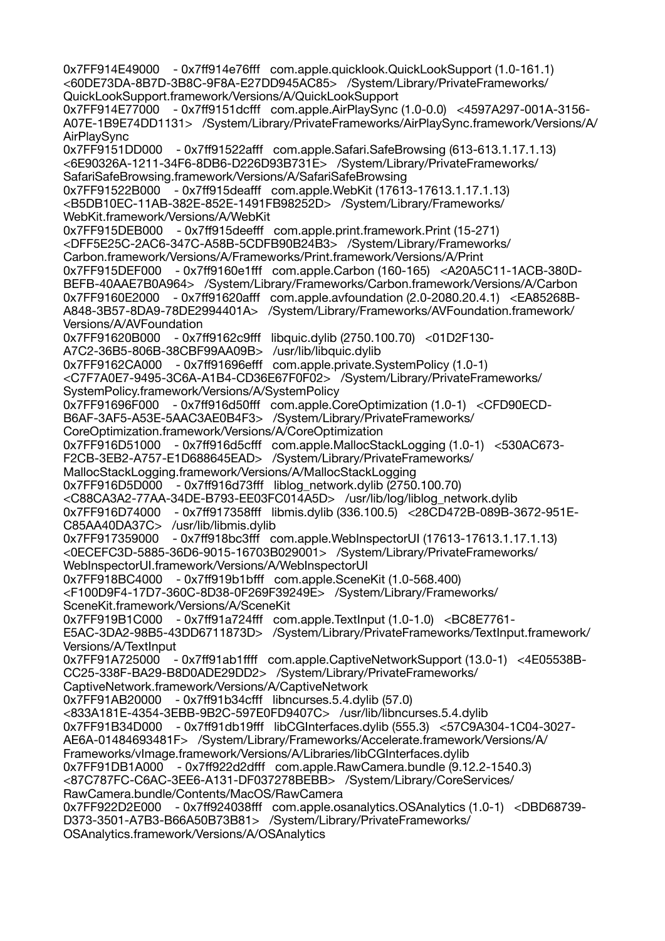0x7FF914E49000 - 0x7ff914e76fff com.apple.quicklook.QuickLookSupport (1.0-161.1) <60DE73DA-8B7D-3B8C-9F8A-E27DD945AC85> /System/Library/PrivateFrameworks/ QuickLookSupport.framework/Versions/A/QuickLookSupport 0x7FF914E77000 - 0x7ff9151dcfff com.apple.AirPlaySync (1.0-0.0) <4597A297-001A-3156- A07E-1B9E74DD1131> /System/Library/PrivateFrameworks/AirPlaySync.framework/Versions/A/ AirPlaySync 0x7FF9151DD000 - 0x7ff91522afff com.apple.Safari.SafeBrowsing (613-613.1.17.1.13) <6E90326A-1211-34F6-8DB6-D226D93B731E> /System/Library/PrivateFrameworks/ SafariSafeBrowsing.framework/Versions/A/SafariSafeBrowsing 0x7FF91522B000 - 0x7ff915deafff com.apple.WebKit (17613-17613.1.17.1.13) <B5DB10EC-11AB-382E-852E-1491FB98252D> /System/Library/Frameworks/ WebKit.framework/Versions/A/WebKit 0x7FF915DEB000 - 0x7ff915deefff com.apple.print.framework.Print (15-271) <DFF5E25C-2AC6-347C-A58B-5CDFB90B24B3> /System/Library/Frameworks/ Carbon.framework/Versions/A/Frameworks/Print.framework/Versions/A/Print 0x7FF915DEF000 - 0x7ff9160e1fff com.apple.Carbon (160-165) <A20A5C11-1ACB-380D-BEFB-40AAE7B0A964> /System/Library/Frameworks/Carbon.framework/Versions/A/Carbon 0x7FF9160E2000 - 0x7ff91620afff com.apple.avfoundation (2.0-2080.20.4.1) <EA85268B-A848-3B57-8DA9-78DE2994401A> /System/Library/Frameworks/AVFoundation.framework/ Versions/A/AVFoundation 0x7FF91620B000 - 0x7ff9162c9fff libquic.dylib (2750.100.70) <01D2F130- A7C2-36B5-806B-38CBF99AA09B> /usr/lib/libquic.dylib 0x7FF9162CA000 - 0x7ff91696efff com.apple.private.SystemPolicy (1.0-1) <C7F7A0E7-9495-3C6A-A1B4-CD36E67F0F02> /System/Library/PrivateFrameworks/ SystemPolicy.framework/Versions/A/SystemPolicy<br>0x7FF91696F000 - 0x7ff916d50fff com.apple.C 0x7FF91696F000 - 0x7ff916d50fff com.apple.CoreOptimization (1.0-1) <CFD90ECD-B6AF-3AF5-A53E-5AAC3AE0B4F3> /System/Library/PrivateFrameworks/ CoreOptimization.framework/Versions/A/CoreOptimization 0x7FF916D51000 - 0x7ff916d5cfff com.apple.MallocStackLogging (1.0-1) <530AC673- F2CB-3EB2-A757-E1D688645EAD> /System/Library/PrivateFrameworks/ MallocStackLogging.framework/Versions/A/MallocStackLogging 0x7FF916D5D000 - 0x7ff916d73fff liblog\_network.dylib (2750.100.70) <C88CA3A2-77AA-34DE-B793-EE03FC014A5D> /usr/lib/log/liblog\_network.dylib 0x7FF916D74000 - 0x7ff917358fff libmis.dylib (336.100.5) <28CD472B-089B-3672-951E-C85AA40DA37C> /usr/lib/libmis.dylib 0x7FF917359000 - 0x7ff918bc3fff com.apple.WebInspectorUI (17613-17613.1.17.1.13) <0ECEFC3D-5885-36D6-9015-16703B029001> /System/Library/PrivateFrameworks/ WebInspectorUI.framework/Versions/A/WebInspectorUI 0x7FF918BC4000 - 0x7ff919b1bfff com.apple.SceneKit (1.0-568.400) <F100D9F4-17D7-360C-8D38-0F269F39249E> /System/Library/Frameworks/ SceneKit.framework/Versions/A/SceneKit 0x7FF919B1C000 - 0x7ff91a724fff com.apple.TextInput (1.0-1.0) <BC8E7761- E5AC-3DA2-98B5-43DD6711873D> /System/Library/PrivateFrameworks/TextInput.framework/ Versions/A/TextInput 0x7FF91A725000 - 0x7ff91ab1ffff com.apple.CaptiveNetworkSupport (13.0-1) <4E05538B-CC25-338F-BA29-B8D0ADE29DD2> /System/Library/PrivateFrameworks/ CaptiveNetwork.framework/Versions/A/CaptiveNetwork 0x7FF91AB20000 - 0x7ff91b34cfff libncurses.5.4.dylib (57.0) <833A181E-4354-3EBB-9B2C-597E0FD9407C> /usr/lib/libncurses.5.4.dylib 0x7FF91B34D000 - 0x7ff91db19fff libCGInterfaces.dylib (555.3) <57C9A304-1C04-3027- AE6A-01484693481F> /System/Library/Frameworks/Accelerate.framework/Versions/A/ Frameworks/vImage.framework/Versions/A/Libraries/libCGInterfaces.dylib 0x7FF91DB1A000 - 0x7ff922d2dfff com.apple.RawCamera.bundle (9.12.2-1540.3) <87C787FC-C6AC-3EE6-A131-DF037278BEBB> /System/Library/CoreServices/ RawCamera.bundle/Contents/MacOS/RawCamera 0x7FF922D2E000 - 0x7ff924038fff com.apple.osanalytics.OSAnalytics (1.0-1) <DBD68739- D373-3501-A7B3-B66A50B73B81> /System/Library/PrivateFrameworks/ OSAnalytics.framework/Versions/A/OSAnalytics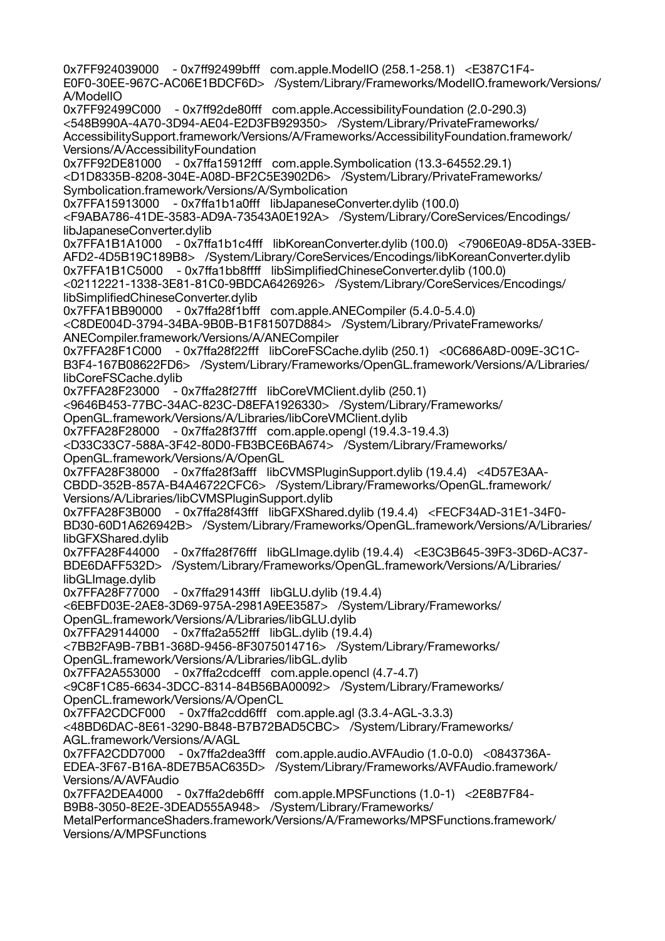0x7FF924039000 - 0x7ff92499bfff com.apple.ModelIO (258.1-258.1) <E387C1F4- E0F0-30EE-967C-AC06E1BDCF6D> /System/Library/Frameworks/ModelIO.framework/Versions/ A/ModelIO 0x7FF92499C000 - 0x7ff92de80fff com.apple.AccessibilityFoundation (2.0-290.3) <548B990A-4A70-3D94-AE04-E2D3FB929350> /System/Library/PrivateFrameworks/ AccessibilitySupport.framework/Versions/A/Frameworks/AccessibilityFoundation.framework/ Versions/A/AccessibilityFoundation 0x7FF92DE81000 - 0x7ffa15912fff com.apple.Symbolication (13.3-64552.29.1) <D1D8335B-8208-304E-A08D-BF2C5E3902D6> /System/Library/PrivateFrameworks/ Symbolication.framework/Versions/A/Symbolication 0x7FFA15913000 - 0x7ffa1b1a0fff libJapaneseConverter.dylib (100.0) <F9ABA786-41DE-3583-AD9A-73543A0E192A> /System/Library/CoreServices/Encodings/ libJapaneseConverter.dylib 0x7FFA1B1A1000 - 0x7ffa1b1c4fff libKoreanConverter.dylib (100.0) <7906E0A9-8D5A-33EB-AFD2-4D5B19C189B8> /System/Library/CoreServices/Encodings/libKoreanConverter.dylib 0x7FFA1B1C5000 - 0x7ffa1bb8ffff libSimplifiedChineseConverter.dylib (100.0) <02112221-1338-3E81-81C0-9BDCA6426926> /System/Library/CoreServices/Encodings/ libSimplifiedChineseConverter.dylib 0x7FFA1BB90000 - 0x7ffa28f1bfff com.apple.ANECompiler (5.4.0-5.4.0) <C8DE004D-3794-34BA-9B0B-B1F81507D884> /System/Library/PrivateFrameworks/ ANECompiler.framework/Versions/A/ANECompiler 0x7FFA28F1C000 - 0x7ffa28f22fff libCoreFSCache.dylib (250.1) <0C686A8D-009E-3C1C-B3F4-167B08622FD6> /System/Library/Frameworks/OpenGL.framework/Versions/A/Libraries/ libCoreFSCache.dylib<br>0x7FFA28F23000 - 0 - 0x7ffa28f27fff libCoreVMClient.dylib (250.1) <9646B453-77BC-34AC-823C-D8EFA1926330> /System/Library/Frameworks/ OpenGL.framework/Versions/A/Libraries/libCoreVMClient.dylib 0x7FFA28F28000 - 0x7ffa28f37fff com.apple.opengl (19.4.3-19.4.3) <D33C33C7-588A-3F42-80D0-FB3BCE6BA674> /System/Library/Frameworks/ OpenGL.framework/Versions/A/OpenGL 0x7FFA28F38000 - 0x7ffa28f3afff libCVMSPluginSupport.dylib (19.4.4) <4D57E3AA-CBDD-352B-857A-B4A46722CFC6> /System/Library/Frameworks/OpenGL.framework/ Versions/A/Libraries/libCVMSPluginSupport.dylib 0x7FFA28F3B000 - 0x7ffa28f43fff libGFXShared.dylib (19.4.4) <FECF34AD-31E1-34F0- BD30-60D1A626942B> /System/Library/Frameworks/OpenGL.framework/Versions/A/Libraries/ libGFXShared.dylib 0x7FFA28F44000 - 0x7ffa28f76fff libGLImage.dylib (19.4.4) <E3C3B645-39F3-3D6D-AC37- BDE6DAFF532D> /System/Library/Frameworks/OpenGL.framework/Versions/A/Libraries/ libGLImage.dylib 0x7FFA28F77000 - 0x7ffa29143fff libGLU.dylib (19.4.4) <6EBFD03E-2AE8-3D69-975A-2981A9EE3587> /System/Library/Frameworks/ OpenGL.framework/Versions/A/Libraries/libGLU.dylib 0x7FFA29144000 - 0x7ffa2a552fff libGL.dylib (19.4.4) <7BB2FA9B-7BB1-368D-9456-8F3075014716> /System/Library/Frameworks/ OpenGL.framework/Versions/A/Libraries/libGL.dylib 0x7FFA2A553000 - 0x7ffa2cdcefff com.apple.opencl (4.7-4.7) <9C8F1C85-6634-3DCC-8314-84B56BA00092> /System/Library/Frameworks/ OpenCL.framework/Versions/A/OpenCL 0x7FFA2CDCF000 - 0x7ffa2cdd6fff com.apple.agl (3.3.4-AGL-3.3.3) <48BD6DAC-8E61-3290-B848-B7B72BAD5CBC> /System/Library/Frameworks/ AGL.framework/Versions/A/AGL 0x7FFA2CDD7000 - 0x7ffa2dea3fff com.apple.audio.AVFAudio (1.0-0.0) <0843736A-EDEA-3F67-B16A-8DE7B5AC635D> /System/Library/Frameworks/AVFAudio.framework/ Versions/A/AVFAudio 0x7FFA2DEA4000 - 0x7ffa2deb6fff com.apple.MPSFunctions (1.0-1) <2E8B7F84- B9B8-3050-8E2E-3DEAD555A948> /System/Library/Frameworks/ MetalPerformanceShaders.framework/Versions/A/Frameworks/MPSFunctions.framework/ Versions/A/MPSFunctions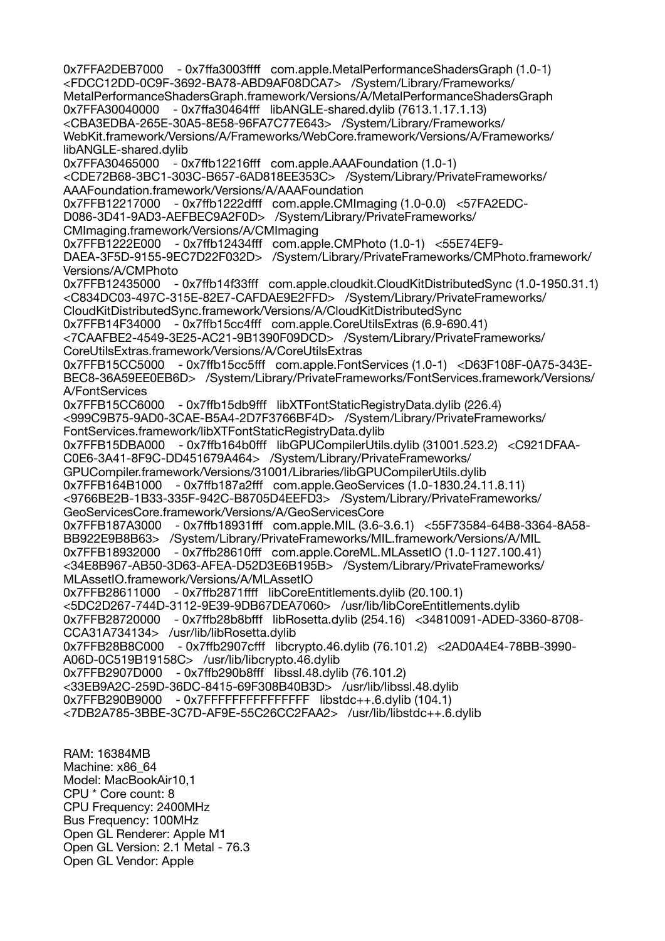0x7FFA2DEB7000 - 0x7ffa3003ffff com.apple.MetalPerformanceShadersGraph (1.0-1) <FDCC12DD-0C9F-3692-BA78-ABD9AF08DCA7> /System/Library/Frameworks/ MetalPerformanceShadersGraph.framework/Versions/A/MetalPerformanceShadersGraph 0x7FFA30040000 - 0x7ffa30464fff libANGLE-shared.dylib (7613.1.17.1.13) <CBA3EDBA-265E-30A5-8E58-96FA7C77E643> /System/Library/Frameworks/ WebKit.framework/Versions/A/Frameworks/WebCore.framework/Versions/A/Frameworks/ libANGLE-shared.dylib 0x7FFA30465000 - 0x7ffb12216fff com.apple.AAAFoundation (1.0-1) <CDE72B68-3BC1-303C-B657-6AD818EE353C> /System/Library/PrivateFrameworks/ AAAFoundation.framework/Versions/A/AAAFoundation 0x7FFB12217000 - 0x7ffb1222dfff com.apple.CMImaging (1.0-0.0) <57FA2EDC-D086-3D41-9AD3-AEFBEC9A2F0D> /System/Library/PrivateFrameworks/ CMImaging.framework/Versions/A/CMImaging 0x7FFB1222E000 - 0x7ffb12434fff com.apple.CMPhoto (1.0-1) <55E74EF9- DAEA-3F5D-9155-9EC7D22F032D> /System/Library/PrivateFrameworks/CMPhoto.framework/ Versions/A/CMPhoto 0x7FFB12435000 - 0x7ffb14f33fff com.apple.cloudkit.CloudKitDistributedSync (1.0-1950.31.1) <C834DC03-497C-315E-82E7-CAFDAE9E2FFD> /System/Library/PrivateFrameworks/ CloudKitDistributedSync.framework/Versions/A/CloudKitDistributedSync 0x7FFB14F34000 - 0x7ffb15cc4fff com.apple.CoreUtilsExtras (6.9-690.41) <7CAAFBE2-4549-3E25-AC21-9B1390F09DCD> /System/Library/PrivateFrameworks/ CoreUtilsExtras.framework/Versions/A/CoreUtilsExtras 0x7FFB15CC5000 - 0x7ffb15cc5fff com.apple.FontServices (1.0-1) <D63F108F-0A75-343E-BEC8-36A59EE0EB6D> /System/Library/PrivateFrameworks/FontServices.framework/Versions/ A/FontServices 0x7FFB15CC6000 - 0x7ffb15db9fff libXTFontStaticRegistryData.dylib (226.4) <999C9B75-9AD0-3CAE-B5A4-2D7F3766BF4D> /System/Library/PrivateFrameworks/ FontServices.framework/libXTFontStaticRegistryData.dylib 0x7FFB15DBA000 - 0x7ffb164b0fff libGPUCompilerUtils.dylib (31001.523.2) <C921DFAA-C0E6-3A41-8F9C-DD451679A464> /System/Library/PrivateFrameworks/ GPUCompiler.framework/Versions/31001/Libraries/libGPUCompilerUtils.dylib 0x7FFB164B1000 - 0x7ffb187a2fff com.apple.GeoServices (1.0-1830.24.11.8.11) <9766BE2B-1B33-335F-942C-B8705D4EEFD3> /System/Library/PrivateFrameworks/ GeoServicesCore.framework/Versions/A/GeoServicesCore 0x7FFB187A3000 - 0x7ffb18931fff com.apple.MIL (3.6-3.6.1) <55F73584-64B8-3364-8A58- BB922E9B8B63> /System/Library/PrivateFrameworks/MIL.framework/Versions/A/MIL 0x7FFB18932000 - 0x7ffb28610fff com.apple.CoreML.MLAssetIO (1.0-1127.100.41) <34E8B967-AB50-3D63-AFEA-D52D3E6B195B> /System/Library/PrivateFrameworks/ MLAssetIO.framework/Versions/A/MLAssetIO 0x7FFB28611000 - 0x7ffb2871ffff libCoreEntitlements.dylib (20.100.1) <5DC2D267-744D-3112-9E39-9DB67DEA7060> /usr/lib/libCoreEntitlements.dylib 0x7FFB28720000 - 0x7ffb28b8bfff libRosetta.dylib (254.16) <34810091-ADED-3360-8708- CCA31A734134> /usr/lib/libRosetta.dylib 0x7FFB28B8C000 - 0x7ffb2907cfff libcrypto.46.dylib (76.101.2) <2AD0A4E4-78BB-3990- A06D-0C519B19158C> /usr/lib/libcrypto.46.dylib 0x7FFB2907D000 - 0x7ffb290b8fff libssl.48.dylib (76.101.2) <33EB9A2C-259D-36DC-8415-69F308B40B3D> /usr/lib/libssl.48.dylib 0x7FFB290B9000 - 0x7FFFFFFFFFFFFFFF libstdc++.6.dylib (104.1) <7DB2A785-3BBE-3C7D-AF9E-55C26CC2FAA2> /usr/lib/libstdc++.6.dylib

RAM: 16384MB Machine: x86\_64 Model: MacBookAir10,1 CPU \* Core count: 8 CPU Frequency: 2400MHz Bus Frequency: 100MHz Open GL Renderer: Apple M1 Open GL Version: 2.1 Metal - 76.3 Open GL Vendor: Apple